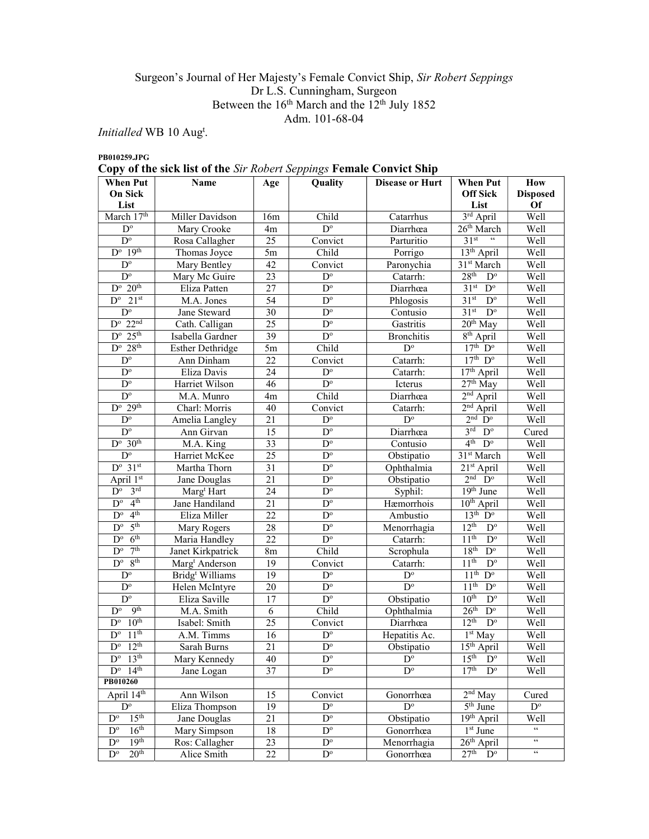# Surgeon's Journal of Her Majesty's Female Convict Ship, Sir Robert Seppings Dr L.S. Cunningham, Surgeon Between the  $16<sup>th</sup>$  March and the  $12<sup>th</sup>$  July 1852 Adm. 101-68-04

Initialled WB 10 Aug<sup>t</sup>.

PB010259.JPG

Copy of the sick list of the Sir Robert Seppings Female Convict Ship

| <b>When Put</b>                             | <b>Name</b>                     | Age             | Quality                 | <b>Disease or Hurt</b> | <b>When Put</b>                            | <b>How</b>                 |
|---------------------------------------------|---------------------------------|-----------------|-------------------------|------------------------|--------------------------------------------|----------------------------|
| On Sick                                     |                                 |                 |                         |                        | <b>Off Sick</b>                            | <b>Disposed</b>            |
| List                                        |                                 |                 |                         |                        | List                                       | Of                         |
| March 17th                                  | Miller Davidson                 | 16m             | Child                   | Catarrhus              | 3rd April                                  | Well                       |
| $D^{\circ}$                                 | Mary Crooke                     | 4 <sub>m</sub>  | $\overline{D^{\circ}}$  | Diarrhœa               | 26 <sup>th</sup> March<br>$31st$ "         | Well                       |
| $D^{\circ}$<br>$D^{\circ}$ 19 <sup>th</sup> | Rosa Callagher                  | 25              | Convict                 | Parturitio             |                                            | Well                       |
|                                             | Thomas Joyce                    | $5\mathrm{m}$   | Child                   | Porrigo                | 13 <sup>th</sup> April                     | Well                       |
| $D^{\circ}$                                 | Mary Bentley                    | 42              | Convict                 | Paronychia             | $31st$ March                               | Well                       |
| $D^{\circ}$                                 | Mary Mc Guire                   | 23              | $\mathbf{D}^{\text{o}}$ | Catarrh:               | 28 <sup>th</sup><br>$D^{\circ}$            | Well                       |
| $D^{\circ}$ 20 <sup>th</sup>                | Eliza Patten                    | 27              | $\overline{D^{\circ}}$  | Diarrhœa               | $31st$ D <sup>o</sup>                      | Well                       |
| $D^{\circ}$ 21st                            | M.A. Jones                      | 54              | $D^{\circ}$             | Phlogosis              | $\overline{D^{\circ}}$<br>31 <sup>st</sup> | Well                       |
| $\overline{D^{\circ}}$                      | Jane Steward                    | 30              | $D^{\circ}$             | Contusio               | 31 <sup>st</sup><br>$D^{\circ}$            | Well                       |
| $D^{\rm o}$ 22 <sup>nd</sup>                | Cath. Calligan                  | 25              | $\overline{D}^{\circ}$  | Gastritis              | $20th$ May                                 | Well                       |
| $D^{\circ}$ 25 <sup>th</sup>                | Isabella Gardner                | 39              | $\overline{D^{\circ}}$  | <b>Bronchitis</b>      | $8th$ April                                | Well                       |
| $D^{\circ}$ 28 <sup>th</sup>                | <b>Esther Dethridge</b>         | 5m              | Child                   | $D^{\circ}$            | $17th$ D <sup>o</sup>                      | Well                       |
| $D^{\circ}$                                 | Ann Dinham                      | 22              | Convict                 | Catarrh:               | $17th$ D <sup>o</sup>                      | Well                       |
| $\mathbf{D}^{\text{o}}$                     | Eliza Davis                     | 24              | $\mathbf{D}^{\text{o}}$ | Catarrh:               | $17th$ April                               | Well                       |
| $\overline{D^{\circ}}$                      | Harriet Wilson                  | 46              | $\overline{D}^{\circ}$  | Icterus                | $27th$ May                                 | Well                       |
| $D^{\circ}$                                 | M.A. Munro                      | 4m              | Child                   | Diarrhœa               | $2nd$ April                                | Well                       |
| $D^{\circ}$ 29 <sup>th</sup>                | Charl: Morris                   | 40              | Convict                 | Catarrh:               | $2nd$ April                                | Well                       |
| $\overline{D^{\circ}}$                      | Amelia Langley                  | 21              | $D^{\circ}$             | $D^{\circ}$            | $2nd$ $\hat{D}^{\circ}$                    | Well                       |
| $\overline{D^{\circ}}$                      | Ann Girvan                      | 15              | $\overline{D^o}$        | Diarrhœa               | $3^{\text{rd}}$ $D^{\circ}$                | Cured                      |
| $D^{\circ}$ 30 <sup>th</sup>                | M.A. King                       | 33              | $\mathbf{D}^{\text{o}}$ | Contusio               | $4th$ $Do$                                 | Well                       |
| $D^{\circ}$                                 | Harriet McKee                   | 25              | $\mathbf{D}^{\text{o}}$ | Obstipatio             | 31 <sup>st</sup> March                     | Well                       |
| $D^{\circ}$ 31st                            | Martha Thorn                    | 31              | $\overline{D^{\circ}}$  | Ophthalmia             | $\overline{21}$ <sup>st</sup> April        | Well                       |
| April 1st                                   | Jane Douglas                    | $\overline{21}$ | $\overline{D^o}$        | Obstipatio             | $2nd$ $Do$                                 | Well                       |
| $3^{\text{rd}}$<br>$D^{\circ}$              | Marg <sup>t</sup> Hart          | 24              | $\overline{D^{\circ}}$  | Syphil:                | 19 <sup>th</sup> June                      | Well                       |
| 4 <sup>th</sup><br>$\overline{D^{\circ}}$   | Jane Handiland                  | 21              | $D^{\circ}$             | Hæmorrhois             | $10th$ April                               | Well                       |
| 4 <sup>th</sup><br>$\overline{D^{\circ}}$   | Eliza Miller                    | $\overline{22}$ | $\overline{D}^{\circ}$  | Ambustio               | $13th$ D <sup>o</sup>                      | Well                       |
| 5 <sup>th</sup><br>$\overline{D^{\circ}}$   | Mary Rogers                     | 28              | $\overline{D^{\circ}}$  | Menorrhagia            | $12^{th}$<br>$D^{\circ}$                   | Well                       |
| 6 <sup>th</sup><br>$D^{\circ}$              | Maria Handley                   | 22              | $\overline{D^{\circ}}$  | Catarrh:               | 11 <sup>th</sup><br>$D^{\circ}$            | Well                       |
| 7 <sup>th</sup><br>$D^{\circ}$              | Janet Kirkpatrick               | 8m              | Child                   | Scrophula              | 18 <sup>th</sup><br>$D^{\circ}$            | Well                       |
| 8 <sup>th</sup><br>$D^{\circ}$              | Marg <sup>t</sup> Anderson      | 19              | Convict                 | Catarrh:               | 11 <sup>th</sup><br>$D^{\circ}$            | Well                       |
| $\mathbf{D}^{\text{o}}$                     | Bridg <sup>t</sup> Williams     | 19              | $\mathbf{D}^{\text{o}}$ | $D^{\circ}$            | 11 <sup>th</sup><br>$D^{\circ}$            | Well                       |
| $\mathbf{D}^{\text{o}}$                     | Helen McIntyre                  | 20              | $\overline{D^o}$        | $\overline{D^{\circ}}$ | 11 <sup>th</sup><br>$\overline{D^{\circ}}$ | Well                       |
| $D^{\circ}$                                 | Eliza Saville                   | 17              | $D^{\circ}$             | Obstipatio             | 10 <sup>th</sup><br>$D^{\circ}$            | Well                       |
| q <sup>th</sup><br>$D^{\circ}$              | M.A. Smith                      | 6               | Child                   | Ophthalmia             | 26 <sup>th</sup><br>$\overline{D^{\circ}}$ | Well                       |
| 10 <sup>th</sup><br>$D^{\circ}$             | Isabel: Smith                   | 25              | Convict                 | Diarrhœa               | 12 <sup>th</sup><br>$D^{\circ}$            | Well                       |
| 11 <sup>th</sup><br>$\overline{D^{\circ}}$  | A.M. Timms                      | 16              | $D^{\circ}$             | Hepatitis Ac.          | 1 <sup>st</sup> May                        | Well                       |
| $D^{\circ}$ 12 <sup>th</sup>                | Sarah Burns                     | 21              | $\mathbf{D}^{\text{o}}$ | Obstinatio             | $15th$ April                               | Well                       |
| $D^{\circ}$ 13 <sup>th</sup>                | Mary Kennedy                    | 40              | $D^{\circ}$             | $D^{\circ}$            | 15 <sup>th</sup><br>$D^{\circ}$            | Well                       |
| $D^{\circ}$ 14 <sup>th</sup>                | Jane Logan                      | 37              | $D^{\circ}$             | $D^{\circ}$            | 17 <sup>th</sup><br>$D^{\circ}$            | Well                       |
| PB010260                                    |                                 |                 |                         |                        |                                            |                            |
| April 14th                                  | Ann Wilson                      | 15              | Convict                 | Gonorrhœa              | $2nd$ May                                  | Cured                      |
| $\overline{D^{\circ}}$                      | Eliza Thompson                  | 19              | $D^{\circ}$             | $D^{\circ}$            | 5 <sup>th</sup> June                       | $D^{\circ}$                |
| 15 <sup>th</sup><br>$\overline{D^{\circ}}$  | Jane Douglas                    | $\overline{21}$ | $D^{\circ}$             | Obstipatio             | 19th April                                 | Well                       |
| 16 <sup>th</sup><br>$D^{\circ}$             | Mary Simpson                    | $18\,$          | $\overline{D^{\circ}}$  | Gonorrhœa              | $1st$ June                                 | $\zeta\,\zeta$             |
| 19 <sup>th</sup><br>$\mathbf{D}^{\text{o}}$ | Ros: Callagher                  | 23<br>22        | $D^{\circ}$             | Menorrhagia            | $26th$ April                               | $\epsilon\epsilon$         |
| $\mathbf{D}^{\text{o}}$                     | 20 <sup>th</sup><br>Alice Smith |                 | $D^{\circ}$             | Gonorrhœa              | $27th$ $Do$                                | $\mathfrak{c}\mathfrak{c}$ |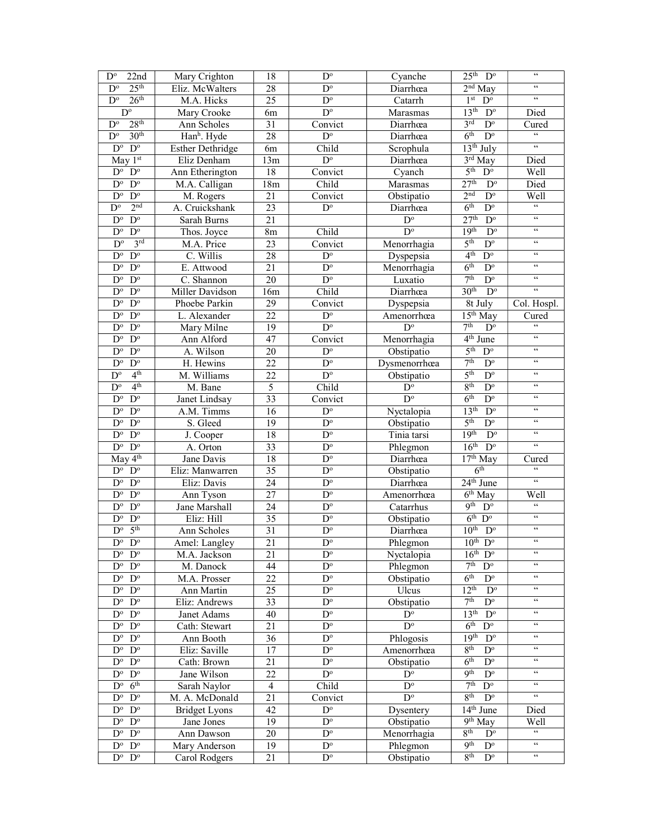| 22nd<br>$\mathbf{D}^{\circ}$                       | Mary Crighton<br>18<br>$D^{\circ}$ |                 | Cyanche                 | $25th$ D <sup>o</sup>   | $\epsilon\epsilon$                          |                                                    |
|----------------------------------------------------|------------------------------------|-----------------|-------------------------|-------------------------|---------------------------------------------|----------------------------------------------------|
| 25 <sup>th</sup><br>$D^{\circ}$                    | Eliz. McWalters                    | $\overline{28}$ | $D^{\circ}$             | Diarrhœa                | 2 <sup>nd</sup> May                         | $\zeta\,\zeta$                                     |
| 26 <sup>th</sup><br>$\overline{D^{\circ}}$         | M.A. Hicks                         | $\overline{25}$ | $\overline{D^o}$        | Catarrh                 | 1 <sup>st</sup><br>$\overline{D^{\circ}}$   | $\zeta\,\zeta$                                     |
| $D^{\circ}$                                        | Mary Crooke                        | 6m              | $D^{\circ}$             | Marasmas                | 13 <sup>th</sup><br>$D^{\circ}$             | Died                                               |
| 28 <sup>th</sup><br>$D^{\circ}$                    | Ann Scholes                        | 31              | Convict                 | Diarrhœa                | 3 <sup>rd</sup><br>$\mathbf{D}^{\text{o}}$  | Cured                                              |
| 30 <sup>th</sup><br>$D^{\circ}$                    | Han <sup>h</sup> . Hyde            | 28              | $D^{\circ}$             | Diarrhœa                | 6 <sup>th</sup><br>$\mathbf{D}^{\text{o}}$  | $\boldsymbol{\varsigma}$                           |
| $\mathbf{D}^{\text{o}}$<br>$D^{\circ}$             | <b>Esther Dethridge</b>            | 6m              | Child                   | Scrophula               | $13th$ July                                 | $\boldsymbol{\varsigma} \, \boldsymbol{\varsigma}$ |
| May 1st                                            | Eliz Denham                        | 13m             | $\mathbf{D}^{\text{o}}$ | Diarrhœa                | $3rd$ May                                   | Died                                               |
| $D^{\circ}$<br>$D^{\circ}$                         | Ann Etherington                    | 18              | Convict                 | Cyanch                  | 5 <sup>th</sup><br>$\overline{D^{\circ}}$   | Well                                               |
| $D^{\circ}$<br>$D^{\circ}$                         | M.A. Calligan                      | 18m             | Child                   | Marasmas                | 27 <sup>th</sup><br>$\mathbf{D}^{\text{o}}$ | Died                                               |
| $D^{\circ}$<br>$D^{\circ}$                         | M. Rogers                          | 21              | Convict                 | Obstipatio              | 2 <sup>nd</sup><br>$\overline{D^{\circ}}$   | Well                                               |
| $D^{\circ}$<br>2 <sup>nd</sup>                     | A. Cruickshank                     | 23              | $\overline{D^{\circ}}$  | Diarrhœa                | 6 <sup>th</sup><br>$\overline{D^o}$         | $\overline{\mathfrak{c}}$                          |
| $D^{\circ}$<br>$D^{\circ}$                         | Sarah Burns                        | 21              |                         | $D^{\circ}$             | 27 <sup>th</sup><br>$D^{\circ}$             | $\mathsf{c}\,\mathsf{c}$                           |
| $\mathbf{D}^{\text{o}}$<br>$D^{\circ}$             | Thos. Joyce                        | 8m              | Child                   | $D^{\circ}$             | 19 <sup>th</sup><br>$D^{\circ}$             | $\zeta\,\zeta$                                     |
| 3 <sup>rd</sup><br>$D^{\circ}$                     | M.A. Price                         | 23              | Convict                 | Menorrhagia             | 5 <sup>th</sup><br>$\mathbf{D}^{\text{o}}$  | $\zeta\,\zeta$                                     |
| $\mathbf{D}^{\text{o}}$<br>$D^{\circ}$             | C. Willis                          | 28              | $\mathbf{D}^{\text{o}}$ | Dyspepsia               | 4 <sup>th</sup><br>$\overline{D^o}$         | $\zeta\,\zeta$                                     |
| $D^{\circ}$<br>$D^{\circ}$                         | E. Attwood                         | 21              | $\mathbf{D}^{\text{o}}$ | Menorrhagia             | 6 <sup>th</sup><br>$D^{\circ}$              | $\zeta$ $\zeta$                                    |
| $\mathbf{D}^{\text{o}}$<br>$D^{\circ}$             | C. Shannon                         | 20              | $\overline{D^{\circ}}$  | Luxatio                 | 7 <sup>th</sup><br>$D^{\circ}$              | $\zeta\,\zeta$                                     |
| $\mathbf{D}^{\text{o}}$<br>$D^{\circ}$             | Miller Davidson                    | 16m             | Child                   | Diarrhœa                | 30 <sup>th</sup><br>$D^{\circ}$             | $\zeta\,\zeta$                                     |
| $\mathbf{D}^{\text{o}}$<br>$D^{\circ}$             | Phoebe Parkin                      | 29              | Convict                 | Dyspepsia               | 8t July                                     | Col. Hospl.                                        |
| $\mathbf{D}^{\text{o}}$<br>$D^{\circ}$             | L. Alexander                       | 22              | $\mathbf{D}^{\text{o}}$ | Amenorrhœa              | $15th$ May                                  | Cured                                              |
| $D^{\circ}$<br>$D^{\circ}$                         | Mary Milne                         | 19              | $D^{\circ}$             | $D^{\circ}$             | 7 <sup>th</sup><br>$D^{\circ}$              | $\epsilon\epsilon$                                 |
| $\mathbf{D}^{\text{o}}$<br>$D^{\circ}$             | Ann Alford                         | 47              | Convict                 | Menorrhagia             | $4th$ June                                  | $\epsilon\,\epsilon$                               |
| $\mathbf{D}^{\text{o}}$<br>$D^{\circ}$             | A. Wilson                          | 20              | $D^{\circ}$             | Obstipatio              | 5 <sup>th</sup><br>$\mathbf{D}^{\text{o}}$  | $\zeta\,\zeta$                                     |
| $\mathbf{D}^{\text{o}}$<br>$D^{\circ}$             | H. Hewins                          | 22              | $\mathbf{D}^{\text{o}}$ | Dysmenorrhœa            | 7 <sup>th</sup><br>$D^{\circ}$              | $\zeta$ $\zeta$                                    |
| 4 <sup>th</sup><br>$\mathbf{D}^{\text{o}}$         | M. Williams                        | $\overline{22}$ | $\overline{D^o}$        | Obstipatio              | 5 <sup>th</sup><br>$D^{\circ}$              | $\zeta\,\zeta$                                     |
| 4 <sup>th</sup><br>$D^{\circ}$                     | M. Bane                            | $\overline{5}$  | Child                   | $\overline{D^o}$        | 8 <sup>th</sup><br>$D^{\circ}$              | $\zeta$ $\zeta$                                    |
| $\mathbf{D}^{\text{o}}$<br>$D^{\circ}$             | Janet Lindsay                      | 33              | Convict                 | $\overline{D^{\circ}}$  | 6 <sup>th</sup><br>$\mathbf{D}^{\text{o}}$  | $\textsf{c}\,\textsf{c}$                           |
| $\mathbf{D}^{\text{o}}$<br>$D^{\circ}$             | A.M. Timms                         | 16              | $D^{\circ}$             | Nyctalopia              | 13 <sup>th</sup><br>$D^{\circ}$             | $\zeta\,\zeta$                                     |
| $D^{\circ}$<br>$D^{\circ}$                         | S. Gleed                           | 19              | $\mathbf{D}^{\text{o}}$ | Obstipatio              | 5 <sup>th</sup><br>$D^{\circ}$              | $\zeta\,\zeta$                                     |
| $\overline{D^o}$<br>$D^{\circ}$                    | J. Cooper                          | 18              | $\mathbf{D}^{\text{o}}$ | Tinia tarsi             | 19 <sup>th</sup><br>$D^{\circ}$             | $\zeta\,\zeta$                                     |
| $\mathbf{D}^{\text{o}}$<br>$D^{\circ}$             | A. Orton                           | 33              | $\mathbf{D}^{\text{o}}$ | Phlegmon                | 16 <sup>th</sup><br>$D^{\circ}$             | $\zeta\,\zeta$                                     |
| May 4 <sup>th</sup>                                | Jane Davis                         | 18              | $\mathbf{D}^{\text{o}}$ | Diarrhœa                | $17th$ May                                  | Cured                                              |
| $D^{\circ}$<br>$D^{\circ}$                         | Eliz: Manwarren                    | $\overline{35}$ | $D^{\circ}$             | Obstipatio              | 6 <sup>th</sup>                             | $\mathfrak{c}\mathfrak{c}$                         |
| $D^{\circ}$<br>$D^{\circ}$                         | Eliz: Davis                        | 24              | $D^{\circ}$             | Diarrhœa                | $24th$ June                                 | $\epsilon\epsilon$                                 |
| $D^{\circ}$<br>$D^{\circ}$                         | Ann Tyson                          | 27              | $\overline{D^{\circ}}$  | Amenorrhœa              | $6th$ May                                   | Well                                               |
| $\mathbf{D}^{\text{o}}$<br>$D^{\circ}$             | Jane Marshall                      | 24              | $\mathbf{D}^{\text{o}}$ | Catarrhus               | <b>9th</b><br>$\overline{D^{\circ}}$        | $\zeta\,\zeta$                                     |
| $\mathbf{D}^{\text{o}}$<br>$D^{\circ}$             | Eliz: Hill                         | 35              | $\mathbf{D}^{\text{o}}$ | Obstipatio              | $6th$ D <sup>o</sup>                        | $\zeta \, \zeta$                                   |
| 5 <sup>th</sup><br>$D^{\circ}$                     | Ann Scholes                        | 31              | $\mathbf{D}^{\text{o}}$ | Diarrhœa                | 10 <sup>th</sup><br>$D^{\circ}$             | $\epsilon\epsilon$                                 |
| $\mathbf{D}^{\text{o}}$<br>$D^{\rm o}$             | Amel: Langley                      | $\overline{21}$ | $\overline{D^{\circ}}$  | Phlegmon                | $10^{th}$ $D^{\circ}$                       | $\zeta\,\zeta$                                     |
| $D^{\circ}$ $D^{\circ}$                            | M.A. Jackson                       | 21              | $\mathbf{D}^{\text{o}}$ | Nyctalopia              | $16^{th}$ D <sup>o</sup>                    | $\zeta\,\zeta$                                     |
| $D^o$ $D^o$                                        | M. Danock                          | 44              | $\mathbf{D}^{\text{o}}$ | Phlegmon                | $7th$ D <sup>o</sup>                        | $\zeta\,\zeta$                                     |
| $D^o$ $D^o$                                        | M.A. Prosser                       | 22              | $\overline{D^{\circ}}$  | Obstipatio              | 6 <sup>th</sup><br>$D^{\circ}$              | $\zeta\,\zeta$                                     |
| $D^{\rm o}$ $D^{\rm o}$                            | Ann Martin                         | 25              | $\mathbf{D}^{\text{o}}$ | Ulcus                   | $12^{\text{th}}$<br>$D^{\circ}$             | $\epsilon\epsilon$                                 |
| $D^{\circ}$<br>$\mathbf{D}^{\text{o}}$             | Eliz: Andrews                      | 33              | $D^{\circ}$             | Obstipatio              | 7 <sup>th</sup><br>$\mathbf{D}^{\text{o}}$  | $\zeta\,\zeta$                                     |
| $\mathbf{D}^{\text{o}}$<br>$D^{\circ}$             | Janet Adams                        | 40              | $D^{\circ}$             | $D^{\circ}$             | 13 <sup>th</sup><br>$D^{\circ}$             | $\zeta\,\zeta$                                     |
| $D^{\circ}$<br>$D^{\circ}$                         | Cath: Stewart                      | 21              | $\mathbf{D}^{\text{o}}$ | $D^{\circ}$             | 6 <sup>th</sup><br>$D^{\circ}$              | $\zeta\,\zeta$                                     |
| $\mathbf{D}^{\text{o}}$<br>$D^{\circ}$             | Ann Booth                          | 36              | $D^{\circ}$             | Phlogosis               | 19 <sup>th</sup><br>$D^{\circ}$             | $\zeta\,\zeta$                                     |
| $\mathbf{D}^{\text{o}}$<br>$D^{\circ}$             | Eliz: Saville                      | 17              | $\mathbf{D}^{\text{o}}$ | Amenorrhœa              | 8 <sup>th</sup><br>$D^{\circ}$              | $\zeta\,\zeta$                                     |
| $D^{\rm o}$ $D^{\rm o}$                            | Cath: Brown                        | 21              | $\mathbf{D}^{\text{o}}$ | Obstipatio              | 6 <sup>th</sup><br>$D^{\circ}$              | $\zeta\,\zeta$                                     |
| $D^{\circ}$<br>$\mathbf{D}^{\circ}$                | Jane Wilson                        | 22              | $\overline{D^{\circ}}$  | $\mathbf{D}^{\text{o}}$ | <b>Qth</b><br>$D^{\circ}$                   | $\zeta \, \zeta$                                   |
| 6 <sup>th</sup><br>$\mathbf{D}^{\text{o}}$         | Sarah Naylor                       | $\overline{4}$  | Child                   | $D^{\circ}$             | 7 <sup>th</sup><br>$D^{\circ}$              | $\mathcal{C}\mathcal{C}$                           |
| $\mathbf{D}^{\text{o}}$<br>$\mathbf{D}^{\text{o}}$ | M. A. McDonald                     | 21              | Convict                 | $D^{\circ}$             | 8 <sup>th</sup><br>$\overline{D^o}$         | $\mathfrak{c}\mathfrak{c}$                         |
| $D^{\circ}$<br>$D^{\circ}$                         | <b>Bridget Lyons</b>               | 42              | $\mathbf{D}^{\text{o}}$ | Dysentery               | $\overline{14}$ <sup>th</sup> June          | Died                                               |
| $D^{\circ}$<br>$D^{\circ}$                         | Jane Jones                         | 19              | $\mathbf{D}^{\text{o}}$ | Obstipatio              | 9 <sup>th</sup> May                         | Well                                               |
| $D^{\circ}$<br>$D^{\circ}$                         | Ann Dawson                         | 20              | $D^{\circ}$             | Menorrhagia             | 8 <sup>th</sup><br>$D^{\circ}$              | $\zeta\,\zeta$                                     |
| $\mathbf{D}^{\text{o}}$<br>$D^{\circ}$             | Mary Anderson                      | 19              | $\mathbf{D}^{\text{o}}$ | Phlegmon                | 9 <sup>th</sup><br>$D^{\circ}$              | $\zeta\,\zeta$                                     |
| $D^{\rm o}$ $D^{\rm o}$                            | Carol Rodgers                      | 21              | $\mathbf{D}^{\text{o}}$ | Obstipatio              | 8 <sup>th</sup><br>$D^{\circ}$              | $\epsilon\epsilon$                                 |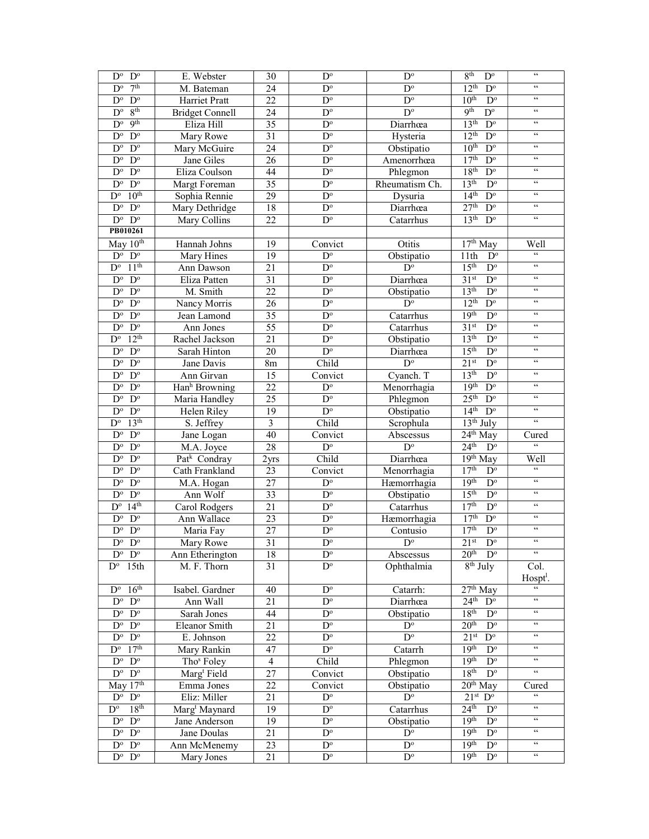| $D^{\circ}$<br>$D^{\circ}$                         | E. Webster                | $D^{\circ}$<br>30 |                                       | $\mathbf{D}^{\text{o}}$ | 8 <sup>th</sup><br>$D^{\circ}$                            | $\zeta\,\zeta$                                     |
|----------------------------------------------------|---------------------------|-------------------|---------------------------------------|-------------------------|-----------------------------------------------------------|----------------------------------------------------|
| 7 <sup>th</sup><br>$D^{\circ}$                     | M. Bateman                | 24                | $D^{\circ}$                           | $D^{\circ}$             | 12 <sup>th</sup><br>$\overline{D^{\circ}}$                | $\zeta\,\zeta$                                     |
| $D^{\circ}$<br>$D^{\circ}$                         | Harriet Pratt             | 22                | $\mathbf{D}^{\text{o}}$               | $\mathbf{D}^{\text{o}}$ | 10 <sup>th</sup><br>$\mathbf{D}^{\text{o}}$               | $\zeta\,\zeta$                                     |
| 8 <sup>th</sup><br>$D^{\circ}$                     | <b>Bridget Connell</b>    | 24                | $D^{\circ}$                           | $D^{\circ}$             | <b>9th</b><br>$\mathbf{D}^{\text{o}}$                     | $\zeta \, \zeta$                                   |
| 9 <sup>th</sup><br>$D^{\circ}$                     | Eliza Hill                | 35                | $\mathbf{D}^{\text{o}}$               | Diarrhœa                | 13 <sup>th</sup><br>$D^{\circ}$                           | $\zeta\,\zeta$                                     |
| $\mathbf{D}^{\text{o}}$<br>$D^{\circ}$             | Mary Rowe                 | 31                | $\mathbf{D}^{\text{o}}$               | Hysteria                | 12 <sup>th</sup><br>$D^{\circ}$                           | $\zeta\,\zeta$                                     |
| $D^{\circ}$<br>$D^{\circ}$                         | Mary McGuire              | 24                | $\mathbf{D}^{\text{o}}$               | Obstipatio              | 10 <sup>th</sup><br>$D^{\circ}$                           | $\zeta\,\zeta$                                     |
| $\mathbf{D}^{\text{o}}$<br>$D^{\circ}$             | Jane Giles                | 26                | $\mathbf{D}^{\text{o}}$               | Amenorrhœa              | 17 <sup>th</sup><br>$\mathbf{D}^{\text{o}}$               | $\zeta \, \zeta$                                   |
| $\mathbf{D}^{\text{o}}$<br>$D^{\circ}$             | Eliza Coulson             | 44                | $\overline{D^{\circ}}$                | Phlegmon                | 18 <sup>th</sup><br>$\overline{D^{\circ}}$                | $\zeta\,\zeta$                                     |
| $\mathbf{D}^{\text{o}}$<br>$D^{\circ}$             | Margt Foreman             | $\overline{35}$   | $\overline{D^{\circ}}$                | Rheumatism Ch.          | 13 <sup>th</sup><br>$\overline{D}^{\circ}$                | $\zeta\,\zeta$                                     |
| 10 <sup>th</sup><br>$D^{\overline{o}}$             | Sophia Rennie             | 29                | $D^{\circ}$                           | Dysuria                 | $\overline{D^o}$<br>14 <sup>th</sup>                      | $\zeta\,\zeta$                                     |
| $\mathbf{D}^{\text{o}}$<br>$D^{\circ}$             | Mary Dethridge            | 18                | $\mathbf{D}^{\text{o}}$               | Diarrhœa                | 27 <sup>th</sup><br>$D^{\circ}$                           | $\zeta \, \zeta$                                   |
| $\mathbf{D}^{\text{o}}$<br>$\mathbf{D}^{\text{o}}$ | Mary Collins              | 22                | $D^{\circ}$                           | Catarrhus               | 13 <sup>th</sup><br>$\mathbf{D}^{\text{o}}$               | $\zeta\,\zeta$                                     |
| PB010261                                           |                           |                   |                                       |                         |                                                           |                                                    |
| May $10th$                                         | Hannah Johns              | 19                | Convict                               | Otitis                  | $17th$ May                                                | Well                                               |
| $\mathbf{D}^{\text{o}}$<br>$D^{\circ}$             | Mary Hines                | 19                | $D^{\circ}$                           | Obstipatio              | 11th<br>$D^{\circ}$                                       | $\zeta\,\zeta$                                     |
| 11 <sup>th</sup><br>$D^{\circ}$                    | Ann Dawson                | 21                | $\mathbf{D}^{\text{o}}$               | $D^{\circ}$             | 15 <sup>th</sup><br>$\mathbf{D}^{\text{o}}$               | $\zeta\,\zeta$                                     |
| $D^{\circ}$<br>$D^{\circ}$                         | Eliza Patten              | 31                | $D^{\circ}$                           | Diarrhœa                | 31 <sup>st</sup><br>$D^{\circ}$                           | $\zeta \, \zeta$                                   |
| $D^{\circ}$<br>$D^{\circ}$                         | M. Smith                  | 22                | $\overline{D^{\circ}}$                | Obstipatio              | 13 <sup>th</sup><br>$D^{\circ}$                           | $\zeta \, \zeta$                                   |
| $D^{\circ}$<br>$D^{\circ}$                         | Nancy Morris              | 26                | $D^{\circ}$                           | $D^{\circ}$             | $12^{th}$<br>$D^{\circ}$                                  | $\zeta\,\zeta$                                     |
| $D^{\circ}$<br>$D^{\circ}$                         | Jean Lamond               | 35                | $D^{\circ}$                           | Catarrhus               | 19 <sup>th</sup><br>$D^{\circ}$                           | $\zeta\,\zeta$                                     |
| $\mathbf{D}^{\text{o}}$<br>$D^{\circ}$             | Ann Jones                 | 55                | $\mathbf{D}^{\text{o}}$               | Catarrhus               | 31 <sup>st</sup><br>$\mathbf{D}^{\text{o}}$               | $\zeta \, \zeta$                                   |
| 12 <sup>th</sup><br>$D^{\overline{o}}$             | Rachel Jackson            | 21                | $\mathbf{D}^{\text{o}}$               | Obstipatio              | 13 <sup>th</sup><br>$\overline{D^o}$                      | $\zeta\,\zeta$                                     |
| $\mathbf{D}^{\text{o}}$<br>$D^{\circ}$             | Sarah Hinton              | 20                | $\mathbf{D}^{\text{o}}$               | Diarrhœa                | 15 <sup>th</sup><br>$\mathbf{D}^{\text{o}}$               | $\zeta \, \zeta$                                   |
| $\mathbf{D}^{\text{o}}$<br>$D^{\circ}$             | Jane Davis                | 8m                | Child                                 | $\mathbf{D}^{\text{o}}$ | 21 <sup>st</sup><br>$\mathbf{D}^{\text{o}}$               | $\zeta\,\zeta$                                     |
| $\mathbf{D}^{\text{o}}$<br>$D^{\circ}$             | Ann Girvan                | 15                | Convict                               | Cyanch. T               | 13 <sup>th</sup><br>$\mathbf{D}^{\text{o}}$               | $\zeta \, \zeta$                                   |
| $D^{\circ}$<br>$D^{\circ}$                         | Hanh Browning             | 22                | $\mathbf{D}^{\text{o}}$               |                         | $\overline{D^{\circ}}$<br>19 <sup>th</sup>                | $\zeta \, \zeta$                                   |
| $D^{\rm o}$<br>$D^{\circ}$                         |                           | 25                | $\overline{D^{\circ}}$                | Menorrhagia             | 25 <sup>th</sup><br>$D^{\circ}$                           | $\zeta \, \zeta$                                   |
| $\mathbf{D}^{\text{o}}$<br>$D^{\circ}$             | Maria Handley             | 19                | $\mathbf{D}^{\text{o}}$               | Phlegmon                | 14 <sup>th</sup><br>$\mathbf{D}^{\text{o}}$               | $\zeta \, \zeta$                                   |
| 13 <sup>th</sup>                                   | Helen Riley               | $\overline{3}$    |                                       | Obstipatio              | $13th$ July                                               | $\zeta\,\zeta$                                     |
| $D^{\circ}$                                        | S. Jeffrey                |                   | Child                                 | Scrophula               |                                                           |                                                    |
| $D^{\circ}$<br>$D^{\circ}$                         | Jane Logan                | 40                | Convict                               | Abscessus               | $24$ <sup>th</sup> May<br>24 <sup>th</sup><br>$D^{\circ}$ | Cured<br>$\epsilon\,\epsilon$                      |
| $D^{\circ}$<br>$D^{\circ}$                         | M.A. Joyce                | 28                | $\mathbf{D}^{\text{o}}$               | $D^{\circ}$             |                                                           |                                                    |
| $\mathbf{D}^{\text{o}}$<br>$D^{\circ}$             | Patk Condray              | 2 <sub>yrs</sub>  | Child                                 | Diarrhœa                | $19th$ May                                                | Well<br>$\mathfrak{c}\mathfrak{c}$                 |
| $\mathbf{D}^{\text{o}}$<br>$D^{\circ}$             | Cath Frankland            | 23                | Convict                               | Menorrhagia             | 17 <sup>th</sup><br>$D^{\circ}$                           | $\zeta\,\zeta$                                     |
| $\mathbf{D}^{\text{o}}$<br>$D^{\circ}$             | M.A. Hogan                | 27                | $\overline{D^{\circ}}$<br>$D^{\circ}$ | Hæmorrhagia             | 19 <sup>th</sup><br>$\overline{D}^{\circ}$                | $\zeta\,\zeta$                                     |
| $\overline{D^{\circ}}$<br>$D^{\circ}$              | Ann Wolf                  | $\overline{33}$   |                                       | Obstipatio              | 15 <sup>th</sup><br>$\overline{D^{\circ}}$                | $\zeta \, \zeta$                                   |
| 14 <sup>th</sup><br>$D^{\circ}$                    | Carol Rodgers             | 21                | $\mathbf{D}^{\text{o}}$               | Catarrhus               | 17 <sup>th</sup><br>$\mathbf{D}^{\text{o}}$               | $\zeta\,\zeta$                                     |
| $D^{\circ}$<br>$D^{\circ}$                         | Ann Wallace               | 23                | $D^{\circ}$                           | Hæmorrhagia             | 17 <sup>th</sup><br>$\mathbf{D}^{\text{o}}$               | $\zeta\,\zeta$                                     |
| $D^{\circ}$<br>$D^{\circ}$                         | Maria Fay                 | 27                | $D^{\circ}$                           | Contusio                | 17 <sup>th</sup><br>$\mathbf{D}^{\text{o}}$               | $\epsilon\,\epsilon$                               |
| $D^{\circ}$<br>$D^{\circ}$                         | Mary Rowe                 | 31                | $D^{\circ}$                           | $\mathbf{D}^{\text{o}}$ | 21 <sup>st</sup><br>$\mathbf{D}^{\text{o}}$               | $\zeta\,\zeta$                                     |
| $D^{\circ}$ $D^{\circ}$                            | Ann Etherington           | 18                | $\mathbf{D}^{\text{o}}$               | Abscessus               | $20th$ D <sup>o</sup>                                     |                                                    |
| $D^{\circ}$ 15th                                   | M. F. Thorn               | 31                | $D^{\circ}$                           | Ophthalmia              | $8th$ July                                                | Col.                                               |
| 16 <sup>th</sup><br>$D^{\circ}$                    |                           | 40                | $\mathbf{D}^{\text{o}}$               |                         | $27th$ May                                                | Hospt <sup>1</sup> .<br>$\mathfrak{c}\mathfrak{c}$ |
|                                                    | Isabel. Gardner           |                   |                                       | Catarrh:                |                                                           | $\zeta\,\zeta$                                     |
| $D^{\rm o}$ $D^{\rm o}$                            | Ann Wall                  | 21                | $D^{\circ}$                           | Diarrhœa                | $24th$ D <sup>o</sup><br>18 <sup>th</sup>                 | $\zeta\,\zeta$                                     |
| $\mathbf{D}^{\text{o}}$<br>$D^{\circ}$             | Sarah Jones               | 44                | $\mathbf{D}^{\text{o}}$               | Obstipatio              | $D^{\circ}$                                               | $\mathcal{C}\mathcal{C}$                           |
| $D^{\circ}$<br>$D^{\circ}$                         | Eleanor Smith             | 21                | $D^{\circ}$                           | $\mathbf{D}^{\text{o}}$ | 20 <sup>th</sup><br>$\overline{D^o}$                      | $\zeta\,\zeta$                                     |
| $D^{\circ}$<br>$D^{\circ}$                         | E. Johnson                | 22                | $D^{\circ}$                           | $D^{\circ}$             | 21 <sup>st</sup><br>$D^{\circ}$                           |                                                    |
| 17 <sup>th</sup><br>$D^{\circ}$                    | Mary Rankin               | 47                | $\mathbf{D}^{\text{o}}$               | Catarrh                 | 19 <sup>th</sup><br>$D^{\circ}$                           | $\zeta\,\zeta$                                     |
| $D^{\circ}$<br>$D^{\circ}$                         | Tho <sup>s</sup> Foley    | 4                 | Child                                 | Phlegmon                | 19 <sup>th</sup><br>$D^{\circ}$                           | $\zeta\,\zeta$                                     |
| $D^{\circ}$<br>$D^{\circ}$                         | Marg <sup>t</sup> Field   | 27                | Convict                               | Obstipatio              | 18 <sup>th</sup><br>$\mathbf{D}^{\text{o}}$               | $\zeta\,\zeta$                                     |
| May $17th$                                         | Emma Jones                | 22                | Convict                               | Obstipatio              | $20th$ May                                                | Cured                                              |
| $D^{\rm o}$ $D^{\rm o}$                            | Eliz: Miller              | 21                | $\mathbf{D}^{\text{o}}$               | $\overline{D^{\circ}}$  | 21 <sup>st</sup><br>$D^{\circ}$                           | $\zeta\,\zeta$                                     |
| $D^{\circ}$<br>18 <sup>th</sup>                    | Marg <sup>t</sup> Maynard | 19                | $D^{\circ}$                           | Catarrhus               | 24 <sup>th</sup><br>$D^{\circ}$                           | $\mathcal{C}\mathcal{C}$                           |
| $D^{\circ}$<br>$D^{\circ}$                         | Jane Anderson             | 19                | $D^{\circ}$                           | Obstipatio              | 19 <sup>th</sup><br>$\mathbf{D}^{\text{o}}$               | $\zeta\,\zeta$                                     |
| $D^{\rm o}$ $D^{\rm o}$                            | Jane Doulas               | 21                | $D^{\circ}$                           | $D^{\circ}$             | 19 <sup>th</sup><br>$D^{\circ}$                           | $\zeta\,\zeta$                                     |
| $D^{\rm o}$ $D^{\rm o}$                            | Ann McMenemy              | 23                | $D^{\rm o}$                           | $D^{\circ}$             | 19 <sup>th</sup><br>$D^{\circ}$                           | $\epsilon\epsilon$                                 |
| $D^o$ $D^o$                                        | Mary Jones                | 21                | $\mathbf{D}^{\text{o}}$               | $D^{\circ}$             | 19 <sup>th</sup><br>$D^{\circ}$                           | $\zeta\,\zeta$                                     |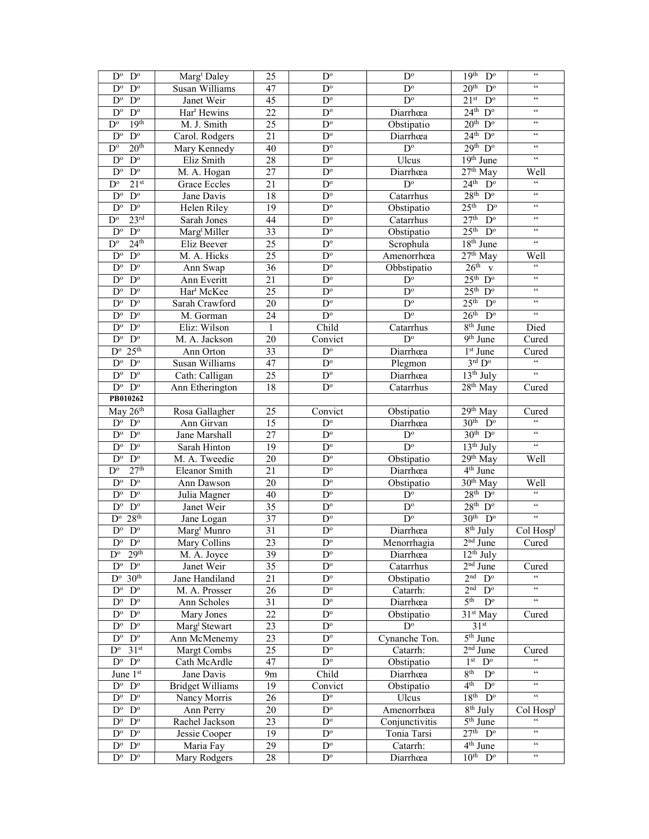| $D^{\circ}$<br>$D^{\circ}$                         | Marg <sup>t</sup> Daley   | 25           | $\mathbf{D}^{\text{o}}$                | $\mathbf{D}^{\text{o}}$ | $19th$ $Do$                            | $\zeta\,\zeta$                                     |
|----------------------------------------------------|---------------------------|--------------|----------------------------------------|-------------------------|----------------------------------------|----------------------------------------------------|
| $\mathbf{D}^{\text{o}}$<br>$D^{\circ}$             | Susan Williams            | 47           | $\overline{D^{\circ}}$                 | $D^{\circ}$             | $20th$ D <sup>o</sup>                  | $\zeta\,\zeta$                                     |
| $D^{\circ}$<br>$D^{\circ}$                         | Janet Weir                | 45           | $\mathbf{D}^{\text{o}}$                | $\overline{D^{\circ}}$  | $21^{st}$ D <sup>o</sup>               | $\zeta \, \zeta$                                   |
| $\mathbf{D}^{\text{o}}$<br>$D^{\circ}$             | Har <sup>t</sup> Hewins   | 22           | $D^{\circ}$                            | Diarrhœa                | $24^{\text{th}}$ D <sup>o</sup>        | $\zeta \, \zeta$                                   |
| 19 <sup>th</sup><br>$D^{\circ}$                    | M. J. Smith               | 25           | $D^{\circ}$                            | Obstipatio              | $20th$ D <sup>o</sup>                  | $\zeta \, \zeta$                                   |
| $\mathbf{D}^{\text{o}}$<br>$D^{\circ}$             | Carol. Rodgers            | 21           | $\mathbf{D}^{\text{o}}$                | Diarrhœa                | $24th$ D <sup>o</sup>                  | $\zeta\,\zeta$                                     |
| 20 <sup>th</sup><br>$D^{\circ}$                    | Mary Kennedy              | 40           | $\mathbf{D}^{\text{o}}$                | $\mathbf{D}^{\text{o}}$ | $29th$ $Do$                            | $\zeta\,\zeta$                                     |
| $\mathbf{D}^{\text{o}}$<br>$D^{\circ}$             | Eliz Smith                | 28           | $\mathbf{D}^{\text{o}}$                | Ulcus                   | $19th$ June                            | $\zeta\,\zeta$                                     |
| $\mathbf{D}^{\text{o}}$<br>$D^{\circ}$             | M. A. Hogan               | 27           | $D^{\circ}$                            | Diarrhœa                | $27th$ May                             | Well                                               |
| 21 <sup>st</sup><br>$D^{\circ}$                    | <b>Grace Eccles</b>       | 21           | $\overline{D^{\circ}}$                 | $D^{\circ}$             | 24 <sup>th</sup><br>$D^{\circ}$        | $\boldsymbol{\zeta} \boldsymbol{\zeta}$            |
| $\overline{D^o}$<br>$D^{\circ}$                    | Jane Davis                | 18           | $\overline{D^{\circ}}$                 | Catarrhus               | $28th$ D <sup>o</sup>                  | $\zeta \, \zeta$                                   |
| $D^{\circ}$<br>$D^{\circ}$                         | Helen Riley               | 19           | $D^{\circ}$                            | Obstipatio              | $25th$ D <sup>o</sup>                  | $\,$ 6 $\,$                                        |
| 23 <sup>rd</sup><br>$D^{\circ}$                    | Sarah Jones               | 44           | $D^{\circ}$                            | Catarrhus               | 27 <sup>th</sup><br>$D^{\circ}$        | $\zeta\,\zeta$                                     |
| $D^{\circ}$<br>$D^{\circ}$                         | Marg <sup>t</sup> Miller  | 33           | $\mathbf{D}^{\text{o}}$                | Obstipatio              | 25 <sup>th</sup><br>$D^{\circ}$        | $\zeta \, \zeta$                                   |
| 24 <sup>th</sup><br>$D^{\circ}$                    | Eliz Beever               | 25           | $\mathbf{D}^{\text{o}}$                | Scrophula               | 18 <sup>th</sup> June                  | $\zeta\,\zeta$                                     |
| $D^{\circ}$<br>$D^{\circ}$                         | M. A. Hicks               | 25           | $\mathbf{D}^{\text{o}}$                | Amenorrhœa              | 27 <sup>th</sup> May                   | Well                                               |
| $\mathbf{D}^{\text{o}}$<br>$D^{\circ}$             | Ann Swap                  | 36           | $\mathbf{D}^{\text{o}}$                | Obbstipatio             | $26th$ v                               | $\zeta\,\zeta$                                     |
| $D^{\circ}$<br>$D^{\circ}$                         | Ann Everitt               | 21           | $D^{\circ}$                            | $D^{\circ}$             | $25^{\text{th}}$ $D^{\circ}$           | $\zeta \, \zeta$                                   |
| $\mathbf{D}^{\text{o}}$<br>$D^{\circ}$             | Har <sup>t</sup> McKee    | 25           | $\overline{D^{\circ}}$                 | $\overline{D^{\circ}}$  | $25th$ D <sup>o</sup>                  | $\zeta\,\zeta$                                     |
| $D^{\circ}$<br>$D^{\circ}$                         | Sarah Crawford            | 20           | $D^{\circ}$                            | $D^{\circ}$             | $25th$ D <sup>o</sup>                  | $\zeta \, \zeta$                                   |
| $D^{\circ}$<br>$D^{\circ}$                         | M. Gorman                 | 24           | $\mathbf{D}^{\text{o}}$                | $D^{\circ}$             | $26th$ D <sup>o</sup>                  | $\zeta\,\zeta$                                     |
| $\mathbf{D}^{\text{o}}$<br>$D^{\circ}$             | Eliz: Wilson              | $\mathbf{1}$ | Child                                  | Catarrhus               | $8th$ June                             | Died                                               |
| $\mathbf{D}^{\text{o}}$<br>$\mathbf{D}^{\text{o}}$ | M. A. Jackson             | 20           | Convict                                | $D^{\circ}$             | $9th$ June                             | Cured                                              |
| 25 <sup>th</sup><br>$D^{\circ}$                    | Ann Orton                 | 33           | $\mathbf{D}^{\text{o}}$                | Diarrhœa                | 1 <sup>st</sup> June                   | Cured                                              |
| $D^{\circ}$<br>$D^{\circ}$                         | Susan Williams            | 47           | $\mathbf{D}^{\text{o}}$                | Plegmon                 | $3^{\rm rd}$ ${\rm D^o}$               | $\zeta\,\zeta$                                     |
| $D^{\rm o}$ $D^{\rm o}$                            | Cath: Calligan            | 25           | $\mathbf{D}^{\text{o}}$                | Diarrhœa                | $13th$ July                            | $\zeta \, \zeta$                                   |
| $D^{\rm o}$ $D^{\rm o}$                            | Ann Etherington           | 18           | $\overline{D^{\circ}}$                 | Catarrhus               | $28th$ May                             | Cured                                              |
| PB010262                                           |                           |              |                                        |                         |                                        |                                                    |
| May 26th                                           | Rosa Gallagher            | 25           | Convict                                | Obstipatio              | $29th$ May                             | Cured                                              |
|                                                    |                           |              |                                        |                         |                                        |                                                    |
|                                                    |                           |              |                                        |                         |                                        | $\zeta\,\zeta$                                     |
| $\mathbf{D}^{\text{o}}$<br>$D^{\circ}$             | Ann Girvan                | 15           | $D^{\circ}$                            | Diarrhœa                | $30th$ D <sup>o</sup>                  | $\zeta\,\zeta$                                     |
| $\mathbf{D}^{\text{o}}$<br>$\mathbf{D}^{\text{o}}$ | Jane Marshall             | 27           | $\mathbf{D}^{\text{o}}$                | $\mathbf{D}^{\text{o}}$ | $30^{th}$ D <sup>o</sup>               | $\zeta\,\zeta$                                     |
| $\mathbf{D}^{\text{o}}$<br>$D^{\circ}$             | Sarah Hinton              | 19           | $\mathbf{D}^{\text{o}}$                | $\mathbf{D}^{\text{o}}$ | $\overline{13^{th}}$ July              |                                                    |
| $\mathbf{D}^{\text{o}}$<br>$D^{\circ}$             | M. A. Tweedie             | 20           | $\mathbf{D}^{\text{o}}$                | Obstipatio              | 29th May                               | Well                                               |
| 27 <sup>th</sup><br>$D^{\circ}$                    | Eleanor Smith             | 21           | $\overline{D}^{\circ}$                 | Diarrhœa                | $4th$ June                             |                                                    |
| $D^{\circ}$<br>$D^{\circ}$                         | Ann Dawson                | 20           | $\overline{D^{\circ}}$                 | Obstipatio              | $30th$ May                             | Well<br>$\epsilon\,\epsilon$                       |
| $\overline{D}^{\circ}$<br>$D^{\circ}$              | Julia Magner              | 40           | $D^{\circ}$                            | $\overline{D^{\circ}}$  | $28th$ $Do$                            | $\zeta\,\zeta$                                     |
| $D^{\circ}$<br>$D^{\circ}$                         | Janet Weir                | 35           | $D^{\circ}$                            | $D^{\circ}$             | $28th$ $Do$                            | $\zeta\,\zeta$                                     |
| 28 <sup>th</sup><br>$D^{\circ}$                    | Jane Logan                | 37           | $\mathbf{D}^{\text{o}}$                | $D^{\circ}$             | $30th$ $Do$                            |                                                    |
| $D^{\circ}$<br>$D^{\circ}$                         | Marg <sup>t</sup> Munro   | 31           | $D^{\circ}$                            | Diarrhœa                | $8th$ July                             | Col Hosp <sup>1</sup>                              |
| $\overline{D^o}$<br>$D^{\circ}$                    | Mary Collins              | 23           | $\mathbf{D}^{\text{o}}$                | Menorrhagia             | $2nd$ June                             | Cured                                              |
| 29 <sup>th</sup><br>$D^{\circ}$                    | M. A. Joyce               | 39           | $D^{\circ}$                            | Diarrhœa                | $12th$ July                            |                                                    |
| $D^{\rm o}$ $D^{\rm o}$                            | Janet Weir                | 35           | $\mathbf{D}^{\text{o}}$                | Catarrhus               | $2nd$ June                             | Cured                                              |
| $D^{\circ}$ 30 <sup>th</sup>                       | Jane Handiland            | 21           | $D^{\circ}$                            | Obstipatio              | 2 <sup>nd</sup><br>$D^{\circ}$         | $\boldsymbol{\varsigma} \, \boldsymbol{\varsigma}$ |
| $D^{\rm o}$ $D^{\rm o}$                            | M. A. Prosser             | 26           | $\overline{D^{\circ}}$                 | Catarrh:                | 2 <sub>nd</sub><br>$D^{\circ}$         | $\zeta\,\zeta$                                     |
| $D^{\circ}$<br>$\mathbf{D}^{\rm o}$                | Ann Scholes               | 31           | $D^{\circ}$                            | Diarrhœa                | 5 <sup>th</sup><br>$D^{\circ}$         | $\zeta\,\zeta$                                     |
| $D^o$ $D^o$                                        | Mary Jones                | 22           | $\mathbf{D}^{\text{o}}$                | Obstipatio              | $31st$ May                             | Cured                                              |
| $D^o$ $D^o$                                        | Marg <sup>t</sup> Stewart | 23           | $D^{\circ}$                            | $D^{\circ}$             | 31 <sup>st</sup>                       |                                                    |
| $D^{\rm o}$ $D^{\rm o}$                            | Ann McMenemy              | 23           | $\mathbf{D}^{\text{o}}$                | Cynanche Ton.           | $5th$ June                             |                                                    |
| $D^{\circ}$<br>31 <sup>st</sup>                    | Margt Combs               | 25           | $\mathbf{D}^{\text{o}}$                | Catarrh:                | $2nd$ June                             | Cured                                              |
| $D^{\circ}$ $D^{\circ}$                            | Cath McArdle              | 47           | $\mathbf{D}^{\text{o}}$                | Obstipatio              | $1^{\rm st}~~{\rm D^o}$                | $\zeta\,\zeta$                                     |
| June 1st                                           | Jane Davis                | 9m           | Child                                  | Diarrhœa                | 8 <sup>th</sup><br>$D^{\circ}$         | $\mathfrak{c}\mathfrak{c}$                         |
| $D^{\rm o}$ $D^{\rm o}$                            | <b>Bridget Williams</b>   | 19           | Convict                                | Obstipatio              | 4 <sup>th</sup><br>$D^{\circ}$         | $\mathfrak{c}\,\mathfrak{c}$                       |
| $D^{\rm o}$ $D^{\rm o}$                            | Nancy Morris              | 26           | $\mathbf{D}^{\text{o}}$                | Ulcus                   | $18th$ $Do$                            | $\zeta\,\zeta$                                     |
| $D^{\rm o}$ $D^{\rm o}$                            | Ann Perry                 | 20           | $\mathbf{D}^{\text{o}}$                | Amenorrhœa              | $8th$ July                             | Col Hosp <sup>1</sup>                              |
| $D^{\circ}$ $D^{\circ}$                            | Rachel Jackson            | 23           | $D^{\circ}$                            | Conjunctivitis          | 5 <sup>th</sup> June                   | $\zeta \, \zeta$                                   |
| $D^{\circ}$ $D^{\circ}$                            | Jessie Cooper             | 19           | $D^{\circ}$                            | Tonia Tarsi             | $27th$ D <sup>o</sup>                  | $\zeta\,\zeta$                                     |
| $D^{\circ}$ $D^{\circ}$<br>$D^{\rm o}$ $D^{\rm o}$ | Maria Fay<br>Mary Rodgers | 29<br>28     | $D^{\circ}$<br>$\mathbf{D}^{\text{o}}$ | Catarrh:<br>Diarrhœa    | $4th$ June<br>$10^{th}$ D <sup>o</sup> | $\mathfrak{c}\,\mathfrak{c}$<br>$\zeta\,\zeta$     |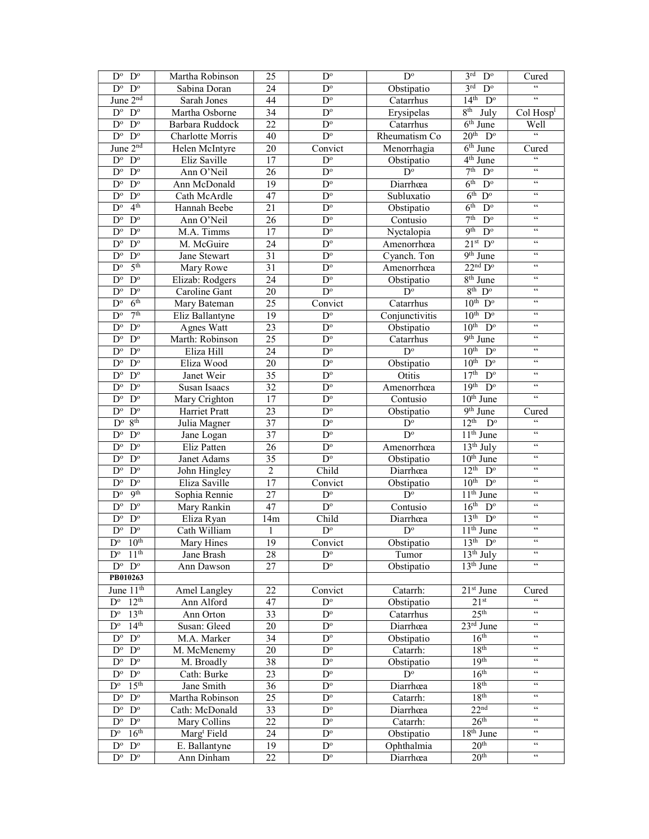| $D^{\circ}$<br>$D^{\circ}$                         | Martha Robinson<br>25   |                 | $D^{\circ}$             | $D^{\circ}$             | 3 <sup>rd</sup><br>$\mathbf{D}^{\text{o}}$  | Cured                                              |
|----------------------------------------------------|-------------------------|-----------------|-------------------------|-------------------------|---------------------------------------------|----------------------------------------------------|
| $D^{\circ}$<br>$D^{\circ}$                         | Sabina Doran            | 24              | $\overline{D^{\circ}}$  | Obstipatio              | 3 <sup>rd</sup><br>$D^{\circ}$              | $\epsilon\epsilon$                                 |
| June $2nd$                                         | Sarah Jones             | 44              | $\mathbf{D}^{\text{o}}$ | Catarrhus               | $14th$ $Do$                                 | $\mathfrak{c}\mathfrak{c}$                         |
| $\mathbf{D}^{\text{o}}$<br>$D^{\circ}$             | Martha Osborne          | 34              | $\mathbf{D}^{\text{o}}$ | Erysipelas              | 8 <sup>th</sup><br>July                     | Col Hosp <sup>1</sup>                              |
| $\mathbf{D}^{\text{o}}$<br>$D^{\circ}$             | Barbara Ruddock         | 22              | $\mathbf{D}^{\text{o}}$ | Catarrhus               | $\overline{6}$ <sup>th</sup> June           | Well                                               |
| $D^{\circ}$<br>$\mathbf{D}^{\text{o}}$             | <b>Charlotte Morris</b> | 40              | $D^{\circ}$             | Rheumatism Co           | 20 <sup>th</sup><br>$D^{\circ}$             | $\epsilon$                                         |
| June 2 <sup>nd</sup>                               | Helen McIntyre          | 20              | Convict                 | Menorrhagia             | $\overline{6}$ <sup>th</sup> June           | Cured                                              |
| $\mathbf{D}^{\text{o}}$<br>$\mathbf{D}^{\text{o}}$ | Eliz Saville            | 17              | $\mathbf{D}^{\text{o}}$ | Obstipatio              | $4th$ June                                  | $\zeta\,\zeta$                                     |
| $D^{\overline{o}}$<br>$D^{\rm o}$                  | Ann O'Neil              | 26              | $\overline{D^{\circ}}$  | $\overline{D^{\circ}}$  | 7 <sup>th</sup><br>$\overline{D^{\circ}}$   | $\mathcal{C}\mathcal{C}$                           |
| $\mathbf{D}^{\text{o}}$<br>$D^{\circ}$             | Ann McDonald            | $\overline{19}$ | $\overline{D^o}$        | Diarrhœa                | 6 <sup>th</sup><br>$D^{\circ}$              | $\zeta\,\zeta$                                     |
| $\mathbf{D}^{\text{o}}$<br>$\mathbf{D}^{\text{o}}$ | Cath McArdle            | 47              | $\overline{D^o}$        | Subluxatio              | 6 <sup>th</sup><br>$D^{\circ}$              | $\zeta \, \zeta$                                   |
| 4 <sup>th</sup><br>$D^{\circ}$                     | Hannah Beebe            | 21              | $\mathbf{D}^{\text{o}}$ | Obstipatio              | 6 <sup>th</sup><br>$\overline{D^{\circ}}$   | $\zeta\,\zeta$                                     |
| $D^{\circ}$<br>$D^{\rm o}$                         | Ann O'Neil              | 26              | $\mathbf{D}^{\text{o}}$ | Contusio                | 7 <sup>th</sup><br>$D^{\circ}$              | $\zeta\,\zeta$                                     |
| $D^{\circ}$<br>$D^{\circ}$                         | M.A. Timms              | 17              | $\mathbf{D}^{\text{o}}$ | Nyctalopia              | <b>9th</b><br>$\overline{D^{\circ}}$        | $\zeta\,\zeta$                                     |
| $D^{\circ}$<br>$D^{\circ}$                         | M. McGuire              | 24              | $\mathbf{D}^{\text{o}}$ | Amenorrhœa              | $21^{st}$ D <sup>o</sup>                    | $\zeta\,\zeta$                                     |
| $\mathbf{D}^{\text{o}}$<br>$D^{\circ}$             | Jane Stewart            | 31              | $\mathbf{D}^{\text{o}}$ | Cyanch. Ton             | 9 <sup>th</sup> June                        | $\zeta\,\zeta$                                     |
| 5 <sup>th</sup><br>$D^{\circ}$                     | Mary Rowe               | 31              | $\mathbf{D}^{\text{o}}$ | Amenorrhœa              | $22^{\text{nd}}$ $D^{\text{o}}$             | $\zeta\,\zeta$                                     |
| $D^{\circ}$<br>$\mathbf{D}^{\text{o}}$             | Elizab: Rodgers         | 24              | $\overline{D^{\circ}}$  | Obstipatio              | 8 <sup>th</sup> June                        | $\zeta\,\zeta$                                     |
| $\mathbf{D}^{\text{o}}$<br>$\mathbf{D}^{\text{o}}$ | Caroline Gant           | 20              | $\overline{D^{\circ}}$  | $D^{\circ}$             | $8th$ D <sup>o</sup>                        | $\zeta\,\zeta$                                     |
| 6 <sup>th</sup><br>$D^{\circ}$                     | Mary Bateman            | 25              | Convict                 | Catarrhus               | $10^{th}$ D <sup>o</sup>                    | $\zeta\,\zeta$                                     |
| 7 <sup>th</sup><br>$\mathbf{D}^{\text{o}}$         | Eliz Ballantyne         | 19              | $D^{\circ}$             | Conjunctivitis          | $10^{th}$ D <sup>o</sup>                    | $\zeta\,\zeta$                                     |
| $D^{\circ}$<br>$D^{\circ}$                         | Agnes Watt              | 23              | $\mathbf{D}^{\text{o}}$ | Obstipatio              | 10 <sup>th</sup><br>$\overline{D}^{\circ}$  | $\zeta\,\zeta$                                     |
| $\mathbf{D}^{\text{o}}$<br>$D^{\circ}$             | Marth: Robinson         | 25              | $\overline{D^o}$        | Catarrhus               | $9th$ June                                  | $\zeta\,\zeta$                                     |
| $\mathbf{D}^{\text{o}}$<br>$D^{\circ}$             | Eliza Hill              | 24              | $\mathbf{D}^{\text{o}}$ | $\mathbf{D}^{\text{o}}$ | 10 <sup>th</sup><br>$\mathbf{D}^{\text{o}}$ | $\zeta \, \zeta$                                   |
| $\mathbf{D}^{\text{o}}$<br>$D^{\circ}$             | Eliza Wood              | 20              | $\mathbf{D}^{\text{o}}$ |                         | $10^{th}$ D <sup>o</sup>                    | $\zeta\,\zeta$                                     |
| $D^{\rm o}$<br>$D^{\circ}$                         | Janet Weir              | 35              | $\mathbf{D}^{\text{o}}$ | Obstipatio              | 17 <sup>th</sup><br>$D^{\circ}$             | $\zeta\,\zeta$                                     |
| $\mathbf{D}^{\text{o}}$                            |                         | $\overline{32}$ | $\overline{D^o}$        | Otitis                  | $19th$ $Do$                                 | $\zeta\,\zeta$                                     |
| $D^{\circ}$                                        | Susan Isaacs            |                 |                         | Amenorrhœa              |                                             | $\zeta\,\zeta$                                     |
| $\mathbf{D}^{\text{o}}$<br>$D^{\circ}$             | Mary Crighton           | 17              | $\mathbf{D}^{\text{o}}$ | Contusio                | $10th$ June                                 |                                                    |
| $\mathbf{D}^{\text{o}}$<br>$D^{\circ}$             | Harriet Pratt           | 23              | $D^{\circ}$             | Obstipatio              | $9th$ June                                  | Cured<br>$\zeta\,\zeta$                            |
| 8 <sup>th</sup><br>$D^{\circ}$                     | Julia Magner            | 37              | $\mathbf{D}^{\text{o}}$ | $D^{\circ}$             | 12 <sup>th</sup><br>$D^{\circ}$             | $\zeta\,\zeta$                                     |
| $D^{\circ}$<br>$\mathbf{D}^{\text{o}}$             | Jane Logan              | 37              | $D^{\circ}$             | $D^{\circ}$             | $11th$ June                                 | $\zeta \, \zeta$                                   |
| $\mathbf{D}^{\text{o}}$<br>$D^{\circ}$             | Eliz Patten             | 26              | $\mathbf{D}^{\text{o}}$ | Amenorrhœa              | $13th$ July                                 | $\zeta\,\zeta$                                     |
| $\mathbf{D}^{\text{o}}$<br>$D^{\circ}$             | Janet Adams             | 35              | $\mathbf{D}^{\text{o}}$ | Obstipatio              | 10 <sup>th</sup> June                       | $\zeta\,\zeta$                                     |
| $\mathbf{D}^{\text{o}}$<br>$D^{\circ}$             | John Hingley            | $\overline{2}$  | Child                   | Diarrhœa                | 12 <sup>th</sup><br>$D^{\circ}$             | $\zeta\,\zeta$                                     |
| $\overline{D^{\circ}}$<br>$D^{\circ}$              | Eliza Saville           | $\overline{17}$ | Convict                 | Obstipatio              | $10^{th}$ D <sup>o</sup>                    | $\zeta\,\zeta$                                     |
| 9 <sup>th</sup><br>$D^{\circ}$                     | Sophia Rennie           | 27              | $D^{\circ}$             | $\overline{D^{\circ}}$  | $11th$ June                                 | $\zeta \, \zeta$                                   |
| $D^{\circ}$<br>$\mathbf{D}^{\text{o}}$             | Mary Rankin             | 47              | $\overline{D^o}$        | Contusio                | 16 <sup>th</sup><br>$\overline{D^{\circ}}$  | $\zeta \, \zeta$                                   |
| $D^{\circ}$<br>$D^{\circ}$                         | Eliza Ryan              | 14m             | Child                   | Diarrhœa                | 13 <sup>th</sup><br>$\overline{D^{\circ}}$  | $\zeta\,\zeta$                                     |
| $\mathbf{D}^{\text{o}}$<br>$D^{\circ}$             | Cath William            | 1               | $\mathbf{D}^{\text{o}}$ | $D^{\circ}$             | 11 <sup>th</sup> June                       | $\zeta\,\zeta$                                     |
| 10 <sup>th</sup><br>$D^{\circ}$                    | Mary Hines              | $\overline{19}$ | Convict                 | Obstipatio              | $13th$ D <sup>o</sup>                       |                                                    |
| $D^{\circ}$ 11 <sup>th</sup>                       | Jane Brash              | 28              | $\mathbf{D}^{\text{o}}$ | Tumor                   | 13 <sup>th</sup> July                       | $\zeta\,\zeta$                                     |
| $D^{\circ}$ $D^{\circ}$                            | Ann Dawson              | 27              | $D^{\circ}$             | Obstipatio              | 13 <sup>th</sup> June                       | $\zeta \, \zeta$                                   |
| PB010263                                           |                         |                 |                         |                         |                                             |                                                    |
| June $11th$                                        | Amel Langley            | 22              | Convict                 | Catarrh:                | $21st$ June                                 | Cured                                              |
| $D^{\circ}$ 12 <sup>th</sup>                       | Ann Alford              | 47              | $\mathbf{D}^{\text{o}}$ | Obstipatio              | 21 <sup>st</sup>                            | $\zeta\,\zeta$                                     |
| 13 <sup>th</sup><br>$D^{\circ}$                    | Ann Orton               | 33              | $D^{\circ}$             | Catarrhus               | 25 <sup>th</sup>                            | $\mathfrak{c}\,\mathfrak{c}$                       |
| 14 <sup>th</sup><br>$D^{\circ}$                    | Susan: Gleed            | 20              | $D^{\circ}$             | Diarrhœa                | $23^{rd}$ June                              | $\zeta\,\zeta$                                     |
| $D^{\circ}$ $D^{\circ}$                            | M.A. Marker             | 34              | $D^{\circ}$             | Obstipatio              | 16 <sup>th</sup>                            | $\zeta\,\zeta$                                     |
| $D^{\circ}$<br>$\mathbf{D}^{\text{o}}$             | M. McMenemy             | 20              | $\mathbf{D}^{\text{o}}$ | Catarrh:                | 18 <sup>th</sup>                            | $\zeta\,\zeta$                                     |
| $D^o$ $D^o$                                        | M. Broadly              | 38              | $D^{\rm o}$             | Obstipatio              | 19 <sup>th</sup>                            | $\mathcal{C}\mathcal{C}$                           |
| $D^{\circ}$<br>$D^{\circ}$                         | Cath: Burke             | 23              | $D^{\circ}$             | $\mathbf{D}^{\text{o}}$ | 16 <sup>th</sup>                            | $\mathcal{C}\mathcal{C}$                           |
| 15 <sup>th</sup><br>$D^{\circ}$                    | Jane Smith              | 36              | $\mathbf{D}^{\text{o}}$ | Diarrhœa                | 18 <sup>th</sup>                            | $\zeta\,\zeta$                                     |
| $D^{\circ}$<br>$D^{\circ}$                         | Martha Robinson         | 25              | $D^{\circ}$             | Catarrh:                | 18 <sup>th</sup>                            | $\zeta\,\zeta$                                     |
| $D^{\circ}$<br>$D^{\circ}$                         | Cath: McDonald          | 33              | $\mathbf{D}^{\text{o}}$ | Diarrhœa                | 22 <sup>nd</sup>                            | $\boldsymbol{\varsigma} \, \boldsymbol{\varsigma}$ |
| $D^{\circ}$<br>$D^{\circ}$                         | Mary Collins            | 22              | $D^{\circ}$             | Catarrh:                | 26 <sup>th</sup>                            | $\zeta\,\zeta$                                     |
| 16 <sup>th</sup><br>$D^{\circ}$                    | Marg <sup>t</sup> Field | 24              | $\mathbf{D}^{\text{o}}$ | Obstipatio              | 18 <sup>th</sup> June                       | $\zeta\,\zeta$                                     |
| $\mathbf{D}^{\text{o}}$<br>$D^{\circ}$             | E. Ballantyne           | 19              | $\mathbf{D}^{\text{o}}$ | Ophthalmia              | 20 <sup>th</sup>                            | $\zeta\,\zeta$                                     |
| $D^{\rm o}$ $D^{\rm o}$                            | Ann Dinham              | 22              | $D^{\circ}$             | Diarrhœa                | 20 <sup>th</sup>                            | $\zeta\,\zeta$                                     |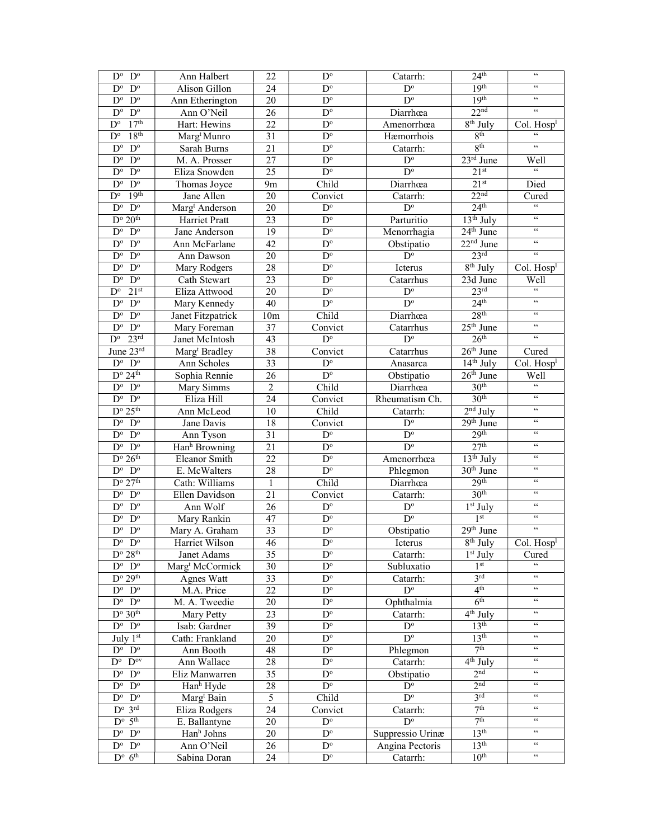| $D^{\circ}$<br>$D^{\circ}$                         | Ann Halbert                 | 22              | $D^{\circ}$                | Catarrh:                            | 24 <sup>th</sup>                  | $\zeta\,\zeta$                                    |
|----------------------------------------------------|-----------------------------|-----------------|----------------------------|-------------------------------------|-----------------------------------|---------------------------------------------------|
| $D^{\circ}$<br>$D^{\circ}$                         | Alison Gillon               | 24              | $\overline{D^{\circ}}$     | $D^{\circ}$                         | 19 <sup>th</sup>                  | $\zeta\,\zeta$                                    |
| $\mathbf{D}^{\text{o}}$<br>$D^{\circ}$             | Ann Etherington             | $\overline{20}$ | $D^{\circ}$                | $\overline{D^{\circ}}$              | 19 <sup>th</sup>                  | $\zeta$ $\zeta$                                   |
| $\mathbf{D}^{\text{o}}$<br>$D^{\circ}$             | Ann O'Neil                  | 26              | $D^{\circ}$                | Diarrhœa                            | 22 <sup>nd</sup>                  | $\zeta\,\zeta$                                    |
| 17 <sup>th</sup><br>$D^{\circ}$                    | Hart: Hewins                | 22              | $\mathbf{D}^{\text{o}}$    | Amenorrhœa                          | $8th$ July                        | $Col.$ Hosp <sup>1</sup>                          |
| 18 <sup>th</sup><br>$D^{\circ}$                    | Marg <sup>t</sup> Munro     | 31              | $\mathbf{D}^{\text{o}}$    | Hæmorrhois                          | 8 <sup>th</sup>                   | $\zeta\,\zeta$                                    |
| $D^{\circ}$<br>$D^{\circ}$                         | Sarah Burns                 | 21              | $\overline{D^o}$           | Catarrh:                            | 8 <sup>th</sup>                   | $\zeta\,\zeta$                                    |
| $D^{\circ}$<br>$D^{\circ}$                         | M. A. Prosser               | 27              | $\mathbf{D}^{\text{o}}$    | $D^{\circ}$                         | $23rd$ June                       | Well                                              |
| $D^{\circ}$<br>$\mathbf{D}^{\text{o}}$             | Eliza Snowden               | 25              | $D^{\circ}$                | $\overline{D^{\circ}}$              | 21 <sup>st</sup>                  | $\epsilon$                                        |
| $D^{\circ}$<br>$D^{\circ}$                         | Thomas Joyce                | 9m              | Child                      | Diarrhœa                            | 21 <sup>st</sup>                  | Died                                              |
| 19 <sup>th</sup><br>$D^{\circ}$                    | Jane Allen                  | 20              | Convict                    | Catarrh:                            | 22 <sup>nd</sup>                  | Cured                                             |
| $\mathbf{D}^{\text{o}}$<br>$\mathbf{D}^{\text{o}}$ | Marg <sup>t</sup> Anderson  | 20              | $\overline{D^{\circ}}$     | $\overline{D^{\circ}}$              | 24 <sup>th</sup>                  | $\overline{\mathfrak{c}}$                         |
| $D^{\circ}$ 20 <sup>th</sup>                       | Harriet Pratt               | 23              | $\overline{D^{\circ}}$     | Parturitio                          | $13th$ July                       | $\zeta\,\zeta$                                    |
| $\mathbf{D}^{\text{o}}$<br>$D^{\circ}$             | Jane Anderson               | 19              | $D^{\circ}$                | Menorrhagia                         | $24th$ June                       | $\epsilon\,\epsilon$                              |
| $D^{\circ}$<br>$D^{\circ}$                         | Ann McFarlane               | 42              | $\mathbf{D}^{\text{o}}$    | Obstipatio                          | $22nd$ June                       | $\zeta\,\zeta$                                    |
| $D^{\circ}$<br>$D^{\circ}$                         | Ann Dawson                  | 20              | $\mathbf{D}^{\text{o}}$    | $D^{\circ}$                         | 23 <sup>rd</sup>                  | $\zeta\,\zeta$                                    |
| $\mathbf{D}^{\text{o}}$<br>$D^{\circ}$             | Mary Rodgers                | 28              | $\mathbf{D}^{\text{o}}$    | Icterus                             | $8th$ July                        | Col. Hospl                                        |
| $\mathbf{D}^{\text{o}}$<br>$D^{\circ}$             | Cath Stewart                | 23              | $\mathbf{D}^{\text{o}}$    | Catarrhus                           | 23d June                          | Well                                              |
| $21^{st}$<br>$D^{\circ}$                           |                             | 20              | $\overline{D^{\circ}}$     | $D^{\circ}$                         | 23 <sup>rd</sup>                  | $\overline{\mathcal{C}}$                          |
|                                                    | Eliza Attwood               |                 | $\overline{D^{\circ}}$     | $\overline{D^{\circ}}$              | 24 <sup>th</sup>                  | $\zeta\,\zeta$                                    |
| $\mathbf{D}^{\text{o}}$<br>$D^{\circ}$             | Mary Kennedy                | 40              |                            |                                     | 28 <sup>th</sup>                  | $\zeta\,\zeta$                                    |
| $\mathbf{D}^{\text{o}}$<br>$\mathbf{D}^{\text{o}}$ | Janet Fitzpatrick           | 10m             | Child                      | Diarrhœa                            |                                   | $\zeta\,\zeta$                                    |
| $\mathbf{D}^{\text{o}}$<br>$D^{\circ}$             | Mary Foreman                | 37              | Convict                    | Catarrhus                           | $25th$ June                       | $\overline{\mathfrak{c}}$                         |
| 23 <sup>rd</sup><br>$D^{\circ}$                    | Janet McIntosh              | 43              | $D^{\circ}$                | $D^{\circ}$                         | 26 <sup>th</sup>                  |                                                   |
| June $23rd$                                        | Marg <sup>t</sup> Bradley   | 38              | Convict                    | Catarrhus                           | $26th$ June                       | Cured                                             |
| $\mathbf{D}^{\text{o}}$<br>$\mathbf{D}^{\text{o}}$ | Ann Scholes                 | 33              | $\mathbf{D}^{\text{o}}$    | Anasarca                            | $14th$ July                       | Col. Hospl                                        |
| $D^{\circ} 24^{\text{th}}$                         | Sophia Rennie               | 26              | $\overline{D^o}$           | Obstipatio                          | $26th$ June                       | Well                                              |
| $D^{\rm o}$ $D^{\rm o}$                            | Mary Simms                  | $\overline{2}$  | Child                      | Diarrhœa                            | 30 <sup>th</sup>                  | $\overline{\mathfrak{c}}$                         |
| $D^{\rm o}$ $D^{\rm o}$                            | Eliza Hill                  | $\overline{24}$ | Convict                    | Rheumatism Ch.                      | 30 <sup>th</sup>                  | $\zeta$ $\zeta$                                   |
| $D^{\circ} 25^{\text{th}}$                         | Ann McLeod                  | 10              | Child                      | Catarrh:                            | $2nd$ July                        | $\zeta \, \zeta$                                  |
|                                                    |                             |                 |                            |                                     |                                   |                                                   |
| $D^{\rm o}$ $D^{\rm o}$                            | Jane Davis                  | 18              | Convict                    | $D^{\circ}$                         | $29th$ June                       | $\zeta \, \zeta$                                  |
| $\mathbf{D}^{\text{o}}$<br>$\mathbf{D}^{\text{o}}$ | Ann Tyson                   | 31              | $\mathbf{D}^{\text{o}}$    | $\mathbf{D}^{\text{o}}$             | 29 <sup>th</sup>                  | $\zeta\,\zeta$                                    |
| $\mathbf{D}^{\text{o}}$<br>$D^{\circ}$             | Hanh Browning               | 21              | $\mathbf{D}^{\text{o}}$    | $\overline{D^{\circ}}$              | 27 <sup>th</sup>                  | $\zeta\,\zeta$                                    |
| $D^{\circ} 26^{\text{th}}$                         | Eleanor Smith               | 22              | $\mathbf{D}^{\text{o}}$    | Amenorrhœa                          | $13th$ July                       | $\zeta\,\zeta$                                    |
| $D^o$ $D^o$                                        | E. McWalters                | 28              | $D^{\circ}$                | Phlegmon                            | $30th$ June                       | $\zeta\,\zeta$                                    |
| $D^{\circ}$ 27 <sup>th</sup>                       | Cath: Williams              | $\mathbf{1}$    | Child                      | Diarrhœa                            | 29 <sup>th</sup>                  | $\zeta \, \zeta$                                  |
| $\overline{D^{\circ}}$<br>$D^{\circ}$              | Ellen Davidson              | 21              | Convict                    | Catarrh:                            | 30 <sup>th</sup>                  | $\zeta\,\zeta$                                    |
| $\mathbf{D}^{\text{o}}$<br>$D^{\circ}$             | Ann Wolf                    | 26              | $\overline{D^{\circ}}$     | $D^{\circ}$                         | $1st$ July                        | $\zeta \, \zeta$                                  |
| $\mathbf{D}^{\text{o}}$<br>$D^{\circ}$             | Mary Rankin                 | 47              | $\overline{D^o}$           | $\overline{D^o}$                    | 1 <sup>st</sup>                   | $\zeta\,\zeta$                                    |
| $D^{\circ}$<br>$\mathbf{D}^{\text{o}}$             | Mary A. Graham              | 33              | $\mathbf{D}^{\text{o}}$    | Obstipatio                          | $29th$ June                       | $\overline{\mathfrak{c}}$                         |
| $D^{\circ}$<br>$\mathbf{D}^{\text{o}}$             | Harriet Wilson              | 46              | $\mathbf{D}^{\text{o}}$    | Icterus                             | $8th$ July                        | Col. Hosp <sup>1</sup>                            |
| $D^{\rm o}$ 28 <sup>th</sup>                       | Janet Adams                 | 35              | $D^{\circ}$                | Catarrh:                            | $1st$ July                        | Cured                                             |
| $D^{\rm o}$ $D^{\rm o}$                            |                             |                 | $D^{\circ}$                | Subluxatio                          | 1 <sup>st</sup>                   | $\boldsymbol{\varsigma}$ $\boldsymbol{\varsigma}$ |
| $D^{\circ} 29^{\text{th}}$                         | Marg <sup>t</sup> McCormick | 30              | $D^{\circ}$                |                                     | 3 <sup>rd</sup>                   | $\zeta\,\zeta$                                    |
| $D^{\circ}$ $D^{\circ}$                            | Agnes Watt                  | 33<br>22        | $D^{\circ}$                | Catarrh:<br>$\mathbf{D}^{\text{o}}$ | 4 <sup>th</sup>                   | $\zeta\,\zeta$                                    |
|                                                    | M.A. Price                  |                 |                            |                                     |                                   | $\epsilon\epsilon$                                |
| $D^{\circ}$ $D^{\circ}$                            | M. A. Tweedie               | 20              | $\mathbf{D}^{\text{o}}$    | Ophthalmia                          | 6 <sup>th</sup>                   | $\zeta\,\zeta$                                    |
| $D^{\circ} 30^{\text{th}}$                         | Mary Petty                  | 23              | $\mathbf{D}^{\text{o}}$    | Catarrh:                            | $\overline{4^{th}}$ July          | $\epsilon\epsilon$                                |
| $D^{\circ}$ $D^{\circ}$                            | Isab: Gardner               | 39              | $D^{\circ}$                | $D^{\circ}$                         | 13 <sup>th</sup>                  | $\zeta\,\zeta$                                    |
| July $1st$                                         | Cath: Frankland             | 20              | $D^{\circ}$                | $D^{\circ}$                         | 13 <sup>th</sup>                  | $\epsilon\epsilon$                                |
| $D^{\rm o}$ $D^{\rm o}$                            | Ann Booth                   | 48              | $\mathbf{D}^{\text{o}}$    | Phlegmon                            | 7 <sup>th</sup>                   | $\epsilon\epsilon$                                |
| $D^o$ $D^{ov}$                                     | Ann Wallace                 | 28              | $D^{\rm o}$                | Catarrh:                            | $4th$ July                        | $\epsilon\epsilon$                                |
| $D^{\circ}$ $D^{\circ}$                            | Eliz Manwarren              | 35              | $D^{\rm o}$                | Obstipatio                          | 2 <sup>nd</sup>                   | $\epsilon\epsilon$                                |
| $D^{\circ}$ $D^{\circ}$                            | Hanh Hyde                   | 28              | $D^{\circ}$                | $\mathbf{D}^{\text{o}}$             | 2 <sub>nd</sub>                   | $\epsilon\epsilon$                                |
| $D^o$ $D^o$                                        | Marg <sup>t</sup> Bain      | 5               | Child                      | $D^{\circ}$                         | 3 <sup>rd</sup>                   |                                                   |
| $D^{\rm o}$ 3rd                                    | Eliza Rodgers               | 24              | Convict                    | Catarrh:                            | 7 <sup>th</sup>                   | $\epsilon\epsilon$                                |
| $D^{\rm o}$ 5 <sup>th</sup>                        | E. Ballantyne               | $20\,$          | $\mathbf{D}^{\text{o}}$    | $D^{\circ}$                         | 7 <sup>th</sup>                   | $\epsilon\epsilon$                                |
| $\rm D^o$<br>$D^{\circ}$                           | Hanh Johns                  | 20              | $D^{\circ}$                | Suppressio Urinæ                    | 13 <sup>th</sup>                  | $\zeta\,\zeta$                                    |
| $D^o$ $D^o$<br>$D^{\circ}$ $\overline{6^{th}}$     | Ann O'Neil<br>Sabina Doran  | 26<br>24        | $D^{\circ}$<br>$D^{\circ}$ | Angina Pectoris<br>Catarrh:         | 13 <sup>th</sup><br>$10^{\rm th}$ | $\mathsf{G}\mathsf{G}$<br>$\zeta\,\zeta$          |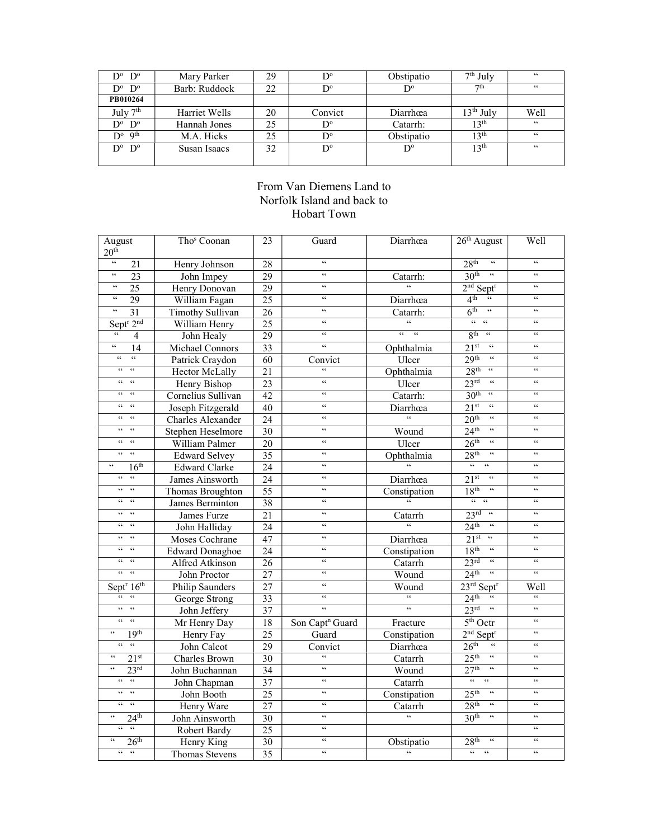| $D^{\circ}$ $D^{\circ}$              | Mary Parker   | 29 |                      | Obstipatio  | $7th$ July       | 66   |
|--------------------------------------|---------------|----|----------------------|-------------|------------------|------|
| $D^{\circ}$ $D^{\circ}$              | Barb: Ruddock | 22 | $\mathbf{D}^{\circ}$ | D°          | 7 <sup>th</sup>  | 66   |
| PB010264                             |               |    |                      |             |                  |      |
| July $7th$                           | Harriet Wells | 20 | Convict              | Diarrhœa    | $13th$ July      | Well |
| $D^{\circ}$ $D^{\circ}$              | Hannah Jones  | 25 | $\mathbf{D}^{\circ}$ | Catarrh:    | 13 <sup>th</sup> | 66   |
| $\mathbf{D}^{\circ}$ 9 <sup>th</sup> | M.A. Hicks    | 25 | $D^{\circ}$          | Obstipatio  | 13 <sup>th</sup> | 66   |
| $D^{\circ}$ $D^{\circ}$              | Susan Isaacs  | 32 | $D^{\circ}$          | $D^{\circ}$ | 13 <sup>th</sup> | 66   |
|                                      |               |    |                      |             |                  |      |

## From Van Diemens Land to Norfolk Island and back to Hobart Town

| August<br>20 <sup>th</sup>                 | Tho <sup>s</sup> Coonan | 23              | Guard                       | Diarrhœa                   | $26th$ August                                                       | Well                                  |
|--------------------------------------------|-------------------------|-----------------|-----------------------------|----------------------------|---------------------------------------------------------------------|---------------------------------------|
| $\overline{\mathfrak{c}}$<br>21            | Henry Johnson           | $\overline{28}$ | $\epsilon$                  |                            | 28 <sup>th</sup><br>$\overline{\mathfrak{c}}$                       | $\epsilon$                            |
| $\zeta\zeta$<br>$\overline{23}$            | John Impey              | 29              | $\zeta\zeta$                | Catarrh:                   | 30 <sup>th</sup><br>$\overline{\mathfrak{c}}$                       | $\epsilon$                            |
| $\zeta\,\zeta$<br>$\overline{25}$          | Henry Donovan           | $\overline{29}$ | $\zeta\,\zeta$              | $\epsilon$                 | $2nd$ Sept <sup>r</sup>                                             | $\zeta\,\zeta$                        |
| $\zeta\,\zeta$<br>$\overline{29}$          | William Fagan           | $\overline{25}$ | $\zeta\zeta$                | Diarrhœa                   | 4 <sup>th</sup><br>$\zeta\,\zeta$                                   | $\epsilon$                            |
| $\zeta\,\zeta$<br>$\overline{31}$          | <b>Timothy Sullivan</b> | 26              | $\leq$                      | Catarrh:                   | 6 <sup>th</sup><br>$\zeta\,\zeta$                                   | $\zeta\,\zeta$                        |
| Sept <sup>r</sup> 2 <sup>nd</sup>          | William Henry           | $\overline{25}$ | $\zeta\,\zeta$              | $\mathcal{C}$              | 66<br>$\mathcal{C}$                                                 | $\zeta\,\zeta$                        |
| $\zeta\,\zeta$<br>4                        | John Healy              | 29              | $\zeta\,\zeta$              | $66 -$<br>66               | 8 <sup>th</sup><br>$\zeta\,\zeta$                                   | $\zeta\,\zeta$                        |
| $\zeta \, \zeta$<br>$\overline{14}$        | Michael Connors         | $\overline{33}$ | $\zeta\,\zeta$              | Ophthalmia                 | $\zeta \, \zeta$<br>21 <sup>st</sup>                                | $\zeta\,\zeta$                        |
| $\zeta\,\zeta$<br>$\zeta\,\zeta$           | Patrick Craydon         | 60              | Convict                     | Ulcer                      | 29 <sup>th</sup><br>$\zeta\,\zeta$                                  | $\zeta\,\zeta$                        |
| $\zeta\,\zeta$<br>$\zeta\,\zeta$           | Hector McLally          | 21              | $\epsilon$                  | Ophthalmia                 | 28 <sup>th</sup><br>$\zeta\,\zeta$                                  | $\zeta\,\zeta$                        |
| $\zeta\,\zeta$<br>$\epsilon\epsilon$       | Henry Bishop            | 23              | $\zeta\,\zeta$              | Ulcer                      | $23^{\text{rd}}$<br>$\zeta\,\zeta$                                  | $\zeta\,\zeta$                        |
| $\zeta\,\zeta$<br>$\leq$ $\leq$            | Cornelius Sullivan      | 42              | $\zeta\,\zeta$              | Catarrh:                   | 30 <sup>th</sup><br>$\zeta\,\zeta$                                  | $\zeta\,\zeta$                        |
| $\zeta \, \zeta$<br>$\zeta\,\zeta$         | Joseph Fitzgerald       | $\overline{40}$ | $\zeta\,\zeta$              | Diarrhœa                   | $\zeta\zeta$<br>21 <sup>st</sup>                                    | $\epsilon$                            |
| $\epsilon$<br>$\epsilon$                   | Charles Alexander       | 24              | $\zeta\,\zeta$              | $\zeta\,\zeta$             | 20 <sup>th</sup><br>$\boldsymbol{\varsigma} \boldsymbol{\varsigma}$ | $\zeta \, \zeta$                      |
| $\epsilon$<br>$\epsilon$                   | Stephen Heselmore       | $\overline{30}$ | $\epsilon$                  | Wound                      | 24 <sup>th</sup><br>$\epsilon$                                      | $\epsilon$                            |
| $\zeta\,\zeta$<br>$\zeta\,\zeta$           | William Palmer          | $\overline{20}$ | $\zeta\,\zeta$              | Ulcer                      | 26 <sup>th</sup><br>$\mathcal{C}$                                   | $\zeta\,\zeta$                        |
| $\zeta\,\zeta$<br>$\epsilon\epsilon$       | <b>Edward Selvey</b>    | $\overline{35}$ | $\zeta\,\zeta$              | Ophthalmia                 | 28 <sup>th</sup><br>$\zeta\,\zeta$                                  | $\zeta\,\zeta$                        |
| 16 <sup>th</sup><br>$\zeta\,\zeta$         | <b>Edward Clarke</b>    | $\overline{24}$ | $\zeta\zeta$                | $\overline{66}$            | $\overline{66}$<br>$\mathfrak{c}\mathfrak{c}$                       | $\leq$                                |
| $\epsilon\,\epsilon$<br>$\zeta\,\zeta$     | James Ainsworth         | 24              | $\zeta\,\zeta$              | Diarrhœa                   | $\zeta\,\zeta$<br>21 <sup>st</sup>                                  | $\zeta\,\zeta$                        |
| $\zeta\,\zeta$<br>$\zeta\,\zeta$           | <b>Thomas Broughton</b> | $\overline{55}$ | $\zeta\,\zeta$              | Constipation               | $\zeta\zeta$<br>18 <sup>th</sup>                                    | $\zeta\,\zeta$                        |
| $\epsilon$ $\epsilon$<br>$\zeta\,\zeta$    | James Berminton         | 38              | $\zeta\,\zeta$              | $\zeta\zeta$               | $66-66$                                                             | $\zeta\,\zeta$                        |
| $\zeta\,\zeta$<br>$\epsilon\epsilon$       | James Furze             | 21              | $\zeta\,\zeta$              | Catarrh                    | 23 <sup>rd</sup><br>$\epsilon\epsilon$                              | $\zeta\,\zeta$                        |
| $\zeta\,\zeta$<br>$\epsilon\epsilon$       | John Halliday           | 24              | $\zeta\,\zeta$              | $\overline{\omega}$        | 24 <sup>th</sup><br>$\zeta\,\zeta$                                  | $\zeta\,\zeta$                        |
| $\boldsymbol{\varsigma}$<br>$\zeta\,\zeta$ | Moses Cochrane          | 47              | $\zeta\,\zeta$              | Diarrhœa                   | $\overline{\mathfrak{c}\mathfrak{c}}$<br>21 <sup>st</sup>           | $\boldsymbol{\varsigma}$              |
| $\zeta\,\zeta$<br>$\epsilon$               | <b>Edward Donaghoe</b>  | 24              | $\zeta\,\zeta$              | Constipation               | 18 <sup>th</sup><br>$\zeta\,\zeta$                                  | $\zeta\,\zeta$                        |
| $\zeta\,\zeta$<br>$\zeta\,\zeta$           | Alfred Atkinson         | $\overline{26}$ | $\zeta\,\zeta$              | Catarrh                    | $\epsilon\epsilon$<br>$23^{\text{rd}}$                              | $\zeta \, \zeta$                      |
| $\epsilon$<br>$\epsilon$                   | John Proctor            | $\overline{27}$ | $\zeta\,\zeta$              | Wound                      | 24 <sup>th</sup><br>$\overline{\mathfrak{c}}$                       | $\epsilon\epsilon$                    |
| Sept $\sqrt{16^{th}}$                      | Philip Saunders         | $\overline{27}$ | $\zeta\zeta$                | Wound                      | $23^{\text{rd}}$ Sept <sup>r</sup>                                  | Well                                  |
| $\epsilon$<br>$\epsilon$                   | George Strong           | 33              | $\zeta\,\zeta$              | $\zeta\zeta$               | 24 <sup>th</sup>                                                    | $\zeta\,\zeta$                        |
| $\zeta\,\zeta$<br>$\zeta\,\zeta$           | John Jeffery            | $\overline{37}$ | $\zeta\zeta$                | $\mathfrak{c}\mathfrak{c}$ | 23 <sup>rd</sup><br>$\overline{\mathfrak{c}}$                       | $\overline{\mathfrak{c}\mathfrak{c}}$ |
| $\epsilon\,\epsilon$<br>$\epsilon\epsilon$ | Mr Henry Day            | $\overline{18}$ | Son Capt <sup>n</sup> Guard | Fracture                   | $5th$ Octr                                                          | $\zeta\,\zeta$                        |
| $\zeta\,\zeta$<br>19 <sup>th</sup>         | Henry Fay               | $\overline{25}$ | Guard                       | Constipation               | $2nd$ Sept <sup>r</sup>                                             | $\zeta\,\zeta$                        |
| $66 - 66$                                  | John Calcot             | 29              | Convict                     | Diarrhœa                   | $\zeta\,\zeta$<br>26 <sup>th</sup>                                  | $\zeta\,\zeta$                        |
| $\zeta$ $\zeta$<br>21 <sup>st</sup>        | Charles Brown           | 30              | $\zeta\,\zeta$              | Catarrh                    | 25 <sup>th</sup><br>$\zeta\,\zeta$                                  | $\zeta\,\zeta$                        |
| $\zeta\,\zeta$<br>23 <sup>rd</sup>         | John Buchannan          | 34              | $\zeta\zeta$                | Wound                      | 27 <sup>th</sup><br>$\zeta\zeta$                                    | $\zeta\,\zeta$                        |
| $\epsilon$<br>$\epsilon\epsilon$           | John Chapman            | 37              | $\zeta\,\zeta$              | Catarrh                    | $\epsilon\epsilon$<br>$\epsilon\epsilon$                            | $\leq$                                |
| $\epsilon$<br>$\epsilon\,\epsilon$         | John Booth              | 25              | $\zeta\,\zeta$              | Constipation               | 25 <sup>th</sup><br>$\zeta\,\zeta$                                  | $\zeta\,\zeta$                        |
| $\epsilon\epsilon$<br>$\zeta\,\zeta$       | Henry Ware              | $\overline{27}$ | $\epsilon$                  | Catarrh                    | 28 <sup>th</sup><br>$\zeta\,\zeta$                                  | $\zeta\,\zeta$                        |
| $\zeta \, \zeta$<br>24 <sup>th</sup>       | John Ainsworth          | $\overline{30}$ | $\epsilon$                  | $\epsilon$                 | $\overline{\mathfrak{c}}$<br>30 <sup>th</sup>                       | $\epsilon$                            |
| $\zeta\zeta$<br>$\epsilon$                 | Robert Bardy            | $\overline{25}$ | $\zeta\,\zeta$              |                            |                                                                     | $\zeta\,\zeta$                        |
| 26 <sup>th</sup>                           | Henry King              | $\overline{30}$ | $\zeta\,\zeta$              | Obstipatio                 | 28 <sup>th</sup><br>$\zeta\,\zeta$                                  | $\zeta\,\zeta$                        |
| $66 - 66$                                  | Thomas Stevens          | $\overline{35}$ | $\zeta\,\zeta$              | $\epsilon\epsilon$         | $\epsilon$<br>$\epsilon$                                            | $\epsilon$                            |
|                                            |                         |                 |                             |                            |                                                                     |                                       |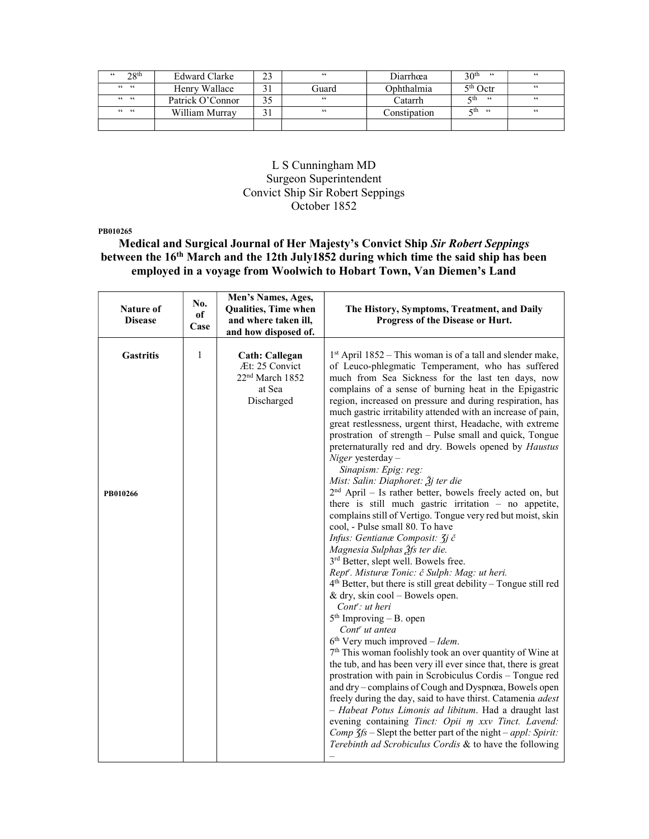| 28 <sup>th</sup><br>66 | Edward Clarke    | 66    | Diarrhœa     | 30 <sup>th</sup><br>66 | 66 |
|------------------------|------------------|-------|--------------|------------------------|----|
| $66 - 66$              | Henry Wallace    | Guard | Ophthalmia   | 5 <sup>th</sup> Octr   | 66 |
| $66 - 66$              | Patrick O'Connor | 66    | Catarrh      | 5th<br>66              | 66 |
| $66 - 66$              | William Murray   | 66    | Constipation | ςth⊣<br>- 66           | 66 |
|                        |                  |       |              |                        |    |

### L S Cunningham MD Surgeon Superintendent Convict Ship Sir Robert Seppings October 1852

PB010265

Medical and Surgical Journal of Her Majesty's Convict Ship Sir Robert Seppings between the 16th March and the 12th July1852 during which time the said ship has been employed in a voyage from Woolwich to Hobart Town, Van Diemen's Land

| Nature of<br><b>Disease</b>  | No.<br>of<br>Case | Men's Names, Ages,<br>Qualities, Time when<br>and where taken ill,<br>and how disposed of.     | The History, Symptoms, Treatment, and Daily<br>Progress of the Disease or Hurt.                                                                                                                                                                                                                                                                                                                                                                                                                                                                                                                                                                                                                                                                                                                                                                                                                                                                                                                                                                                                                                                                                                                                                                                                                                                                                                                                                                                                                                                                                                                                                                                                                                                                                                                                                                                                  |
|------------------------------|-------------------|------------------------------------------------------------------------------------------------|----------------------------------------------------------------------------------------------------------------------------------------------------------------------------------------------------------------------------------------------------------------------------------------------------------------------------------------------------------------------------------------------------------------------------------------------------------------------------------------------------------------------------------------------------------------------------------------------------------------------------------------------------------------------------------------------------------------------------------------------------------------------------------------------------------------------------------------------------------------------------------------------------------------------------------------------------------------------------------------------------------------------------------------------------------------------------------------------------------------------------------------------------------------------------------------------------------------------------------------------------------------------------------------------------------------------------------------------------------------------------------------------------------------------------------------------------------------------------------------------------------------------------------------------------------------------------------------------------------------------------------------------------------------------------------------------------------------------------------------------------------------------------------------------------------------------------------------------------------------------------------|
| <b>Gastritis</b><br>PB010266 | 1                 | <b>Cath: Callegan</b><br>Æt: 25 Convict<br>22 <sup>nd</sup> March 1852<br>at Sea<br>Discharged | $1st$ April 1852 – This woman is of a tall and slender make,<br>of Leuco-phlegmatic Temperament, who has suffered<br>much from Sea Sickness for the last ten days, now<br>complains of a sense of burning heat in the Epigastric<br>region, increased on pressure and during respiration, has<br>much gastric irritability attended with an increase of pain,<br>great restlessness, urgent thirst, Headache, with extreme<br>prostration of strength - Pulse small and quick, Tongue<br>preternaturally red and dry. Bowels opened by <i>Haustus</i><br>Niger yesterday -<br>Sinapism: Epig: reg:<br>Mist: Salin: Diaphoret: $\tilde{\beta}$ j ter die<br>$2nd$ April – Is rather better, bowels freely acted on, but<br>there is still much gastric irritation $-$ no appetite,<br>complains still of Vertigo. Tongue very red but moist, skin<br>cool, - Pulse small 80. To have<br>Infus: Gentianæ Composit: 3j č<br>Magnesia Sulphas 3fs ter die.<br>3 <sup>rd</sup> Better, slept well. Bowels free.<br>Rept'. Misturæ Tonic: č Sulph: Mag: ut heri.<br>$4th$ Better, but there is still great debility – Tongue still red<br>& dry, skin $\text{cool}$ – Bowels open.<br>$Cont:$ ut heri<br>$5th$ Improving - B. open<br>Cont <sup>r</sup> ut antea<br>$6th$ Very much improved – Idem.<br>7 <sup>th</sup> This woman foolishly took an over quantity of Wine at<br>the tub, and has been very ill ever since that, there is great<br>prostration with pain in Scrobiculus Cordis - Tongue red<br>and dry - complains of Cough and Dyspnœa, Bowels open<br>freely during the day, said to have thirst. Catamenia adest<br>- Habeat Potus Limonis ad libitum. Had a draught last<br>evening containing Tinct: Opii m xxv Tinct. Lavend:<br>Comp $\zeta$ fs – Slept the better part of the night – appl: Spirit:<br>Terebinth ad Scrobiculus Cordis & to have the following |
|                              |                   |                                                                                                |                                                                                                                                                                                                                                                                                                                                                                                                                                                                                                                                                                                                                                                                                                                                                                                                                                                                                                                                                                                                                                                                                                                                                                                                                                                                                                                                                                                                                                                                                                                                                                                                                                                                                                                                                                                                                                                                                  |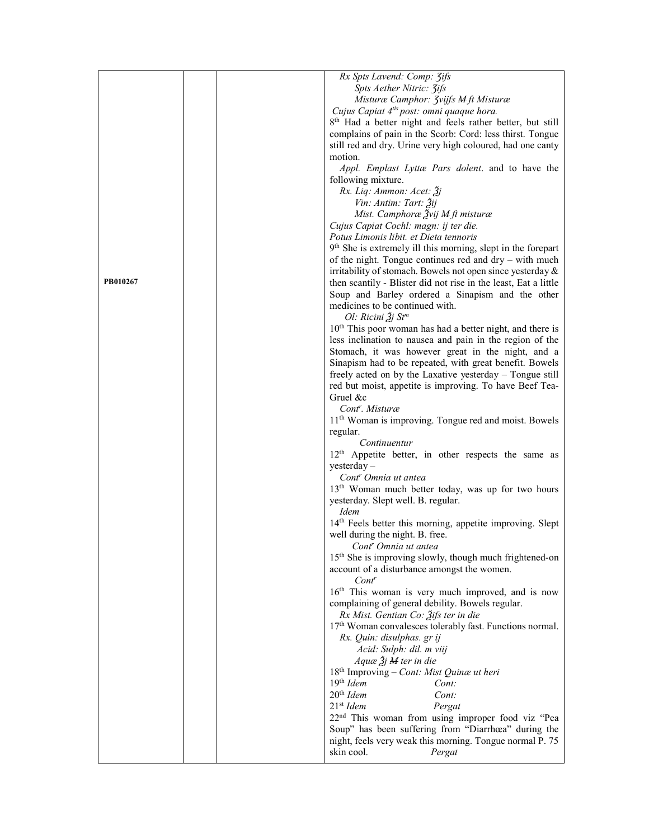|          |  | Rx Spts Lavend: Comp: 3ifs                                               |
|----------|--|--------------------------------------------------------------------------|
|          |  | Spts Aether Nitric: 3ifs                                                 |
|          |  | Misturæ Camphor: <i>Jvijfs M ft Misturæ</i>                              |
|          |  | Cujus Capiat 4 <sup>tis</sup> post: omni quaque hora.                    |
|          |  | 8 <sup>th</sup> Had a better night and feels rather better, but still    |
|          |  | complains of pain in the Scorb: Cord: less thirst. Tongue                |
|          |  | still red and dry. Urine very high coloured, had one canty               |
|          |  | motion.                                                                  |
|          |  | Appl. Emplast Lyttæ Pars dolent. and to have the                         |
|          |  | following mixture.                                                       |
|          |  | Rx. Liq: Ammon: Acet: 3j                                                 |
|          |  | Vin: Antim: Tart: Žij                                                    |
|          |  | Mist. Camphoræ Žvij <del>M</del> ft misturæ                              |
|          |  | Cujus Capiat Cochl: magn: ij ter die.                                    |
|          |  | Potus Limonis libit. et Dieta tennoris                                   |
|          |  | 9 <sup>th</sup> She is extremely ill this morning, slept in the forepart |
|          |  | of the night. Tongue continues red and $\text{dry} - \text{with much}$   |
|          |  | irritability of stomach. Bowels not open since yesterday $\&$            |
| PB010267 |  | then scantily - Blister did not rise in the least, Eat a little          |
|          |  | Soup and Barley ordered a Sinapism and the other                         |
|          |  | medicines to be continued with.                                          |
|          |  | Ol: Ricini $\tilde{A}$ j St <sup>m</sup>                                 |
|          |  | 10 <sup>th</sup> This poor woman has had a better night, and there is    |
|          |  | less inclination to nausea and pain in the region of the                 |
|          |  | Stomach, it was however great in the night, and a                        |
|          |  | Sinapism had to be repeated, with great benefit. Bowels                  |
|          |  | freely acted on by the Laxative yesterday – Tongue still                 |
|          |  | red but moist, appetite is improving. To have Beef Tea-                  |
|          |  | Gruel &c                                                                 |
|          |  | Cont <sup>r</sup> . Misturæ                                              |
|          |  | 11 <sup>th</sup> Woman is improving. Tongue red and moist. Bowels        |
|          |  |                                                                          |
|          |  | regular.<br>Continuentur                                                 |
|          |  | 12 <sup>th</sup> Appetite better, in other respects the same as          |
|          |  | $y$ esterday –                                                           |
|          |  | Cont <sup>r</sup> Omnia ut antea                                         |
|          |  | 13 <sup>th</sup> Woman much better today, was up for two hours           |
|          |  | yesterday. Slept well. B. regular.                                       |
|          |  | <i>Idem</i>                                                              |
|          |  | 14th Feels better this morning, appetite improving. Slept                |
|          |  | well during the night. B. free.                                          |
|          |  | Cont <sup>r</sup> Omnia ut antea                                         |
|          |  | 15 <sup>th</sup> She is improving slowly, though much frightened-on      |
|          |  | account of a disturbance amongst the women.                              |
|          |  | $Cont^r$                                                                 |
|          |  | 16 <sup>th</sup> This woman is very much improved, and is now            |
|          |  | complaining of general debility. Bowels regular.                         |
|          |  | Rx Mist. Gentian Co: Žifs ter in die                                     |
|          |  | 17 <sup>th</sup> Woman convalesces tolerably fast. Functions normal.     |
|          |  | Rx. Quin: disulphas. gr ij                                               |
|          |  | Acid: Sulph: dil. m viij                                                 |
|          |  | $Aquæ \tilde{A}j$ M ter in die                                           |
|          |  | 18 <sup>th</sup> Improving - Cont: Mist Quinæ ut heri                    |
|          |  | $19th$ Idem<br>Cont:                                                     |
|          |  | $20th$ Idem<br>Cont:                                                     |
|          |  | $21st$ Idem<br>Pergat                                                    |
|          |  | 22 <sup>nd</sup> This woman from using improper food viz "Pea            |
|          |  | Soup" has been suffering from "Diarrhœa" during the                      |
|          |  | night, feels very weak this morning. Tongue normal P. 75                 |
|          |  | skin cool.                                                               |
|          |  | Pergat                                                                   |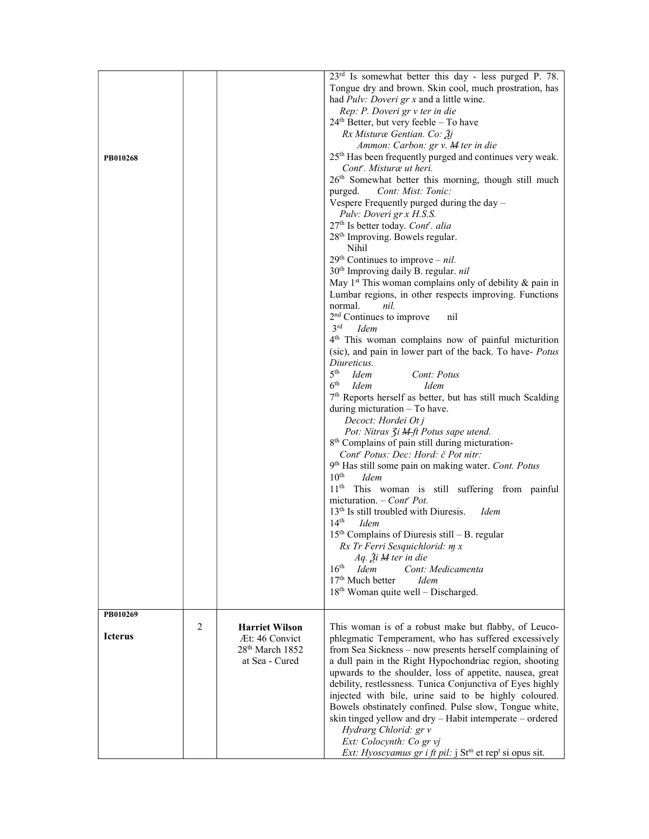| PB010268       |                |                                                                                          | 23 <sup>rd</sup> Is somewhat better this day - less purged P. 78.<br>Tongue dry and brown. Skin cool, much prostration, has<br>had <i>Pulv: Doveri gr x</i> and a little wine.<br>Rep: P. Doveri gr v ter in die<br>$24th$ Better, but very feeble - To have<br>Rx Misturæ Gentian. Co: $3j$<br>Ammon: Carbon: gr v. M ter in die<br>25 <sup>th</sup> Has been frequently purged and continues very weak.<br>Cont <sup>r</sup> . Misturæ ut heri.<br>26 <sup>th</sup> Somewhat better this morning, though still much<br>Cont: Mist: Tonic:<br>purged.<br>Vespere Frequently purged during the day -<br>Pulv: Doveri gr x H.S.S.<br>27 <sup>th</sup> Is better today. Cont <sup>r</sup> . alia<br>28 <sup>th</sup> Improving. Bowels regular.<br>Nihil<br>$29th$ Continues to improve – nil.<br>30 <sup>th</sup> Improving daily B. regular. nil<br>May $1st$ This woman complains only of debility & pain in<br>Lumbar regions, in other respects improving. Functions<br>normal.<br>nil.<br>2 <sup>nd</sup> Continues to improve<br>nil<br>3 <sup>rd</sup><br><i>Idem</i><br>4 <sup>th</sup> This woman complains now of painful micturition<br>(sic), and pain in lower part of the back. To have- Potus<br>Diureticus.<br>5 <sup>th</sup><br>Idem<br>Cont: Potus<br>6 <sup>th</sup><br><i>Idem</i><br><i>Idem</i><br>7 <sup>th</sup> Reports herself as better, but has still much Scalding<br>during micturation - To have.<br>Decoct: Hordei Ot j<br>Pot: Nitras <i>Ji</i> <b>M</b> -ft Potus sape utend.<br>8 <sup>th</sup> Complains of pain still during micturation-<br>Cont <sup>r</sup> Potus: Dec: Hord: č Pot nitr:<br>9 <sup>th</sup> Has still some pain on making water. Cont. Potus |
|----------------|----------------|------------------------------------------------------------------------------------------|-------------------------------------------------------------------------------------------------------------------------------------------------------------------------------------------------------------------------------------------------------------------------------------------------------------------------------------------------------------------------------------------------------------------------------------------------------------------------------------------------------------------------------------------------------------------------------------------------------------------------------------------------------------------------------------------------------------------------------------------------------------------------------------------------------------------------------------------------------------------------------------------------------------------------------------------------------------------------------------------------------------------------------------------------------------------------------------------------------------------------------------------------------------------------------------------------------------------------------------------------------------------------------------------------------------------------------------------------------------------------------------------------------------------------------------------------------------------------------------------------------------------------------------------------------------------------------------------------------------------------------------------------------------------------------------------------------|
|                |                |                                                                                          | $10^{\text{th}}$<br>Idem<br>11 <sup>th</sup> This woman is still suffering from painful<br>micturation. $-$ Cont <sup>r</sup> Pot.<br>13 <sup>th</sup> Is still troubled with Diuresis.<br><i>Idem</i><br>$14^{\text{th}}$<br><i>Idem</i><br>$15th$ Complains of Diuresis still – B. regular                                                                                                                                                                                                                                                                                                                                                                                                                                                                                                                                                                                                                                                                                                                                                                                                                                                                                                                                                                                                                                                                                                                                                                                                                                                                                                                                                                                                          |
|                |                |                                                                                          | Rx Tr Ferri Sesquichlorid: m x<br>$Aq$ . $\tilde{A}i$ M ter in die<br>$16th$ Idem<br>Cont: Medicamenta<br>17 <sup>th</sup> Much better<br><b>Idem</b><br>18 <sup>th</sup> Woman quite well - Discharged.                                                                                                                                                                                                                                                                                                                                                                                                                                                                                                                                                                                                                                                                                                                                                                                                                                                                                                                                                                                                                                                                                                                                                                                                                                                                                                                                                                                                                                                                                              |
| PB010269       |                |                                                                                          |                                                                                                                                                                                                                                                                                                                                                                                                                                                                                                                                                                                                                                                                                                                                                                                                                                                                                                                                                                                                                                                                                                                                                                                                                                                                                                                                                                                                                                                                                                                                                                                                                                                                                                       |
| <b>Icterus</b> | $\overline{c}$ | <b>Harriet Wilson</b><br>Æt: 46 Convict<br>28 <sup>th</sup> March 1852<br>at Sea - Cured | This woman is of a robust make but flabby, of Leuco-<br>phlegmatic Temperament, who has suffered excessively<br>from Sea Sickness - now presents herself complaining of<br>a dull pain in the Right Hypochondriac region, shooting<br>upwards to the shoulder, loss of appetite, nausea, great<br>debility, restlessness. Tunica Conjunctiva of Eyes highly<br>injected with bile, urine said to be highly coloured.<br>Bowels obstinately confined. Pulse slow, Tongue white,<br>skin tinged yellow and dry - Habit intemperate - ordered<br>Hydrarg Chlorid: gr v<br>Ext: Colocynth: Co gr vj<br><i>Ext: Hyoscyamus gr i ft pil:</i> $j$ St <sup>m</sup> et rep <sup>t</sup> si opus sit.                                                                                                                                                                                                                                                                                                                                                                                                                                                                                                                                                                                                                                                                                                                                                                                                                                                                                                                                                                                                           |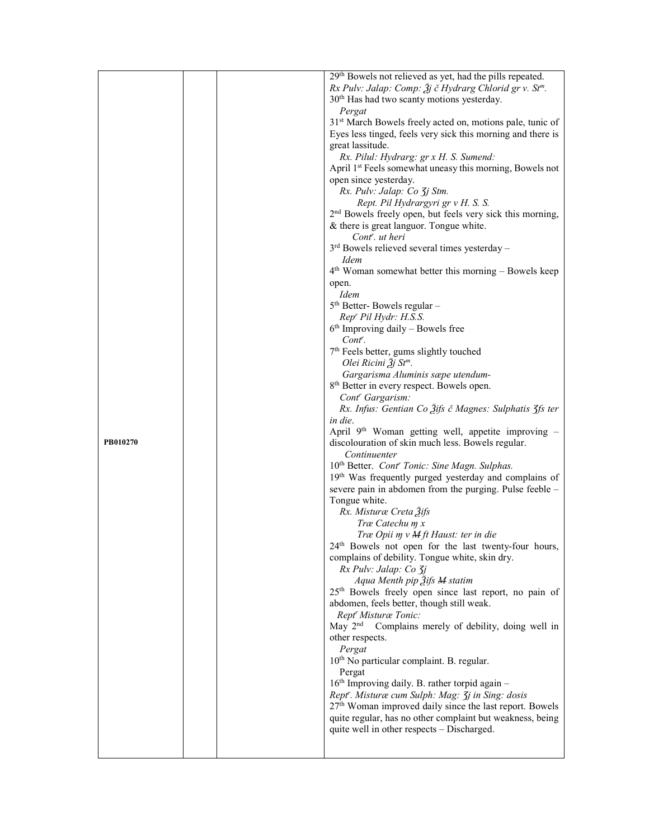|          |                             | 29th Bowels not relieved as yet, had the pills repeated.                                                |
|----------|-----------------------------|---------------------------------------------------------------------------------------------------------|
|          |                             | Rx Pulv: Jalap: Comp: $\tilde{\mathcal{Z}}$ j č Hydrarg Chlorid gr v. St <sup>m</sup> .                 |
|          |                             | 30 <sup>th</sup> Has had two scanty motions yesterday.                                                  |
|          |                             | Pergat                                                                                                  |
|          |                             | 31 <sup>st</sup> March Bowels freely acted on, motions pale, tunic of                                   |
|          |                             | Eyes less tinged, feels very sick this morning and there is                                             |
|          |                             | great lassitude.                                                                                        |
|          |                             | Rx. Pilul: Hydrarg: gr x H. S. Sumend:                                                                  |
|          |                             | April 1st Feels somewhat uneasy this morning, Bowels not                                                |
|          | open since yesterday.       |                                                                                                         |
|          | Rx. Pulv: Jalap: Co 3j Stm. |                                                                                                         |
|          |                             | Rept. Pil Hydrargyri gr v H. S. S.                                                                      |
|          |                             | 2 <sup>nd</sup> Bowels freely open, but feels very sick this morning,                                   |
|          |                             | & there is great languor. Tongue white.                                                                 |
|          |                             | Cont <sup>r</sup> . ut heri                                                                             |
|          |                             | $3rd$ Bowels relieved several times yesterday –                                                         |
|          |                             | Idem                                                                                                    |
|          |                             | 4 <sup>th</sup> Woman somewhat better this morning - Bowels keep                                        |
|          |                             | open.<br><b>Idem</b>                                                                                    |
|          |                             | $5th$ Better-Bowels regular -                                                                           |
|          |                             | Rep' Pil Hydr: H.S.S.                                                                                   |
|          |                             | $6th$ Improving daily – Bowels free                                                                     |
|          |                             | Cont <sup>r</sup> .                                                                                     |
|          |                             | 7 <sup>th</sup> Feels better, gums slightly touched                                                     |
|          |                             | Olei Ricini $\tilde{\mathcal{Z}}$ j St <sup>m</sup> .                                                   |
|          |                             | Gargarisma Aluminis sæpe utendum-                                                                       |
|          |                             | 8 <sup>th</sup> Better in every respect. Bowels open.                                                   |
|          |                             | Cont <sup>r</sup> Gargarism:                                                                            |
|          |                             | Rx. Infus: Gentian Co Ѯifs č Magnes: Sulphatis 3fs ter                                                  |
|          |                             | in die.                                                                                                 |
|          |                             | April 9th Woman getting well, appetite improving -                                                      |
| PB010270 |                             | discolouration of skin much less. Bowels regular.                                                       |
|          |                             | Continuenter                                                                                            |
|          |                             | 10th Better. Cont' Tonic: Sine Magn. Sulphas.                                                           |
|          |                             | 19th Was frequently purged yesterday and complains of                                                   |
|          |                             | severe pain in abdomen from the purging. Pulse feeble -                                                 |
|          |                             | Tongue white.                                                                                           |
|          |                             | Rx. Misturæ Creta Žifs                                                                                  |
|          |                             | Træ Catechu m x                                                                                         |
|          |                             | Træ Opii m v M ft Haust: ter in die<br>24 <sup>th</sup> Bowels not open for the last twenty-four hours, |
|          |                             | complains of debility. Tongue white, skin dry.                                                          |
|          |                             | Rx Pulv: Jalap: Co 3j                                                                                   |
|          |                             | Aqua Menth pip 3ifs M statim                                                                            |
|          |                             | 25 <sup>th</sup> Bowels freely open since last report, no pain of                                       |
|          |                             | abdomen, feels better, though still weak.                                                               |
|          |                             | Rept <sup>r</sup> Misturæ Tonic:                                                                        |
|          |                             | May $2nd$<br>Complains merely of debility, doing well in                                                |
|          |                             | other respects.                                                                                         |
|          |                             | Pergat                                                                                                  |
|          |                             | 10 <sup>th</sup> No particular complaint. B. regular.                                                   |
|          |                             | Pergat                                                                                                  |
|          |                             | $16th$ Improving daily. B. rather torpid again -                                                        |
|          |                             | Rept''. Misturæ cum Sulph: Mag: 3j in Sing: dosis                                                       |
|          |                             | 27 <sup>th</sup> Woman improved daily since the last report. Bowels                                     |
|          |                             | quite regular, has no other complaint but weakness, being                                               |
|          |                             | quite well in other respects - Discharged.                                                              |
|          |                             |                                                                                                         |
|          |                             |                                                                                                         |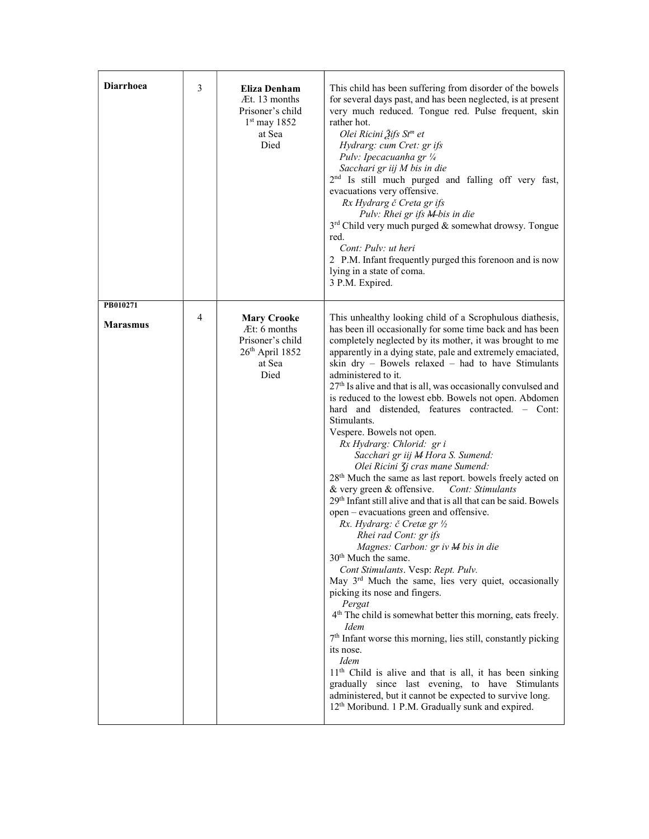| <b>Diarrhoea</b>            | 3 | Eliza Denham<br>Æt. 13 months<br>Prisoner's child<br>$1st$ may 1852<br>at Sea<br>Died         | This child has been suffering from disorder of the bowels<br>for several days past, and has been neglected, is at present<br>very much reduced. Tongue red. Pulse frequent, skin<br>rather hot.<br>Olei Ricini Žifs St <sup>m</sup> et<br>Hydrarg: cum Cret: gr ifs<br>Pulv: Ipecacuanha gr 1/4<br>Sacchari gr iij M bis in die<br>2 <sup>nd</sup> Is still much purged and falling off very fast,<br>evacuations very offensive.<br>Rx Hydrarg č Creta gr ifs<br>Pulv: Rhei gr ifs M-bis in die<br>3 <sup>rd</sup> Child very much purged & somewhat drowsy. Tongue<br>red.<br>Cont: Pulv: ut heri<br>2 P.M. Infant frequently purged this forenoon and is now<br>lying in a state of coma.<br>3 P.M. Expired.                                                                                                                                                                                                                                                                                                                                                                                                                                                                                                                                                                                             |
|-----------------------------|---|-----------------------------------------------------------------------------------------------|-------------------------------------------------------------------------------------------------------------------------------------------------------------------------------------------------------------------------------------------------------------------------------------------------------------------------------------------------------------------------------------------------------------------------------------------------------------------------------------------------------------------------------------------------------------------------------------------------------------------------------------------------------------------------------------------------------------------------------------------------------------------------------------------------------------------------------------------------------------------------------------------------------------------------------------------------------------------------------------------------------------------------------------------------------------------------------------------------------------------------------------------------------------------------------------------------------------------------------------------------------------------------------------------------------------|
| PB010271<br><b>Marasmus</b> | 4 | <b>Mary Crooke</b><br>At: 6 months<br>Prisoner's child<br>$26th$ April 1852<br>at Sea<br>Died | This unhealthy looking child of a Scrophulous diathesis,<br>has been ill occasionally for some time back and has been<br>completely neglected by its mother, it was brought to me<br>apparently in a dying state, pale and extremely emaciated,<br>skin $\text{dry}$ – Bowels relaxed – had to have Stimulants<br>administered to it.<br>27 <sup>th</sup> Is alive and that is all, was occasionally convulsed and<br>is reduced to the lowest ebb. Bowels not open. Abdomen<br>hard and distended, features contracted. - Cont:<br>Stimulants.<br>Vespere. Bowels not open.<br>Rx Hydrarg: Chlorid: gr i<br>Sacchari gr iij M Hora S. Sumend:<br>Olei Ricini 3j cras mane Sumend:<br>28 <sup>th</sup> Much the same as last report. bowels freely acted on<br>& very green & offensive.<br>Cont: Stimulants<br>29 <sup>th</sup> Infant still alive and that is all that can be said. Bowels<br>open – evacuations green and offensive.<br>Rx. Hydrarg: č Cretæ gr 1/2<br>Rhei rad Cont: gr ifs<br>Magnes: Carbon: gr iv M bis in die<br>30 <sup>th</sup> Much the same.<br>Cont Stimulants. Vesp: Rept. Pulv.<br>May 3rd Much the same, lies very quiet, occasionally<br>picking its nose and fingers.<br>Pergat<br>4 <sup>th</sup> The child is somewhat better this morning, eats freely.<br><i>Idem</i> |
|                             |   |                                                                                               | $7th$ Infant worse this morning, lies still, constantly picking<br>its nose.<br><b>I</b> dem<br>11 <sup>th</sup> Child is alive and that is all, it has been sinking<br>gradually since last evening, to have Stimulants<br>administered, but it cannot be expected to survive long.<br>12 <sup>th</sup> Moribund. 1 P.M. Gradually sunk and expired.                                                                                                                                                                                                                                                                                                                                                                                                                                                                                                                                                                                                                                                                                                                                                                                                                                                                                                                                                       |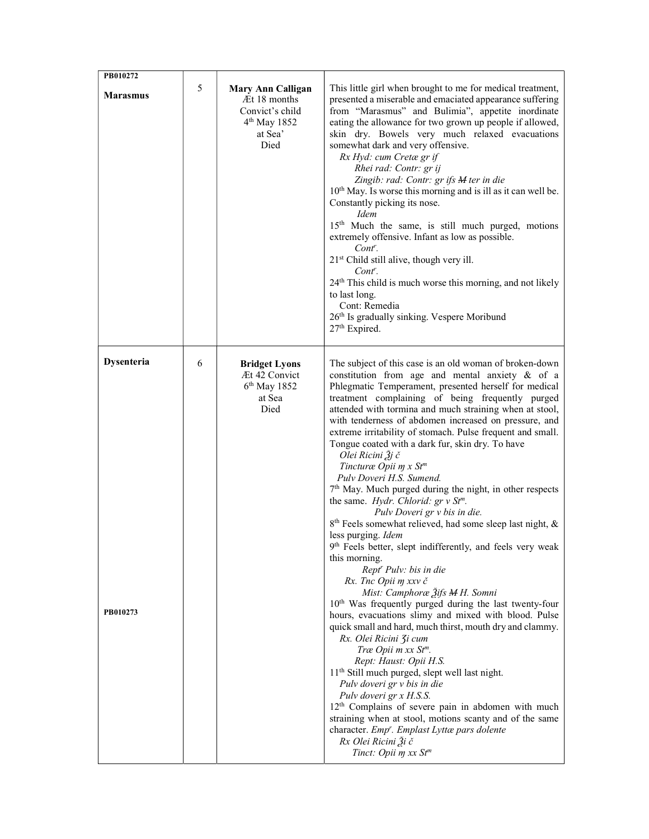| PB010272               | 5 | <b>Mary Ann Calligan</b>                                                       | This little girl when brought to me for medical treatment,                                                                                                                                                                                                                                                                                                                                                                                                                                                                                                                                                                                                                                                                                                                                                                                                                                                                                                                                                                                                                                                                                                                                                                                                                                                                                                                                                                                                                                                                                                                                                                           |
|------------------------|---|--------------------------------------------------------------------------------|--------------------------------------------------------------------------------------------------------------------------------------------------------------------------------------------------------------------------------------------------------------------------------------------------------------------------------------------------------------------------------------------------------------------------------------------------------------------------------------------------------------------------------------------------------------------------------------------------------------------------------------------------------------------------------------------------------------------------------------------------------------------------------------------------------------------------------------------------------------------------------------------------------------------------------------------------------------------------------------------------------------------------------------------------------------------------------------------------------------------------------------------------------------------------------------------------------------------------------------------------------------------------------------------------------------------------------------------------------------------------------------------------------------------------------------------------------------------------------------------------------------------------------------------------------------------------------------------------------------------------------------|
| <b>Marasmus</b>        |   | Æt 18 months<br>Convict's child<br>4 <sup>th</sup> May 1852<br>at Sea'<br>Died | presented a miserable and emaciated appearance suffering<br>from "Marasmus" and Bulimia", appetite inordinate<br>eating the allowance for two grown up people if allowed,<br>skin dry. Bowels very much relaxed evacuations<br>somewhat dark and very offensive.<br>Rx Hyd: cum Cretæ gr if<br>Rhei rad: Contr: gr ij<br>Zingib: rad: Contr: gr ifs M ter in die<br>10 <sup>th</sup> May. Is worse this morning and is ill as it can well be.<br>Constantly picking its nose.<br><i>Idem</i><br>15 <sup>th</sup> Much the same, is still much purged, motions<br>extremely offensive. Infant as low as possible.<br>$Cont^r$ .<br>21 <sup>st</sup> Child still alive, though very ill.<br>$Cont^r$ .<br>24 <sup>th</sup> This child is much worse this morning, and not likely<br>to last long.<br>Cont: Remedia<br>26th Is gradually sinking. Vespere Moribund<br>27th Expired.                                                                                                                                                                                                                                                                                                                                                                                                                                                                                                                                                                                                                                                                                                                                                     |
| Dysenteria<br>PB010273 | 6 | <b>Bridget Lyons</b><br>Æt 42 Convict<br>$6th$ May 1852<br>at Sea<br>Died      | The subject of this case is an old woman of broken-down<br>constitution from age and mental anxiety & of a<br>Phlegmatic Temperament, presented herself for medical<br>treatment complaining of being frequently purged<br>attended with tormina and much straining when at stool,<br>with tenderness of abdomen increased on pressure, and<br>extreme irritability of stomach. Pulse frequent and small.<br>Tongue coated with a dark fur, skin dry. To have<br>Olei Ricini Žj č<br>Tincturæ Opii m x St <sup>m</sup><br>Pulv Doveri H.S. Sumend.<br>7 <sup>th</sup> May. Much purged during the night, in other respects<br>the same. Hydr. Chlorid: $gr v St^{m}$ .<br>Pulv Doveri gr v bis in die.<br>8 <sup>th</sup> Feels somewhat relieved, had some sleep last night, &<br>less purging. Idem<br>9th Feels better, slept indifferently, and feels very weak<br>this morning.<br>Rept <sup>r</sup> Pulv: bis in die<br>Rx. Tnc Opii m xxv č<br>Mist: Camphoræ Žifs M H. Somni<br>10 <sup>th</sup> Was frequently purged during the last twenty-four<br>hours, evacuations slimy and mixed with blood. Pulse<br>quick small and hard, much thirst, mouth dry and clammy.<br>Rx. Olei Ricini 3i cum<br>Træ Opii m xx St <sup>m</sup> .<br>Rept: Haust: Opii H.S.<br>11 <sup>th</sup> Still much purged, slept well last night.<br>Pulv doveri gr v bis in die<br>Pulv doveri gr x H.S.S.<br>12 <sup>th</sup> Complains of severe pain in abdomen with much<br>straining when at stool, motions scanty and of the same<br>character. Emp'. Emplast Lyttæ pars dolente<br>Rx Olei Ricini Ži č<br>Tinct: Opii m xx St <sup>m</sup> |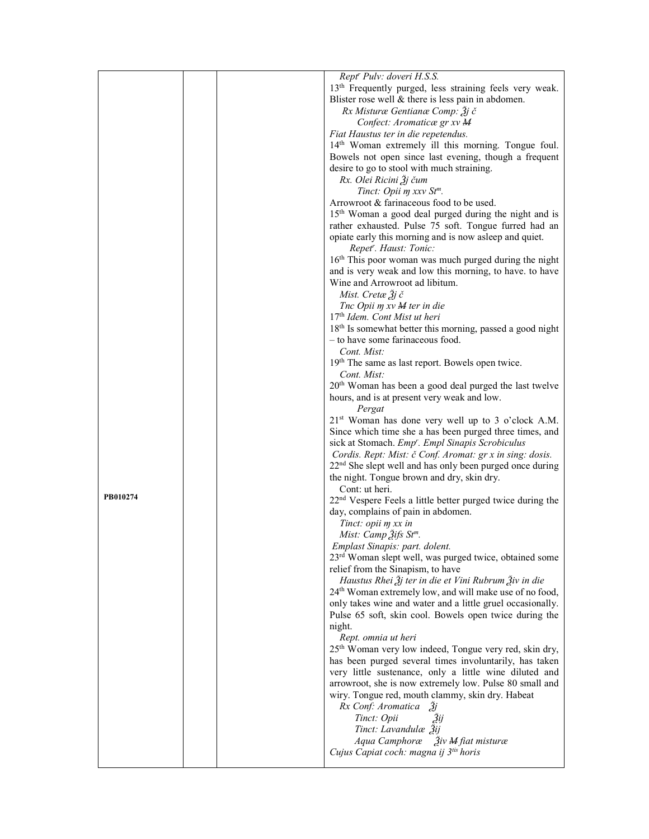|          |  | Rept' Pulv: doveri H.S.S.                                                  |
|----------|--|----------------------------------------------------------------------------|
|          |  | 13 <sup>th</sup> Frequently purged, less straining feels very weak.        |
|          |  | Blister rose well $&$ there is less pain in abdomen.                       |
|          |  | Rx Misturæ Gentianæ Comp: $\tilde{g}$ j č                                  |
|          |  | Confect: Aromaticæ gr xv M                                                 |
|          |  | Fiat Haustus ter in die repetendus.                                        |
|          |  | 14th Woman extremely ill this morning. Tongue foul.                        |
|          |  | Bowels not open since last evening, though a frequent                      |
|          |  | desire to go to stool with much straining.                                 |
|          |  | Rx. Olei Ricini $\tilde{A}$ j čum                                          |
|          |  | Tinct: Opii m xxv St <sup>m</sup> .                                        |
|          |  | Arrowroot & farinaceous food to be used.                                   |
|          |  | 15 <sup>th</sup> Woman a good deal purged during the night and is          |
|          |  |                                                                            |
|          |  | rather exhausted. Pulse 75 soft. Tongue furred had an                      |
|          |  | opiate early this morning and is now asleep and quiet.                     |
|          |  | Repet <sup>r</sup> . Haust: Tonic:                                         |
|          |  | 16 <sup>th</sup> This poor woman was much purged during the night          |
|          |  | and is very weak and low this morning, to have. to have                    |
|          |  | Wine and Arrowroot ad libitum.                                             |
|          |  | Mist. Cretæ $3j \, \check{c}$                                              |
|          |  | Tnc Opii m xv M ter in die                                                 |
|          |  | 17th Idem. Cont Mist ut heri                                               |
|          |  | 18th Is somewhat better this morning, passed a good night                  |
|          |  | - to have some farinaceous food.                                           |
|          |  | Cont. Mist:                                                                |
|          |  | 19th The same as last report. Bowels open twice.                           |
|          |  | Cont. Mist:                                                                |
|          |  | 20 <sup>th</sup> Woman has been a good deal purged the last twelve         |
|          |  | hours, and is at present very weak and low.                                |
|          |  | Pergat                                                                     |
|          |  | 21 <sup>st</sup> Woman has done very well up to 3 o'clock A.M.             |
|          |  | Since which time she a has been purged three times, and                    |
|          |  | sick at Stomach. Emp'. Empl Sinapis Scrobiculus                            |
|          |  | Cordis. Rept: Mist: č Conf. Aromat: gr x in sing: dosis.                   |
|          |  | $22nd$ She slept well and has only been purged once during                 |
|          |  | the night. Tongue brown and dry, skin dry.                                 |
|          |  | Cont: ut heri.                                                             |
| PB010274 |  | 22 <sup>nd</sup> Vespere Feels a little better purged twice during the     |
|          |  | day, complains of pain in abdomen.                                         |
|          |  | Tinct: opii m xx in                                                        |
|          |  | Mist: Camp $\tilde{2}$ ifs St <sup>m</sup> .                               |
|          |  | Emplast Sinapis: part. dolent.                                             |
|          |  | 23rd Woman slept well, was purged twice, obtained some                     |
|          |  | relief from the Sinapism, to have                                          |
|          |  | Haustus Rhei $\tilde{g}$ j ter in die et Vini Rubrum $\tilde{g}$ iv in die |
|          |  | 24 <sup>th</sup> Woman extremely low, and will make use of no food,        |
|          |  |                                                                            |
|          |  | only takes wine and water and a little gruel occasionally.                 |
|          |  | Pulse 65 soft, skin cool. Bowels open twice during the                     |
|          |  | night.                                                                     |
|          |  | Rept. omnia ut heri                                                        |
|          |  | 25 <sup>th</sup> Woman very low indeed, Tongue very red, skin dry,         |
|          |  | has been purged several times involuntarily, has taken                     |
|          |  | very little sustenance, only a little wine diluted and                     |
|          |  | arrowroot, she is now extremely low. Pulse 80 small and                    |
|          |  | wiry. Tongue red, mouth clammy, skin dry. Habeat                           |
|          |  | Rx Conf: Aromatica 3j                                                      |
|          |  | Tinct: Opii<br>Зij                                                         |
|          |  | Tinct: Lavandulæ Žij                                                       |
|          |  | Aqua Camphoræ <i>Ziv M fiat misturæ</i>                                    |
|          |  | Cujus Capiat coch: magna ij 3tis horis                                     |
|          |  |                                                                            |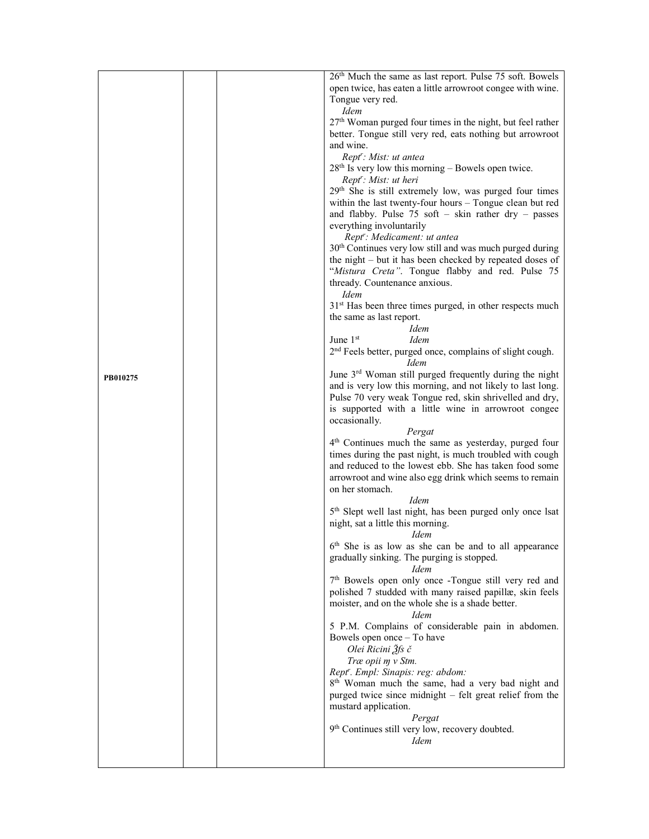|          |  | 26 <sup>th</sup> Much the same as last report. Pulse 75 soft. Bowels<br>open twice, has eaten a little arrowroot congee with wine.<br>Tongue very red.                                                                                                       |
|----------|--|--------------------------------------------------------------------------------------------------------------------------------------------------------------------------------------------------------------------------------------------------------------|
|          |  | <i>Idem</i><br>27 <sup>th</sup> Woman purged four times in the night, but feel rather<br>better. Tongue still very red, eats nothing but arrowroot                                                                                                           |
|          |  | and wine.<br>Rept': Mist: ut antea                                                                                                                                                                                                                           |
|          |  | $28th$ Is very low this morning – Bowels open twice.<br>Rept': Mist: ut heri                                                                                                                                                                                 |
|          |  | 29 <sup>th</sup> She is still extremely low, was purged four times<br>within the last twenty-four hours - Tongue clean but red<br>and flabby. Pulse $75$ soft - skin rather dry - passes                                                                     |
|          |  | everything involuntarily<br>Rept': Medicament: ut antea                                                                                                                                                                                                      |
|          |  | 30 <sup>th</sup> Continues very low still and was much purged during<br>the night - but it has been checked by repeated doses of                                                                                                                             |
|          |  | "Mistura Creta". Tongue flabby and red. Pulse 75<br>thready. Countenance anxious.<br><b>Idem</b>                                                                                                                                                             |
|          |  | 31 <sup>st</sup> Has been three times purged, in other respects much<br>the same as last report.                                                                                                                                                             |
|          |  | <b>Idem</b><br>June $1st$<br><i>Idem</i>                                                                                                                                                                                                                     |
|          |  | 2 <sup>nd</sup> Feels better, purged once, complains of slight cough.<br><i>Idem</i>                                                                                                                                                                         |
| PB010275 |  | June 3 <sup>rd</sup> Woman still purged frequently during the night<br>and is very low this morning, and not likely to last long.                                                                                                                            |
|          |  | Pulse 70 very weak Tongue red, skin shrivelled and dry,                                                                                                                                                                                                      |
|          |  | is supported with a little wine in arrowroot congee<br>occasionally.                                                                                                                                                                                         |
|          |  | Pergat<br>4 <sup>th</sup> Continues much the same as yesterday, purged four<br>times during the past night, is much troubled with cough<br>and reduced to the lowest ebb. She has taken food some<br>arrowroot and wine also egg drink which seems to remain |
|          |  | on her stomach.                                                                                                                                                                                                                                              |
|          |  | <i>Idem</i><br>5 <sup>th</sup> Slept well last night, has been purged only once lsat<br>night, sat a little this morning.<br>Idem                                                                                                                            |
|          |  | 6 <sup>th</sup> She is as low as she can be and to all appearance<br>gradually sinking. The purging is stopped.<br><i>Idem</i>                                                                                                                               |
|          |  | 7 <sup>th</sup> Bowels open only once -Tongue still very red and<br>polished 7 studded with many raised papillæ, skin feels<br>moister, and on the whole she is a shade better.<br><i>Idem</i>                                                               |
|          |  | 5 P.M. Complains of considerable pain in abdomen.<br>Bowels open once - To have<br>Olei Ricini Ѯfs č                                                                                                                                                         |
|          |  | Træ opii m v Stm.<br>Rept". Empl: Sinapis: reg: abdom:                                                                                                                                                                                                       |
|          |  | 8 <sup>th</sup> Woman much the same, had a very bad night and<br>purged twice since midnight – felt great relief from the                                                                                                                                    |
|          |  | mustard application.<br>Pergat                                                                                                                                                                                                                               |
|          |  | 9th Continues still very low, recovery doubted.<br><b>Idem</b>                                                                                                                                                                                               |
|          |  |                                                                                                                                                                                                                                                              |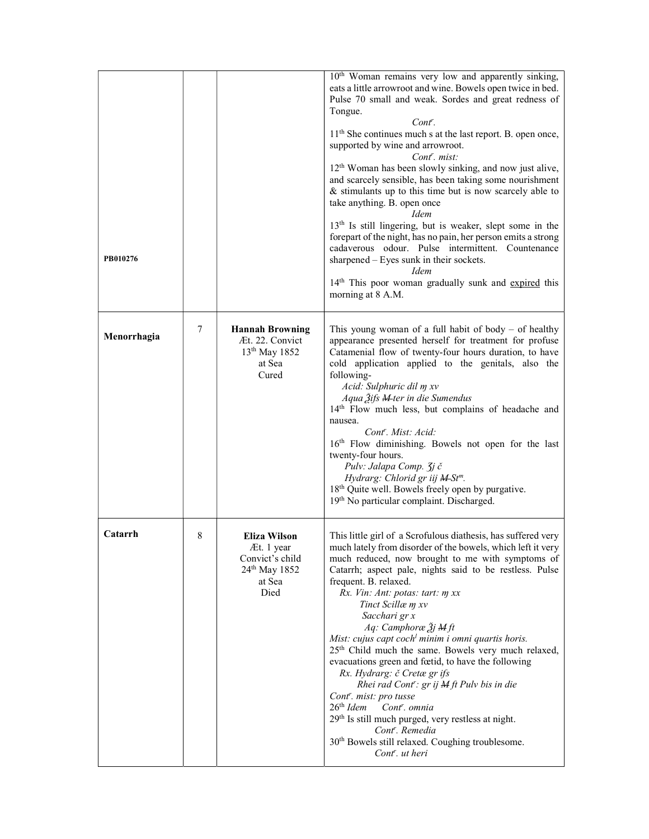| PB010276    |   |                                                                                                     | 10 <sup>th</sup> Woman remains very low and apparently sinking,<br>eats a little arrowroot and wine. Bowels open twice in bed.<br>Pulse 70 small and weak. Sordes and great redness of<br>Tongue.<br>$Cont^r$ .<br>11 <sup>th</sup> She continues much s at the last report. B. open once,<br>supported by wine and arrowroot.<br>Cont <sup>r</sup> . mist:<br>12 <sup>th</sup> Woman has been slowly sinking, and now just alive,<br>and scarcely sensible, has been taking some nourishment<br>& stimulants up to this time but is now scarcely able to<br>take anything. B. open once<br>Idem<br>13 <sup>th</sup> Is still lingering, but is weaker, slept some in the<br>forepart of the night, has no pain, her person emits a strong<br>cadaverous odour. Pulse intermittent. Countenance<br>sharpened - Eyes sunk in their sockets.<br><i>Idem</i><br>14 <sup>th</sup> This poor woman gradually sunk and expired this<br>morning at 8 A.M. |
|-------------|---|-----------------------------------------------------------------------------------------------------|----------------------------------------------------------------------------------------------------------------------------------------------------------------------------------------------------------------------------------------------------------------------------------------------------------------------------------------------------------------------------------------------------------------------------------------------------------------------------------------------------------------------------------------------------------------------------------------------------------------------------------------------------------------------------------------------------------------------------------------------------------------------------------------------------------------------------------------------------------------------------------------------------------------------------------------------------|
| Menorrhagia | 7 | <b>Hannah Browning</b><br>Æt. 22. Convict<br>13 <sup>th</sup> May 1852<br>at Sea<br>Cured           | This young woman of a full habit of body $-$ of healthy<br>appearance presented herself for treatment for profuse<br>Catamenial flow of twenty-four hours duration, to have<br>cold application applied to the genitals, also the<br>following-<br>Acid: Sulphuric dil m xv<br>Aqua Žifs <del>M</del> ter in die Sumendus<br>14th Flow much less, but complains of headache and<br>nausea.<br>Cont <sup>r</sup> . Mist: Acid:<br>16th Flow diminishing. Bowels not open for the last<br>twenty-four hours.<br>Pulv: Jalapa Comp. 3j č<br>Hydrarg: Chlorid gr iij M-St <sup>m</sup> .<br>18 <sup>th</sup> Quite well. Bowels freely open by purgative.<br>19th No particular complaint. Discharged.                                                                                                                                                                                                                                                 |
| Catarrh     | 8 | <b>Eliza Wilson</b><br>Æt. 1 year<br>Convict's child<br>24 <sup>th</sup> May 1852<br>at Sea<br>Died | This little girl of a Scrofulous diathesis, has suffered very<br>much lately from disorder of the bowels, which left it very<br>much reduced, now brought to me with symptoms of<br>Catarrh; aspect pale, nights said to be restless. Pulse<br>frequent. B. relaxed.<br>Rx. Vin: Ant: potas: tart: my xx<br>Tinct Scillæ m xv<br>Sacchari gr x<br>Aq: Camphoræ Žj M ft<br>Mist: cujus capt coch <sup>l</sup> minim i omni quartis horis.<br>25 <sup>th</sup> Child much the same. Bowels very much relaxed,<br>evacuations green and fœtid, to have the following<br>Rx. Hydrarg: č Cretæ gr ifs<br>Rhei rad Cont': $gr$ ij $M$ ft Pulv bis in die<br>Cont <sup>r</sup> . mist: pro tusse<br>26 <sup>th</sup> Idem Cont <sup>r</sup> . omnia<br>29 <sup>th</sup> Is still much purged, very restless at night.<br>Cont'. Remedia<br>30 <sup>th</sup> Bowels still relaxed. Coughing troublesome.<br>Cont <sup>r</sup> . ut heri                    |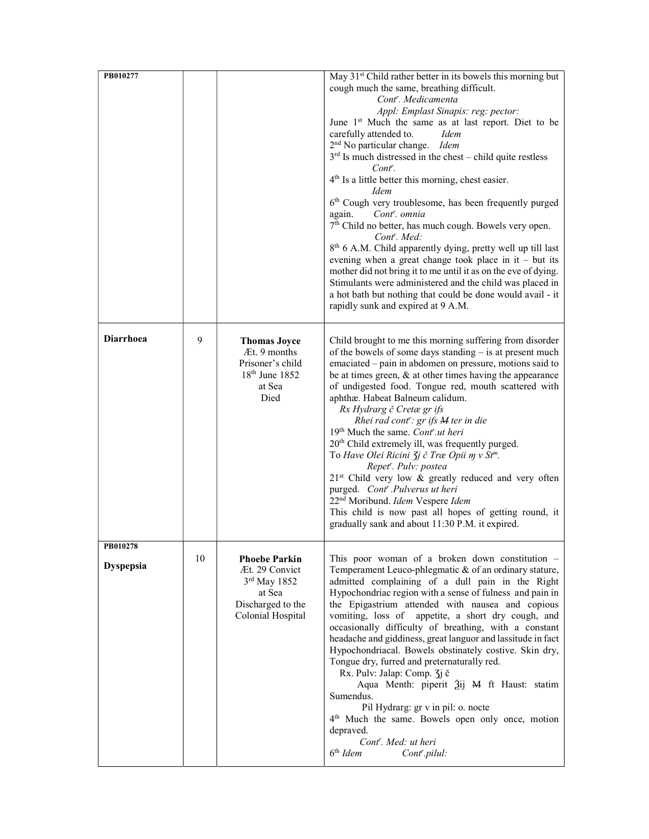| PB010277                            |    |                                                                                                              | May 31 <sup>st</sup> Child rather better in its bowels this morning but<br>cough much the same, breathing difficult.<br>Cont <sup>r</sup> . Medicamenta<br>Appl: Emplast Sinapis: reg: pector:                                                                                                                                                                                                                                                                                                                                                                                                                                                                                                                                                                                                                                                                                                                                             |
|-------------------------------------|----|--------------------------------------------------------------------------------------------------------------|--------------------------------------------------------------------------------------------------------------------------------------------------------------------------------------------------------------------------------------------------------------------------------------------------------------------------------------------------------------------------------------------------------------------------------------------------------------------------------------------------------------------------------------------------------------------------------------------------------------------------------------------------------------------------------------------------------------------------------------------------------------------------------------------------------------------------------------------------------------------------------------------------------------------------------------------|
|                                     |    |                                                                                                              | June 1 <sup>st</sup> Much the same as at last report. Diet to be<br>carefully attended to.<br><i>Idem</i><br>2 <sup>nd</sup> No particular change. Idem<br>$3rd$ Is much distressed in the chest – child quite restless<br>Cont <sup>r</sup> .                                                                                                                                                                                                                                                                                                                                                                                                                                                                                                                                                                                                                                                                                             |
|                                     |    |                                                                                                              | 4 <sup>th</sup> Is a little better this morning, chest easier.<br><b>Idem</b><br>6 <sup>th</sup> Cough very troublesome, has been frequently purged<br>again.<br>Cont <sup>r</sup> . omnia<br>7 <sup>th</sup> Child no better, has much cough. Bowels very open.<br>Cont <sup>r</sup> . Med:<br>8 <sup>th</sup> 6 A.M. Child apparently dying, pretty well up till last<br>evening when a great change took place in it $-$ but its<br>mother did not bring it to me until it as on the eve of dying.<br>Stimulants were administered and the child was placed in<br>a hot bath but nothing that could be done would avail - it<br>rapidly sunk and expired at 9 A.M.                                                                                                                                                                                                                                                                      |
| <b>Diarrhoea</b>                    | 9  | <b>Thomas Joyce</b><br>Æt. 9 months<br>Prisoner's child<br>18 <sup>th</sup> June 1852<br>at Sea<br>Died      | Child brought to me this morning suffering from disorder<br>of the bowels of some days standing – is at present much<br>emaciated – pain in abdomen on pressure, motions said to<br>be at times green, $\&$ at other times having the appearance<br>of undigested food. Tongue red, mouth scattered with<br>aphthæ. Habeat Balneum calidum.<br>Rx Hydrarg č Cretæ gr ifs<br>Rhei rad cont <sup>r</sup> : gr ifs M ter in die<br>19 <sup>th</sup> Much the same. Cont <sup>r</sup> .ut heri<br>20 <sup>th</sup> Child extremely ill, was frequently purged.<br>To Have Olei Ricini $\zeta j \in Tr\alpha$ Opii m v St <sup>m</sup> .<br>Repet". Pulv: postea<br>21 <sup>st</sup> Child very low & greatly reduced and very often<br>purged. Cont <sup>r</sup> .Pulverus ut heri<br>22 <sup>nd</sup> Moribund. Idem Vespere Idem<br>This child is now past all hopes of getting round, it<br>gradually sank and about 11:30 P.M. it expired. |
| <b>FB010278</b><br><b>Dyspepsia</b> | 10 | <b>Phoebe Parkin</b><br>Æt. 29 Convict<br>$3rd$ May 1852<br>at Sea<br>Discharged to the<br>Colonial Hospital | This poor woman of a broken down constitution $-$<br>Temperament Leuco-phlegmatic & of an ordinary stature,<br>admitted complaining of a dull pain in the Right<br>Hypochondriac region with a sense of fulness and pain in<br>the Epigastrium attended with nausea and copious<br>vomiting, loss of appetite, a short dry cough, and<br>occasionally difficulty of breathing, with a constant<br>headache and giddiness, great languor and lassitude in fact<br>Hypochondriacal. Bowels obstinately costive. Skin dry,<br>Tongue dry, furred and preternaturally red.<br>Rx. Pulv: Jalap: Comp. 3j č<br>Aqua Menth: piperit $\tilde{a}$ ij M ft Haust: statim<br>Sumendus.<br>Pil Hydrarg: gr v in pil: o. nocte<br>4 <sup>th</sup> Much the same. Bowels open only once, motion<br>depraved.<br>Cont'. Med: ut heri<br>$6th$ Idem<br>Cont <sup>r</sup> .pilul:                                                                           |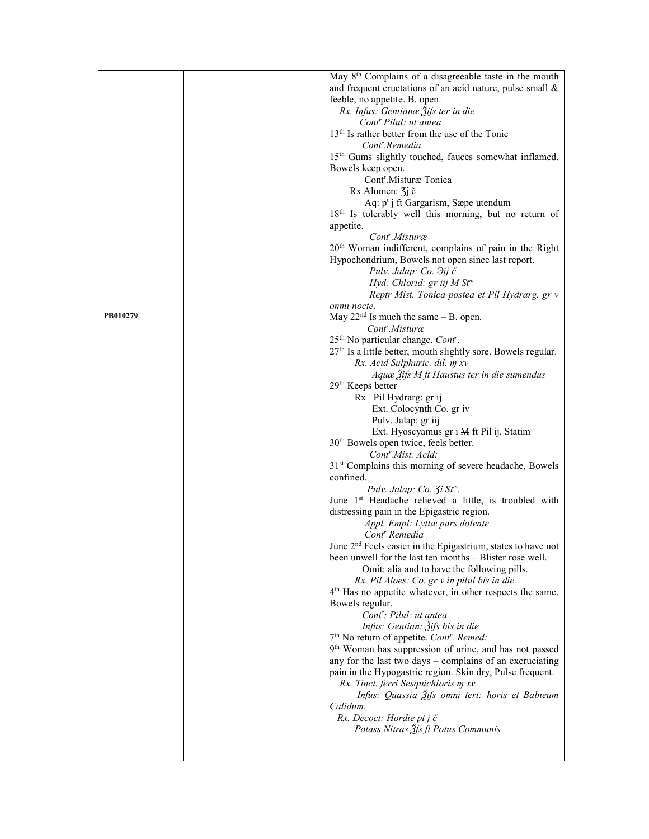|          |  | May 8 <sup>th</sup> Complains of a disagreeable taste in the mouth                                         |
|----------|--|------------------------------------------------------------------------------------------------------------|
|          |  | and frequent eructations of an acid nature, pulse small $\&$                                               |
|          |  | feeble, no appetite. B. open.                                                                              |
|          |  | Rx. Infus: Gentianæ 3ifs ter in die                                                                        |
|          |  | Cont <sup>r</sup> .Pilul: ut antea                                                                         |
|          |  | 13 <sup>th</sup> Is rather better from the use of the Tonic                                                |
|          |  | Cont <sup>r</sup> .Remedia                                                                                 |
|          |  | 15 <sup>th</sup> Gums slightly touched, fauces somewhat inflamed.                                          |
|          |  | Bowels keep open.                                                                                          |
|          |  | Cont <sup>r</sup> .Misturæ Tonica                                                                          |
|          |  | Rx Alumen: 3 <i>j</i> č                                                                                    |
|          |  | Aq: $p^t$ j ft Gargarism, Sæpe utendum                                                                     |
|          |  | 18th Is tolerably well this morning, but no return of                                                      |
|          |  | appetite.                                                                                                  |
|          |  | Cont <sup>r</sup> .Misturæ                                                                                 |
|          |  | 20 <sup>th</sup> Woman indifferent, complains of pain in the Right                                         |
|          |  | Hypochondrium, Bowels not open since last report.                                                          |
|          |  | Pulv. Jalap: Co. Jij č<br>Hyd: Chlorid: gr iij M St <sup>m</sup>                                           |
|          |  | Reptr Mist. Tonica postea et Pil Hydrarg. gr v                                                             |
|          |  | onmi nocte.                                                                                                |
| PB010279 |  | May $22nd$ Is much the same $-$ B. open.                                                                   |
|          |  | Cont <sup>r</sup> .Misturæ                                                                                 |
|          |  | 25 <sup>th</sup> No particular change. Cont <sup>r</sup> .                                                 |
|          |  | 27 <sup>th</sup> Is a little better, mouth slightly sore. Bowels regular.                                  |
|          |  | Rx. Acid Sulphuric. dil. m xv                                                                              |
|          |  | Aquæ 3ifs M ft Haustus ter in die sumendus                                                                 |
|          |  | 29 <sup>th</sup> Keeps better                                                                              |
|          |  | Rx Pil Hydrarg: gr ij                                                                                      |
|          |  | Ext. Colocynth Co. gr iv                                                                                   |
|          |  | Pulv. Jalap: gr iij                                                                                        |
|          |  | Ext. Hyoscyamus gr i M ft Pil ij. Statim                                                                   |
|          |  | 30 <sup>th</sup> Bowels open twice, feels better.                                                          |
|          |  | Cont <sup>r</sup> .Mist. Acid:                                                                             |
|          |  | 31 <sup>st</sup> Complains this morning of severe headache, Bowels                                         |
|          |  | confined.                                                                                                  |
|          |  | Pulv. Jalap: Co. 3i St <sup>m</sup> .<br>June 1 <sup>st</sup> Headache relieved a little, is troubled with |
|          |  | distressing pain in the Epigastric region.                                                                 |
|          |  | Appl. Empl: Lyttæ pars dolente                                                                             |
|          |  | Cont <sup>r</sup> Remedia                                                                                  |
|          |  | June 2 <sup>nd</sup> Feels easier in the Epigastrium, states to have not                                   |
|          |  | been unwell for the last ten months – Blister rose well.                                                   |
|          |  | Omit: alia and to have the following pills.                                                                |
|          |  | Rx. Pil Aloes: Co. gr v in pilul bis in die.                                                               |
|          |  | 4 <sup>th</sup> Has no appetite whatever, in other respects the same.                                      |
|          |  | Bowels regular.                                                                                            |
|          |  | Cont <sup>r</sup> : Pilul: ut antea                                                                        |
|          |  | Infus: Gentian: 3ifs bis in die                                                                            |
|          |  | 7 <sup>th</sup> No return of appetite. Cont''. Remed:                                                      |
|          |  | 9th Woman has suppression of urine, and has not passed                                                     |
|          |  | any for the last two days - complains of an excruciating                                                   |
|          |  | pain in the Hypogastric region. Skin dry, Pulse frequent.                                                  |
|          |  | Rx. Tinct. ferri Sesquichloris m xv                                                                        |
|          |  | Infus: Quassia Žifs omni tert: horis et Balneum                                                            |
|          |  | Calidum.                                                                                                   |
|          |  | Rx. Decoct: Hordie pt j č<br>Potass Nitras 3fs ft Potus Communis                                           |
|          |  |                                                                                                            |
|          |  |                                                                                                            |
|          |  |                                                                                                            |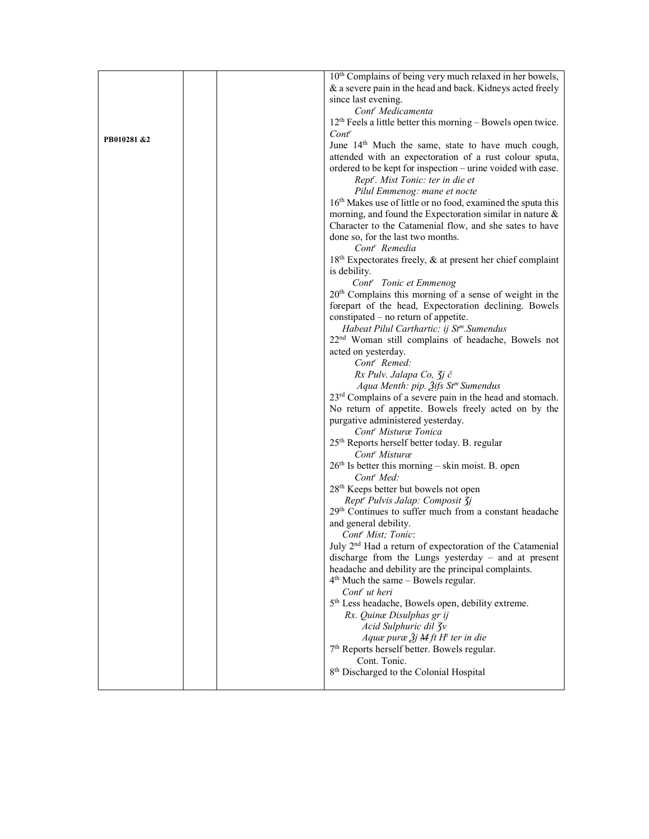|             | 10 <sup>th</sup> Complains of being very much relaxed in her bowels,                                 |
|-------------|------------------------------------------------------------------------------------------------------|
|             | & a severe pain in the head and back. Kidneys acted freely                                           |
|             | since last evening.                                                                                  |
|             | Cont <sup>r</sup> Medicamenta                                                                        |
|             | 12 <sup>th</sup> Feels a little better this morning - Bowels open twice.                             |
| PB010281 &2 | $Cont^r$                                                                                             |
|             | June 14 <sup>th</sup> Much the same, state to have much cough,                                       |
|             | attended with an expectoration of a rust colour sputa,                                               |
|             | ordered to be kept for inspection - urine voided with ease.                                          |
|             | Rept <sup>r</sup> . Mist Tonic: ter in die et                                                        |
|             | Pilul Emmenog: mane et nocte                                                                         |
|             | 16 <sup>th</sup> Makes use of little or no food, examined the sputa this                             |
|             | morning, and found the Expectoration similar in nature &                                             |
|             | Character to the Catamenial flow, and she sates to have                                              |
|             | done so, for the last two months.                                                                    |
|             | Cont <sup>r</sup> Remedia                                                                            |
|             | 18 <sup>th</sup> Expectorates freely, & at present her chief complaint                               |
|             | is debility.                                                                                         |
|             | Cont <sup>r</sup> Tonic et Emmenog                                                                   |
|             | 20 <sup>th</sup> Complains this morning of a sense of weight in the                                  |
|             | forepart of the head, Expectoration declining. Bowels<br>constipated – no return of appetite.        |
|             | Habeat Pilul Carthartic: ij St <sup>m</sup> . Sumendus                                               |
|             | 22 <sup>nd</sup> Woman still complains of headache, Bowels not                                       |
|             | acted on yesterday.                                                                                  |
|             | Cont <sup>r</sup> Remed:                                                                             |
|             | Rx Pulv. Jalapa Co, $\overline{\chi}$ j č                                                            |
|             | Aqua Menth: pip. $\tilde{A}$ ifs St <sup>m</sup> Sumendus                                            |
|             | 23 <sup>rd</sup> Complains of a severe pain in the head and stomach.                                 |
|             | No return of appetite. Bowels freely acted on by the                                                 |
|             | purgative administered yesterday.                                                                    |
|             | Cont <sup>r</sup> Misturæ Tonica                                                                     |
|             | 25 <sup>th</sup> Reports herself better today. B. regular                                            |
|             | Cont <sup>r</sup> Misturæ                                                                            |
|             | $26th$ Is better this morning – skin moist. B. open<br>Cont <sup>r</sup> Med:                        |
|             | 28 <sup>th</sup> Keeps better but bowels not open                                                    |
|             | Rept <sup>r</sup> Pulvis Jalap: Composit <b>3j</b>                                                   |
|             | 29th Continues to suffer much from a constant headache                                               |
|             | and general debility.                                                                                |
|             | Cont <sup>r</sup> Mist; Tonic:                                                                       |
|             | July 2 <sup>nd</sup> Had a return of expectoration of the Catamenial                                 |
|             | discharge from the Lungs yesterday - and at present                                                  |
|             | headache and debility are the principal complaints.                                                  |
|             | $4th$ Much the same – Bowels regular.                                                                |
|             | Cont' ut heri                                                                                        |
|             | 5 <sup>th</sup> Less headache, Bowels open, debility extreme.                                        |
|             | Rx. Quinæ Disulphas gr ij                                                                            |
|             | Acid Sulphuric dil 3v                                                                                |
|             | Aquæ puræ $\tilde{A}j$ M ft H <sup>t</sup> ter in die<br>7th Reports herself better. Bowels regular. |
|             | Cont. Tonic.                                                                                         |
|             | 8 <sup>th</sup> Discharged to the Colonial Hospital                                                  |
|             |                                                                                                      |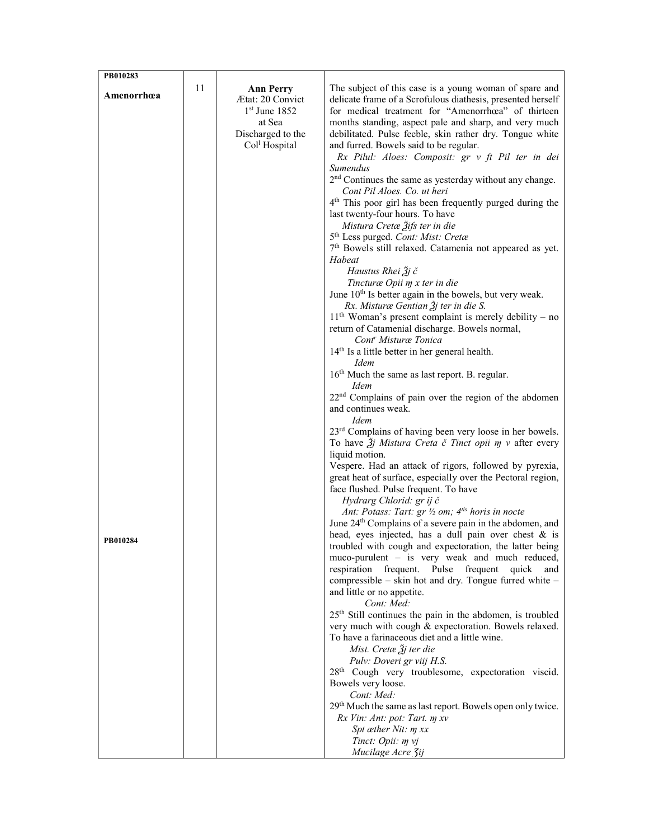| PB010283   |    |                                      |                                                                                                                                   |
|------------|----|--------------------------------------|-----------------------------------------------------------------------------------------------------------------------------------|
| Amenorrhœa | 11 | <b>Ann Perry</b><br>Ætat: 20 Convict | The subject of this case is a young woman of spare and                                                                            |
|            |    | $1st$ June 1852                      | delicate frame of a Scrofulous diathesis, presented herself<br>for medical treatment for "Amenorrhœa" of thirteen                 |
|            |    | at Sea                               | months standing, aspect pale and sharp, and very much                                                                             |
|            |    | Discharged to the                    | debilitated. Pulse feeble, skin rather dry. Tongue white                                                                          |
|            |    | Col <sup>l</sup> Hospital            | and furred. Bowels said to be regular.                                                                                            |
|            |    |                                      | Rx Pilul: Aloes: Composit: gr v ft Pil ter in dei<br>Sumendus                                                                     |
|            |    |                                      | 2 <sup>nd</sup> Continues the same as yesterday without any change.                                                               |
|            |    |                                      | Cont Pil Aloes. Co. ut heri                                                                                                       |
|            |    |                                      | 4 <sup>th</sup> This poor girl has been frequently purged during the                                                              |
|            |    |                                      | last twenty-four hours. To have                                                                                                   |
|            |    |                                      | Mistura Cretæ Ѯifs ter in die<br>5 <sup>th</sup> Less purged. Cont: Mist: Cretæ                                                   |
|            |    |                                      | 7 <sup>th</sup> Bowels still relaxed. Catamenia not appeared as yet.                                                              |
|            |    |                                      | Habeat                                                                                                                            |
|            |    |                                      | Haustus Rhei Žj č                                                                                                                 |
|            |    |                                      | Tincturæ Opii m x ter in die                                                                                                      |
|            |    |                                      | June 10 <sup>th</sup> Is better again in the bowels, but very weak.<br>Rx. Misturæ Gentian $\tilde{\mathfrak{Z}}$ j ter in die S. |
|            |    |                                      | $11th$ Woman's present complaint is merely debility – no                                                                          |
|            |    |                                      | return of Catamenial discharge. Bowels normal,                                                                                    |
|            |    |                                      | Cont <sup>r</sup> Misturæ Tonica                                                                                                  |
|            |    |                                      | 14 <sup>th</sup> Is a little better in her general health.<br><i>Idem</i>                                                         |
|            |    |                                      | 16 <sup>th</sup> Much the same as last report. B. regular.                                                                        |
|            |    |                                      | Idem                                                                                                                              |
|            |    |                                      | 22 <sup>nd</sup> Complains of pain over the region of the abdomen                                                                 |
|            |    |                                      | and continues weak.                                                                                                               |
|            |    |                                      | <i>Idem</i><br>23 <sup>rd</sup> Complains of having been very loose in her bowels.                                                |
|            |    |                                      | To have $\tilde{J}j$ Mistura Creta č Tinct opii m v after every                                                                   |
|            |    |                                      | liquid motion.                                                                                                                    |
|            |    |                                      | Vespere. Had an attack of rigors, followed by pyrexia,                                                                            |
|            |    |                                      | great heat of surface, especially over the Pectoral region,<br>face flushed. Pulse frequent. To have                              |
|            |    |                                      | Hydrarg Chlorid: gr ij č                                                                                                          |
|            |    |                                      | Ant: Potass: Tart: $gr \frac{1}{2}$ om; $4^{tis}$ horis in nocte                                                                  |
|            |    |                                      | June 24 <sup>th</sup> Complains of a severe pain in the abdomen, and                                                              |
| PB010284   |    |                                      | head, eyes injected, has a dull pain over chest $\&$ is<br>troubled with cough and expectoration, the latter being                |
|            |    |                                      | muco-purulent – is very weak and much reduced,                                                                                    |
|            |    |                                      | respiration frequent. Pulse frequent<br>quick<br>and                                                                              |
|            |    |                                      | compressible – skin hot and dry. Tongue furred white –                                                                            |
|            |    |                                      | and little or no appetite.<br>Cont: Med:                                                                                          |
|            |    |                                      | 25 <sup>th</sup> Still continues the pain in the abdomen, is troubled                                                             |
|            |    |                                      | very much with cough & expectoration. Bowels relaxed.                                                                             |
|            |    |                                      | To have a farinaceous diet and a little wine.                                                                                     |
|            |    |                                      | Mist. Cretæ $3j$ ter die                                                                                                          |
|            |    |                                      | Pulv: Doveri gr viij H.S.<br>28 <sup>th</sup> Cough very troublesome, expectoration viscid.                                       |
|            |    |                                      | Bowels very loose.                                                                                                                |
|            |    |                                      | Cont: Med:                                                                                                                        |
|            |    |                                      | 29th Much the same as last report. Bowels open only twice.                                                                        |
|            |    |                                      | Rx Vin: Ant: pot: Tart. m xv<br>Spt æther Nit: m xx                                                                               |
|            |    |                                      | Tinct: Opii: m vj                                                                                                                 |
|            |    |                                      | Mucilage Acre Zij                                                                                                                 |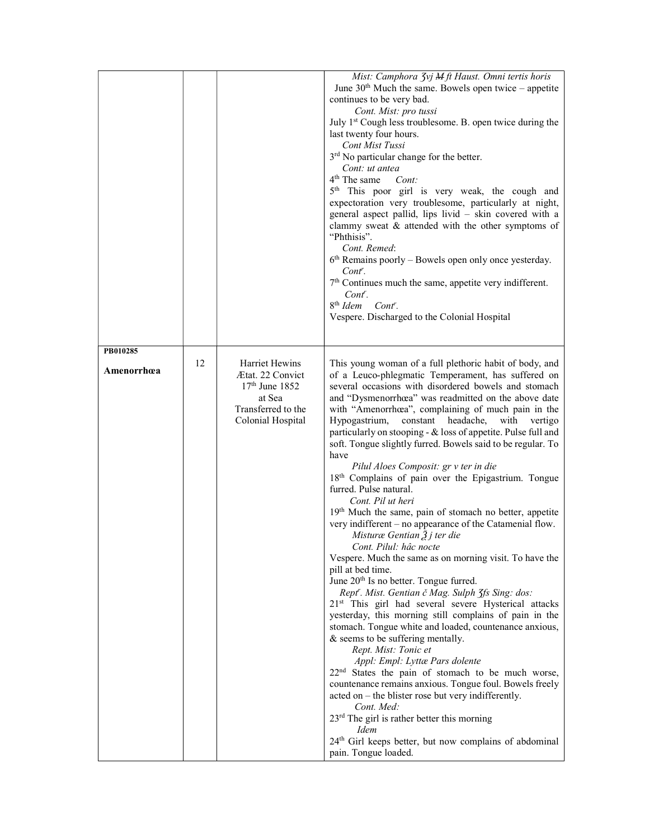|            |    |                                                                                                             | Mist: Camphora 3vj M ft Haust. Omni tertis horis<br>June $30th$ Much the same. Bowels open twice – appetite<br>continues to be very bad.<br>Cont. Mist: pro tussi<br>July 1 <sup>st</sup> Cough less troublesome. B. open twice during the<br>last twenty four hours.<br><b>Cont Mist Tussi</b><br>3 <sup>rd</sup> No particular change for the better.<br>Cont: ut antea<br>4 <sup>th</sup> The same<br>Cont:<br>5 <sup>th</sup> This poor girl is very weak, the cough and<br>expectoration very troublesome, particularly at night,<br>general aspect pallid, lips livid - skin covered with a<br>clammy sweat & attended with the other symptoms of<br>"Phthisis".<br>Cont. Remed:<br>$6th$ Remains poorly – Bowels open only once yesterday.<br>Cont <sup>r</sup> .<br>7 <sup>th</sup> Continues much the same, appetite very indifferent.<br>Cont.<br>8 <sup>th</sup> Idem Cont <sup>r</sup> .<br>Vespere. Discharged to the Colonial Hospital                                                                                                                                                                                                                                                                                                                                                                                                                                                                                                                                                                                                                                                                                                                       |
|------------|----|-------------------------------------------------------------------------------------------------------------|----------------------------------------------------------------------------------------------------------------------------------------------------------------------------------------------------------------------------------------------------------------------------------------------------------------------------------------------------------------------------------------------------------------------------------------------------------------------------------------------------------------------------------------------------------------------------------------------------------------------------------------------------------------------------------------------------------------------------------------------------------------------------------------------------------------------------------------------------------------------------------------------------------------------------------------------------------------------------------------------------------------------------------------------------------------------------------------------------------------------------------------------------------------------------------------------------------------------------------------------------------------------------------------------------------------------------------------------------------------------------------------------------------------------------------------------------------------------------------------------------------------------------------------------------------------------------------------------------------------------------------------------------------------------------|
| PB010285   |    |                                                                                                             |                                                                                                                                                                                                                                                                                                                                                                                                                                                                                                                                                                                                                                                                                                                                                                                                                                                                                                                                                                                                                                                                                                                                                                                                                                                                                                                                                                                                                                                                                                                                                                                                                                                                            |
| Amenorrhœa | 12 | Harriet Hewins<br>Ætat. 22 Convict<br>$17th$ June 1852<br>at Sea<br>Transferred to the<br>Colonial Hospital | This young woman of a full plethoric habit of body, and<br>of a Leuco-phlegmatic Temperament, has suffered on<br>several occasions with disordered bowels and stomach<br>and "Dysmenorrhœa" was readmitted on the above date<br>with "Amenorrhœa", complaining of much pain in the<br>Hypogastrium,<br>constant headache, with vertigo<br>particularly on stooping - & loss of appetite. Pulse full and<br>soft. Tongue slightly furred. Bowels said to be regular. To<br>have<br>Pilul Aloes Composit: gr v ter in die<br>18th Complains of pain over the Epigastrium. Tongue<br>furred. Pulse natural.<br>Cont. Pil ut heri<br>19th Much the same, pain of stomach no better, appetite<br>very indifferent – no appearance of the Catamenial flow.<br>Misturæ Gentian $\tilde{A}$ j ter die<br>Cont. Pilul: hâc nocte<br>Vespere. Much the same as on morning visit. To have the<br>pill at bed time.<br>June 20 <sup>th</sup> Is no better. Tongue furred.<br>Rept'. Mist. Gentian č Mag. Sulph 3fs Sing: dos:<br>21 <sup>st</sup> This girl had several severe Hysterical attacks<br>yesterday, this morning still complains of pain in the<br>stomach. Tongue white and loaded, countenance anxious,<br>& seems to be suffering mentally.<br>Rept. Mist: Tonic et<br>Appl: Empl: Lyttæ Pars dolente<br>22 <sup>nd</sup> States the pain of stomach to be much worse,<br>countenance remains anxious. Tongue foul. Bowels freely<br>acted on – the blister rose but very indifferently.<br>Cont. Med:<br>23 <sup>rd</sup> The girl is rather better this morning<br>Idem<br>24 <sup>th</sup> Girl keeps better, but now complains of abdominal<br>pain. Tongue loaded. |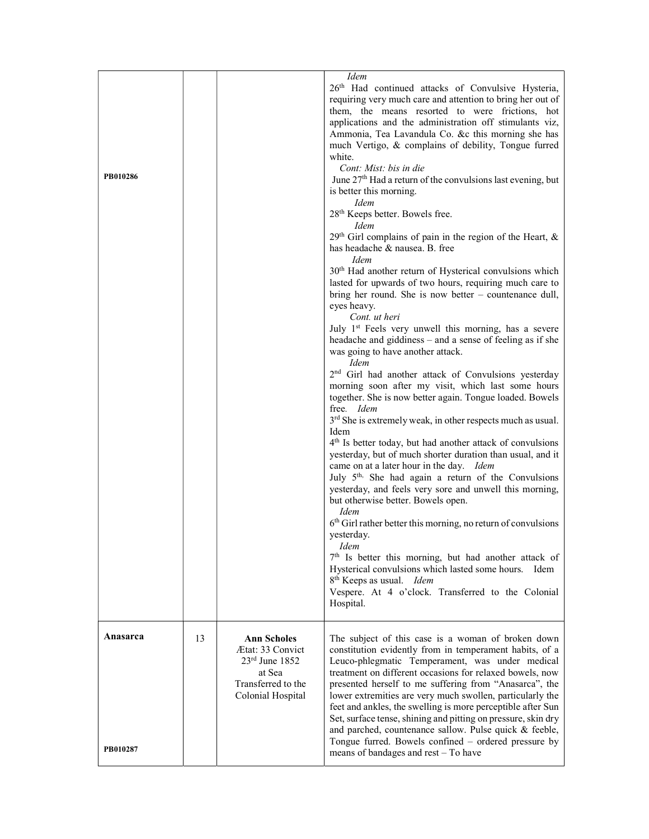| PB010286 |    |                                                                                                                        | <b>Idem</b><br>26th Had continued attacks of Convulsive Hysteria,<br>requiring very much care and attention to bring her out of<br>them, the means resorted to were frictions, hot<br>applications and the administration off stimulants viz,<br>Ammonia, Tea Lavandula Co. &c this morning she has<br>much Vertigo, & complains of debility, Tongue furred<br>white.<br>Cont: Mist: bis in die<br>June 27 <sup>th</sup> Had a return of the convulsions last evening, but<br>is better this morning.<br><b>Idem</b><br>28 <sup>th</sup> Keeps better. Bowels free.<br><b>Idem</b><br>29 <sup>th</sup> Girl complains of pain in the region of the Heart, &<br>has headache & nausea. B. free<br><i>Idem</i><br>30 <sup>th</sup> Had another return of Hysterical convulsions which<br>lasted for upwards of two hours, requiring much care to<br>bring her round. She is now better $-$ countenance dull,<br>eyes heavy.<br>Cont. ut heri<br>July 1st Feels very unwell this morning, has a severe<br>headache and giddiness - and a sense of feeling as if she<br>was going to have another attack.<br><b>Idem</b><br>2 <sup>nd</sup> Girl had another attack of Convulsions yesterday<br>morning soon after my visit, which last some hours<br>together. She is now better again. Tongue loaded. Bowels<br>free. Idem<br>3 <sup>rd</sup> She is extremely weak, in other respects much as usual.<br>Idem<br>4 <sup>th</sup> Is better today, but had another attack of convulsions<br>yesterday, but of much shorter duration than usual, and it<br>came on at a later hour in the day. Idem<br>July 5 <sup>th,</sup> She had again a return of the Convulsions<br>yesterday, and feels very sore and unwell this morning,<br>but otherwise better. Bowels open.<br><i>Idem</i><br>$6th$ Girl rather better this morning, no return of convulsions<br>yesterday.<br>Idem<br>7 <sup>th</sup> Is better this morning, but had another attack of<br>Hysterical convulsions which lasted some hours. Idem<br>8 <sup>th</sup> Keeps as usual. Idem<br>Vespere. At 4 o'clock. Transferred to the Colonial<br>Hospital. |
|----------|----|------------------------------------------------------------------------------------------------------------------------|---------------------------------------------------------------------------------------------------------------------------------------------------------------------------------------------------------------------------------------------------------------------------------------------------------------------------------------------------------------------------------------------------------------------------------------------------------------------------------------------------------------------------------------------------------------------------------------------------------------------------------------------------------------------------------------------------------------------------------------------------------------------------------------------------------------------------------------------------------------------------------------------------------------------------------------------------------------------------------------------------------------------------------------------------------------------------------------------------------------------------------------------------------------------------------------------------------------------------------------------------------------------------------------------------------------------------------------------------------------------------------------------------------------------------------------------------------------------------------------------------------------------------------------------------------------------------------------------------------------------------------------------------------------------------------------------------------------------------------------------------------------------------------------------------------------------------------------------------------------------------------------------------------------------------------------------------------------------------------------------------------------------------------------------------------------------------------------------------------------------|
| Anasarca | 13 | <b>Ann Scholes</b><br><b>Ætat: 33 Convict</b><br>$23rd$ June 1852<br>at Sea<br>Transferred to the<br>Colonial Hospital | The subject of this case is a woman of broken down<br>constitution evidently from in temperament habits, of a<br>Leuco-phlegmatic Temperament, was under medical<br>treatment on different occasions for relaxed bowels, now<br>presented herself to me suffering from "Anasarca", the<br>lower extremities are very much swollen, particularly the<br>feet and ankles, the swelling is more perceptible after Sun<br>Set, surface tense, shining and pitting on pressure, skin dry<br>and parched, countenance sallow. Pulse quick & feeble,                                                                                                                                                                                                                                                                                                                                                                                                                                                                                                                                                                                                                                                                                                                                                                                                                                                                                                                                                                                                                                                                                                                                                                                                                                                                                                                                                                                                                                                                                                                                                                       |
| PB010287 |    |                                                                                                                        | Tongue furred. Bowels confined - ordered pressure by<br>means of bandages and rest - To have                                                                                                                                                                                                                                                                                                                                                                                                                                                                                                                                                                                                                                                                                                                                                                                                                                                                                                                                                                                                                                                                                                                                                                                                                                                                                                                                                                                                                                                                                                                                                                                                                                                                                                                                                                                                                                                                                                                                                                                                                        |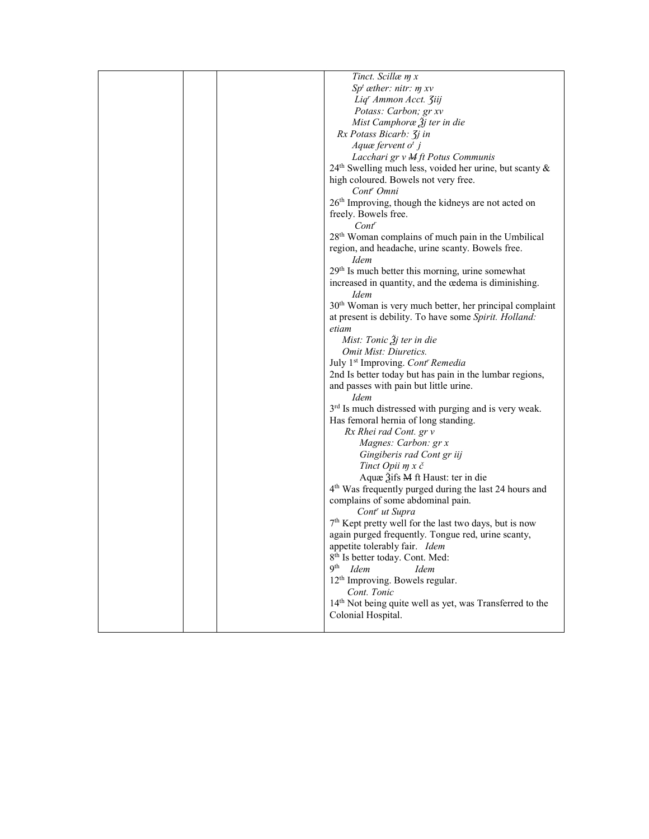| Tinct. Scillæ m x                                                    |
|----------------------------------------------------------------------|
| $Spt$ æther: nitr: $m$ xv                                            |
| Liq' Ammon Acct. Ziij                                                |
| Potass: Carbon; gr xv                                                |
| Mist Camphoræ $\tilde{A}$ j ter in die                               |
| Rx Potass Bicarb: 3 <i>j</i> in                                      |
| Aquæ fervent $ot j$                                                  |
| Lacchari gr v M ft Potus Communis                                    |
|                                                                      |
| 24 <sup>th</sup> Swelling much less, voided her urine, but scanty &  |
| high coloured. Bowels not very free.                                 |
| Cont <sup>r</sup> Omni                                               |
| 26 <sup>th</sup> Improving, though the kidneys are not acted on      |
| freely. Bowels free.                                                 |
| $Cont^r$                                                             |
| 28 <sup>th</sup> Woman complains of much pain in the Umbilical       |
| region, and headache, urine scanty. Bowels free.<br><i>Idem</i>      |
| 29 <sup>th</sup> Is much better this morning, urine somewhat         |
| increased in quantity, and the œdema is diminishing.                 |
| <i>Idem</i>                                                          |
| 30 <sup>th</sup> Woman is very much better, her principal complaint  |
| at present is debility. To have some Spirit. Holland:                |
| etiam                                                                |
| Mist: Tonic $\tilde{A}$ j ter in die                                 |
| Omit Mist: Diuretics.                                                |
| July 1 <sup>st</sup> Improving. Cont' Remedia                        |
| 2nd Is better today but has pain in the lumbar regions,              |
|                                                                      |
| and passes with pain but little urine.<br><i>Idem</i>                |
|                                                                      |
| 3 <sup>rd</sup> Is much distressed with purging and is very weak.    |
| Has femoral hernia of long standing.                                 |
| Rx Rhei rad Cont. gr v                                               |
| Magnes: Carbon: gr x                                                 |
| Gingiberis rad Cont gr iij                                           |
| Tinct Opii m x č                                                     |
| Aquæ 3ifs M ft Haust: ter in die                                     |
| 4 <sup>th</sup> Was frequently purged during the last 24 hours and   |
| complains of some abdominal pain.                                    |
| Cont <sup>r</sup> ut Supra                                           |
| $7th$ Kept pretty well for the last two days, but is now             |
| again purged frequently. Tongue red, urine scanty,                   |
| appetite tolerably fair. Idem                                        |
| 8 <sup>th</sup> Is better today. Cont. Med:                          |
| <b>Qth</b><br>Idem<br><b>Idem</b>                                    |
| 12 <sup>th</sup> Improving. Bowels regular.                          |
| Cont. Tonic                                                          |
| 14 <sup>th</sup> Not being quite well as yet, was Transferred to the |
| Colonial Hospital.                                                   |
|                                                                      |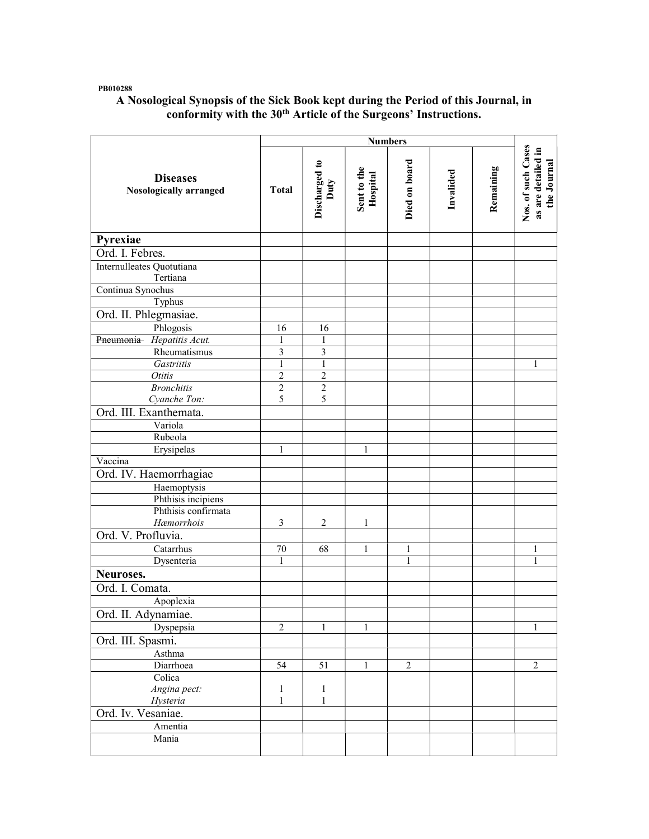#### PB010288

### A Nosological Synopsis of the Sick Book kept during the Period of this Journal, in conformity with the 30<sup>th</sup> Article of the Surgeons' Instructions.

|                                                  |                     | <b>Numbers</b>        |                         |                |           |           |                                                         |
|--------------------------------------------------|---------------------|-----------------------|-------------------------|----------------|-----------|-----------|---------------------------------------------------------|
| <b>Diseases</b><br><b>Nosologically arranged</b> | <b>Total</b>        | Discharged to<br>Duty | Sent to the<br>Hospital | Died on board  | Invalided | Remaining | Nos. of such Cases<br>as are detailed in<br>the Journal |
| Pyrexiae                                         |                     |                       |                         |                |           |           |                                                         |
| Ord. I. Febres.                                  |                     |                       |                         |                |           |           |                                                         |
| Internulleates Quotutiana                        |                     |                       |                         |                |           |           |                                                         |
| Tertiana                                         |                     |                       |                         |                |           |           |                                                         |
| Continua Synochus                                |                     |                       |                         |                |           |           |                                                         |
| Typhus                                           |                     |                       |                         |                |           |           |                                                         |
| Ord. II. Phlegmasiae.                            |                     |                       |                         |                |           |           |                                                         |
| Phlogosis                                        | 16                  | 16                    |                         |                |           |           |                                                         |
| Pneumonia Hepatitis Acut.                        | 1                   | 1                     |                         |                |           |           |                                                         |
| Rheumatismus                                     | 3                   | 3                     |                         |                |           |           |                                                         |
| Gastriitis                                       | $\mathbf{1}$        | $\,1$                 |                         |                |           |           | 1                                                       |
| <b>Otitis</b>                                    | $\overline{2}$      | $\overline{c}$        |                         |                |           |           |                                                         |
| <b>Bronchitis</b>                                | $\overline{2}$<br>5 | $\overline{2}$<br>5   |                         |                |           |           |                                                         |
| Cyanche Ton:<br>Ord. III. Exanthemata.           |                     |                       |                         |                |           |           |                                                         |
|                                                  |                     |                       |                         |                |           |           |                                                         |
| Variola<br>Rubeola                               |                     |                       |                         |                |           |           |                                                         |
| Erysipelas                                       | 1                   |                       | 1                       |                |           |           |                                                         |
| Vaccina                                          |                     |                       |                         |                |           |           |                                                         |
| Ord. IV. Haemorrhagiae                           |                     |                       |                         |                |           |           |                                                         |
| Haemoptysis                                      |                     |                       |                         |                |           |           |                                                         |
| Phthisis incipiens                               |                     |                       |                         |                |           |           |                                                         |
| Phthisis confirmata                              |                     |                       |                         |                |           |           |                                                         |
| Hæmorrhois                                       | 3                   | $\overline{2}$        | 1                       |                |           |           |                                                         |
| Ord. V. Profluvia.                               |                     |                       |                         |                |           |           |                                                         |
| Catarrhus                                        | $70\,$              | 68                    | 1                       | 1              |           |           | 1                                                       |
| Dysenteria                                       | 1                   |                       |                         | $\mathbf{1}$   |           |           | 1                                                       |
| Neuroses.                                        |                     |                       |                         |                |           |           |                                                         |
| Ord. I. Comata.                                  |                     |                       |                         |                |           |           |                                                         |
| Apoplexia                                        |                     |                       |                         |                |           |           |                                                         |
| Ord. II. Adynamiae.                              |                     |                       |                         |                |           |           |                                                         |
| Dyspepsia                                        | $\overline{2}$      | $\mathbf{1}$          | 1                       |                |           |           | 1                                                       |
| Ord. III. Spasmi.                                |                     |                       |                         |                |           |           |                                                         |
| Asthma                                           |                     |                       |                         |                |           |           |                                                         |
| Diarrhoea                                        | $\overline{54}$     | $\overline{51}$       | $\mathbf{1}$            | $\overline{2}$ |           |           | $\overline{2}$                                          |
| Colica                                           |                     |                       |                         |                |           |           |                                                         |
| Angina pect:                                     | $\mathbf{1}$        | $\mathbf{1}$          |                         |                |           |           |                                                         |
| Hysteria                                         | $\mathbf{1}$        | $\mathbf{1}$          |                         |                |           |           |                                                         |
| Ord. Iv. Vesaniae.                               |                     |                       |                         |                |           |           |                                                         |
| Amentia                                          |                     |                       |                         |                |           |           |                                                         |
| Mania                                            |                     |                       |                         |                |           |           |                                                         |
|                                                  |                     |                       |                         |                |           |           |                                                         |